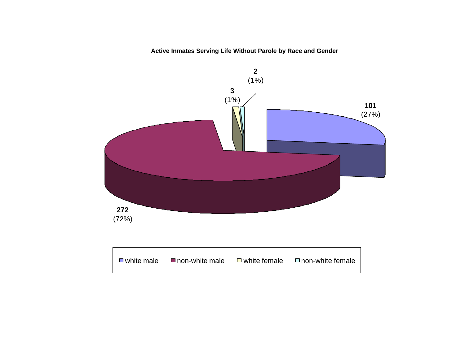### **Active Inmates Serving Life Without Parole by Race and Gender**

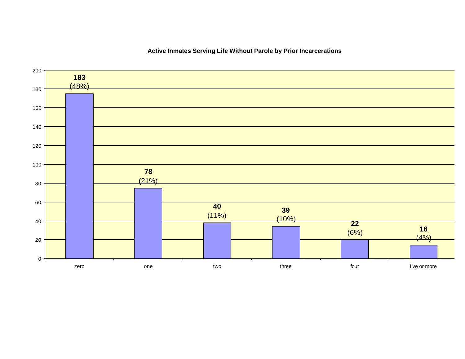

### **Active Inmates Serving Life Without Parole by Prior Incarcerations**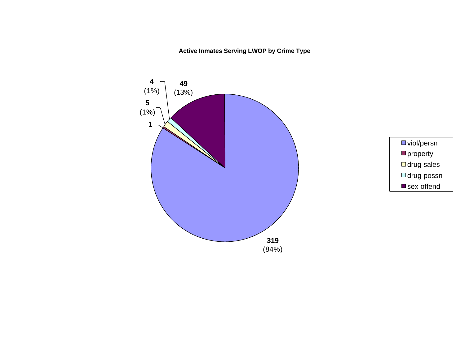**Active Inmates Serving LWOP by Crime Type**



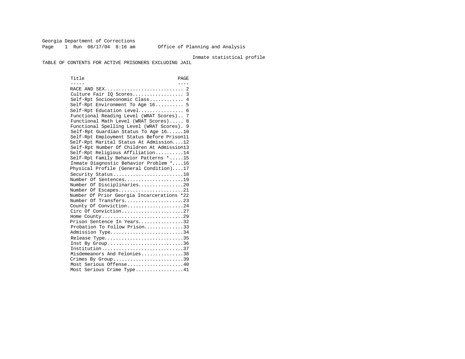Georgia Department of Corrections Page 1 Run 08/17/04 8:16 am Office of Planning and Analysis

#### Inmate statistical profile

TABLE OF CONTENTS FOR ACTIVE PRISONERS EXCLUDING JAIL

Title PAGE ----- ---- RACE AND SEX............................ 2 Culture Fair IQ Scores.................. 3 Self-Rpt Socioeconomic Class............ 4 Self-Rpt Environment To Age 16.......... 5 Self-Rpt Education Level................ 6 Functional Reading Level (WRAT Scores).. 7 Functional Math Level (WRAT Scores)..... 8 Functional Spelling Level (WRAT Scores). 9 Self-Rpt Guardian Status To Age 16......10 Self-Rpt Employment Status Before Prison11 Self-Rpt Marital Status At Admission....12 Self-Rpt Number Of Children At Admission13 Self-Rpt Religious Affiliation..........14 Self-Rpt Family Behavior Patterns \*.....15 Inmate Diagnostic Behavior Problem \*....16 Physical Profile (General Condition)....17 Security Status............................18 Number Of Sentences.....................19 Number Of Disciplinaries................20 Number Of Escapes.........................21 Number Of Prior Georgia Incarcerations \*22 Number Of Transfers.....................23 County Of Conviction....................24 Circ Of Conviction........................27 Home County.............................29 Prison Sentence In Years................32 Probation To Follow Prison...............33 Admission Type.............................34 Release Type................................35 Inst By Group..............................36 Institution.............................37 Misdemeanors And Felonies...............38 Crimes By Group..............................39 Most Serious Offense....................40 Most Serious Crime Type.................41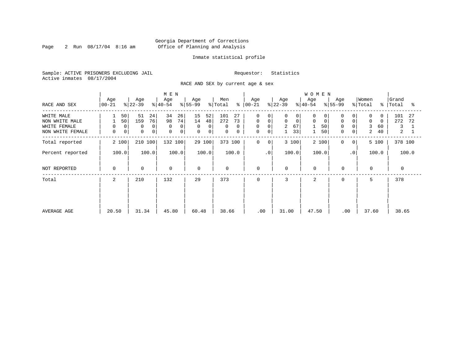Page 2 Run  $08/17/04$  8:16 am

#### Inmate statistical profile

Sample: ACTIVE PRISONERS EXCLUDING JAIL Requestor: Statistics Active inmates 08/17/2004

RACE AND SEX by current age & sex

|                                                                  |                              |                                                      | M E N                                           |                                                                               |                                            |                                                                                                                               |                                                                           | <b>WOMEN</b>                                  |                                                                            |                                                                       |                                               |
|------------------------------------------------------------------|------------------------------|------------------------------------------------------|-------------------------------------------------|-------------------------------------------------------------------------------|--------------------------------------------|-------------------------------------------------------------------------------------------------------------------------------|---------------------------------------------------------------------------|-----------------------------------------------|----------------------------------------------------------------------------|-----------------------------------------------------------------------|-----------------------------------------------|
| RACE AND SEX                                                     | Age<br>  00-21               | Age<br>$ 22-39 $                                     | Age<br>$ 40-54 $                                | Age<br>$\frac{1}{6}$   55-99                                                  | Men<br>ိ<br>% Total                        | Age<br>00-21                                                                                                                  | Age<br>$ 22-39 $                                                          | Age<br>$ 40-54 $                              | Age<br>$ 55-99 $                                                           | Women<br>% Total<br>ႜ                                                 | Grand<br>Total<br>°≈                          |
| WHITE MALE<br>NON WHITE MALE<br>WHITE FEMALE<br>NON WHITE FEMALE | 50<br>50<br>0<br>0<br>0<br>0 | 51<br>24<br>159<br>76<br>0<br>0<br>0<br>$\mathbf{0}$ | 34<br>26<br>74<br>98<br>0<br>$\Omega$<br>0<br>0 | 15<br>52<br>14<br>48<br>0<br>$\overline{0}$<br>$\mathbf{0}$<br>0 <sup>1</sup> | 101<br>27<br>272<br>73<br>0<br>0<br>0<br>0 | $\Omega$<br>0<br>$\mathbf 0$<br>$\mathbf 0$<br>$\mathsf{O}\xspace$<br>$\overline{0}$<br>$\mathsf{O}\xspace$<br>0 <sup>1</sup> | 0<br>$\Omega$<br>$\mathbf 0$<br>$\mathbf 0$<br>$\overline{2}$<br>67<br>33 | O<br>$\Omega$<br>0<br>$\mathbf 0$<br>50<br>50 | 0<br>0<br>$\mathbf 0$<br>$\overline{0}$<br>0<br>$\Omega$<br>$\overline{0}$ | $\Omega$<br>$\Omega$<br>$\mathbf 0$<br>$\Omega$<br>3<br>60<br>40<br>2 | 101<br>27<br>272<br>72<br>3<br>$\overline{a}$ |
| Total reported                                                   | 2 100                        | 210 100                                              | 132 100                                         | 29 100                                                                        | 373 100                                    | $\mathbf 0$<br>0                                                                                                              | 3 100                                                                     | 2 100                                         | $\Omega$<br>0 <sup>1</sup>                                                 | 5 100                                                                 | 378 100                                       |
| Percent reported                                                 | 100.0                        | 100.0                                                | 100.0                                           | 100.0                                                                         | 100.0                                      | $\cdot$ 0                                                                                                                     | 100.0                                                                     | 100.0                                         | $\cdot$ 0                                                                  | 100.0                                                                 | 100.0                                         |
| NOT REPORTED                                                     | 0                            | $\mathbf 0$                                          | $\mathbf 0$                                     | $\Omega$                                                                      | 0                                          | 0                                                                                                                             | $\mathbf 0$                                                               | $\mathbf 0$                                   | $\mathbf 0$                                                                | $\mathbf 0$                                                           | $\Omega$                                      |
| Total                                                            | $\overline{2}$               | 210                                                  | 132                                             | 29                                                                            | 373                                        | 0                                                                                                                             | 3                                                                         | $\overline{c}$                                | 0                                                                          | 5                                                                     | 378                                           |
| AVERAGE AGE                                                      | 20.50                        | 31.34                                                | 45.80                                           | 60.48                                                                         | 38.66                                      | .00                                                                                                                           | 31.00                                                                     | 47.50                                         | .00                                                                        | 37.60                                                                 | 38.65                                         |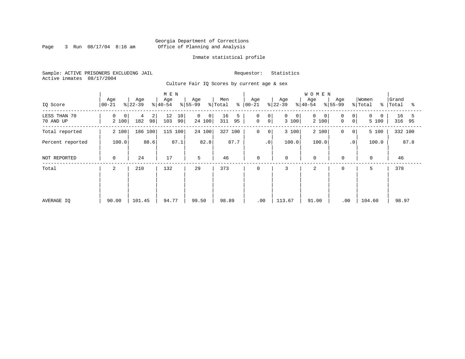Page 3 Run  $08/17/04$  8:16 am

#### Inmate statistical profile

Sample: ACTIVE PRISONERS EXCLUDING JAIL Requestor: Statistics Active inmates 08/17/2004

Culture Fair IQ Scores by current age & sex

|                           |                  |                                  | M E N                 |                                            |                            |                                                                 |                           | <b>WOMEN</b>                     |                                                      |                            |                      |
|---------------------------|------------------|----------------------------------|-----------------------|--------------------------------------------|----------------------------|-----------------------------------------------------------------|---------------------------|----------------------------------|------------------------------------------------------|----------------------------|----------------------|
| IQ Score                  | Age<br>$00 - 21$ | Age<br>$ 22-39 $                 | Age<br>$ 40-54 $      | Age<br>$ 55-99 $                           | Men<br>$\frac{1}{2}$ Total | Age<br>$8   00 - 21$                                            | Age<br>$ 22-39 $          | Age<br>$ 40-54 $                 | Age<br>$ 55-99$                                      | Women<br>% Total<br>ႜ      | Grand<br>Total<br>ႜ  |
| LESS THAN 70<br>70 AND UP | 0<br>0<br>2 100  | $\overline{a}$<br>4<br>98<br>182 | 12<br>10<br>103<br>90 | $\overline{0}$<br>0 <sup>1</sup><br>24 100 | 16<br>5<br>311<br>95       | $\mathbf 0$<br>0 <sup>1</sup><br>$\mathsf{O}$<br>0 <sup>1</sup> | 0<br>$\mathbf 0$<br>3 100 | $\Omega$<br>$\mathbf 0$<br>2 100 | 0<br>0 <sup>1</sup><br>$\mathbf 0$<br>0 <sup>1</sup> | 0<br>$\mathbf{0}$<br>5 100 | 16<br>5<br>95<br>316 |
| Total reported            | 2 100            | 186 100                          | 115 100               | 24 100                                     | 100<br>327                 | $\mathbf 0$<br>0                                                | 3 100                     | 2 100                            | 0<br>$\overline{0}$                                  | 5 100                      | 332 100              |
| Percent reported          | 100.0            | 88.6                             | 87.1                  | 82.8                                       | 87.7                       | $\cdot$ 0                                                       | 100.0                     | 100.0                            | $\cdot$ 0                                            | 100.0                      | 87.8                 |
| NOT REPORTED              | 0                | 24                               | 17                    | 5                                          | 46                         | 0                                                               | 0                         | $\mathbf 0$                      | $\mathbf 0$                                          | $\mathbf 0$                | 46                   |
| Total                     | 2                | 210                              | 132                   | 29                                         | 373                        | 0                                                               | 3                         | 2                                | 0                                                    | 5                          | 378                  |
|                           |                  |                                  |                       |                                            |                            |                                                                 |                           |                                  |                                                      |                            |                      |
|                           |                  |                                  |                       |                                            |                            |                                                                 |                           |                                  |                                                      |                            |                      |
| AVERAGE IQ                | 90.00            | 101.45                           | 94.77                 | 99.50                                      | 98.89                      | .00                                                             | 113.67                    | 91.00                            | .00                                                  | 104.60                     | 98.97                |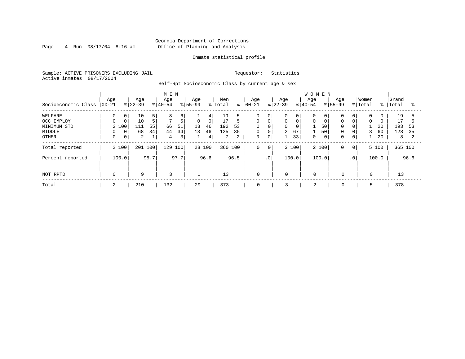Page 4 Run  $08/17/04$  8:16 am

#### Inmate statistical profile

Sample: ACTIVE PRISONERS EXCLUDING JAIL Requestor: Statistics Active inmates 08/17/2004

Self-Rpt Socioeconomic Class by current age & sex

|                     | M E N            |                |                  |      |                  |                         |                  |             |                |      |                   |                 |                 |       | <b>WOMEN</b>     |       |                    |                 |                  |          |                |      |
|---------------------|------------------|----------------|------------------|------|------------------|-------------------------|------------------|-------------|----------------|------|-------------------|-----------------|-----------------|-------|------------------|-------|--------------------|-----------------|------------------|----------|----------------|------|
| Socioeconomic Class | Age<br>$00 - 21$ |                | Age<br>$ 22-39 $ |      | Age<br>$ 40-54 $ |                         | Age<br>$8 55-99$ |             | Men<br>% Total | ి    | Age<br>$ 00 - 21$ |                 | Age<br>$ 22-39$ |       | Age<br>$8 40-54$ |       | Age<br>$8155 - 99$ |                 | Women<br>% Total | %        | Grand<br>Total | °    |
| WELFARE             | 0                | 0              | 10               | 5    | 8                | 6                       |                  | 4           | 19             |      | 0                 | 0               | 0               | 0     |                  | 0     | 0                  | $\overline{0}$  | 0                |          | 19             |      |
| OCC EMPLOY          | 0                | 0              | 10               | 5    | 7                | 5                       | $\mathbf 0$      | $\mathbf 0$ | 17             |      | $\Omega$          | $\mathbf 0$     | 0               |       | $\Omega$         |       | $\mathbf 0$        | 0               | $\mathbf 0$      | $\Omega$ | 17             |      |
| MINIMUM STD         | 2 100            |                | 111              | 55   | 66               | 51                      | 13               | 46          | 192            | 53   | $\Omega$          | $\Omega$        | 0               |       |                  | 50    | $\mathbf 0$        | 0 <sup>1</sup>  |                  | 20       | 193            | 53   |
| MIDDLE              | 0                | $\mathbf{0}$   | 68               | 34   | 44               | 34                      | 13               | 46          | 125            | 35   | 0                 | 0               | $\overline{2}$  | 67    |                  | 50    | 0                  | 0 <sup>1</sup>  | 3                | 60       | 128            | 35   |
| OTHER               | 0                | 0 <sup>1</sup> | 2                | 1    | 4                | $\overline{\mathbf{3}}$ |                  | 4           |                | 2    | 0                 | $\mathbf 0$     |                 | 33    | $\Omega$         | 0     | 0                  | 0 <sup>1</sup>  |                  | 20       | 8              |      |
| Total reported      | 2 100            |                | 201 100          |      | 129              | 100                     |                  | 28 100      | 360 100        |      | 0                 | 0 <sup>1</sup>  |                 | 3 100 |                  | 2 100 | $\mathbf 0$        | 0 <sup>1</sup>  |                  | 5 100    | 365 100        |      |
| Percent reported    |                  | 100.0          |                  | 95.7 |                  | 97.7                    |                  | 96.6        |                | 96.5 |                   | .0 <sup>′</sup> |                 | 100.0 |                  | 100.0 |                    | .0 <sup>1</sup> |                  | 100.0    |                | 96.6 |
| NOT RPTD            | 0                |                | 9                |      | 3                |                         |                  |             | 13             |      | $\mathbf 0$       |                 | $\mathbf 0$     |       | $\mathbf 0$      |       | $\mathbf 0$        |                 | 0                |          | 13             |      |
| Total               | 2                |                | 210              |      | 132              |                         | 29               |             | 373            |      | 0                 |                 | 3               |       | 2                |       | 0                  |                 | 5                |          | 378            |      |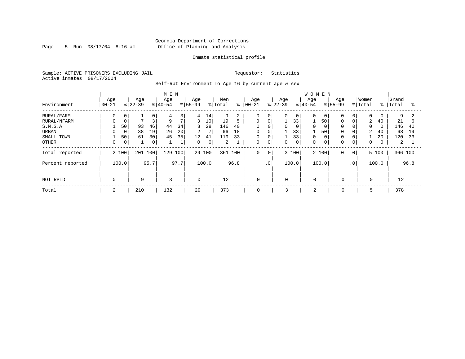Page 5 Run  $08/17/04$  8:16 am

#### Inmate statistical profile

Sample: ACTIVE PRISONERS EXCLUDING JAIL Requestor: Statistics Active inmates 08/17/2004

Self-Rpt Environment To Age 16 by current age & sex

|                  |                  |             |                  |      | M E N            |                |                 |       |                |      |                   |             |                  |                 | <b>WOMEN</b>    |       |                    |                 |                  |               |                |      |
|------------------|------------------|-------------|------------------|------|------------------|----------------|-----------------|-------|----------------|------|-------------------|-------------|------------------|-----------------|-----------------|-------|--------------------|-----------------|------------------|---------------|----------------|------|
| Environment      | Age<br>$ 00-21 $ |             | Age<br>$ 22-39 $ |      | Age<br>$8 40-54$ |                | Age<br>$ 55-99$ |       | Men<br>% Total | ి    | Age<br>$ 00 - 21$ |             | Age<br>$8 22-39$ |                 | Age<br>$ 40-54$ |       | Age<br>$8155 - 99$ |                 | Women<br>% Total | $\frac{8}{6}$ | Grand<br>Total | °    |
| RURAL/FARM       | 0                | 0           |                  | 0    | 4                | 3              | 4               | 14    | 9              | 2    | $\Omega$          | 0           | 0                | $\overline{0}$  | $\Omega$        | 0     | $\mathbf 0$        | $\overline{0}$  | 0                | 0             | 9              |      |
| RURAL/NFARM      |                  | $\mathbf 0$ |                  | 3    | 9                | $\overline{7}$ | 3               | 10    | 19             | 5    | $\Omega$          | $\mathbf 0$ |                  | 33              |                 | 50    | 0                  | $\overline{0}$  | $\overline{2}$   | 40            | 21             | 6    |
| S.M.S.A          |                  | 50          | 93               | 46   | 44               | 34             | 8               | 28    | 146            | 40   | 0                 | $\Omega$    | 0                | 0               | $\Omega$        |       | $\mathbf 0$        | 0               | $\Omega$         | $\Omega$      | 146            | 40   |
| URBAN            |                  | $\mathbf 0$ | 38               | 19   | 26               | 20             | $\overline{2}$  | 7     | 66             | 18   | $\mathbf 0$       | $\mathbf 0$ |                  | 33 <sup>1</sup> |                 | 50    | 0                  | 0               | 2                | 40            | 68             | 19   |
| SMALL TOWN       |                  | 50          | 61               | 30   | 45               | 35             | 12              | 41    | 119            | 33   | 0                 | $\mathbf 0$ |                  | 33              | $\Omega$        |       | 0                  | 0               |                  | 20            | 120            | 33   |
| OTHER            | 0                | 0           |                  | 0    |                  | $\mathbf{a}$   | $\mathbf 0$     | 0     | 2              |      | 0                 | $\mathbf 0$ | 0                | 0               | $\Omega$        |       | $\mathbf 0$        | $\overline{0}$  | 0                | 0             | 2              |      |
| Total reported   |                  | 2 100       | 201 100          |      | 129              | 100            | 29              | 100   | 361 100        |      | 0                 | $\Omega$    |                  | 3 100           |                 | 2 100 | $\mathbf 0$        | 0 <sup>1</sup>  |                  | 5 100         | 366 100        |      |
| Percent reported |                  | 100.0       |                  | 95.7 |                  | 97.7           |                 | 100.0 |                | 96.8 |                   | $\cdot$ 0   |                  | 100.0           | 100.0           |       |                    | .0 <sup>1</sup> |                  | 100.0         |                | 96.8 |
|                  |                  |             |                  |      |                  |                |                 |       |                |      |                   |             |                  |                 |                 |       |                    |                 |                  |               |                |      |
| NOT RPTD         | $\Omega$         |             | 9                |      | 3                |                | $\Omega$        |       | 12             |      | $\mathbf 0$       |             | $\Omega$         |                 | $\mathbf 0$     |       | $\mathbf 0$        |                 | $\Omega$         |               | 12             |      |
| Total            | 2                |             | 210              |      | 132              |                | 29              |       | 373            |      | $\mathbf 0$       |             | 3                |                 | 2               |       | $\mathbf 0$        |                 |                  |               | 378            |      |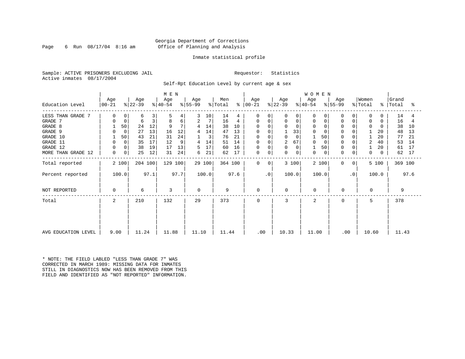Page 6 Run  $08/17/04$  8:16 am

#### Inmate statistical profile

Sample: ACTIVE PRISONERS EXCLUDING JAIL Requestor: Statistics Active inmates 08/17/2004

Self-Rpt Education Level by current age & sex

|                     |                  |                  | M E N            |                      |                |                      |                  | <b>WOMEN</b>     |                          |                               |                       |
|---------------------|------------------|------------------|------------------|----------------------|----------------|----------------------|------------------|------------------|--------------------------|-------------------------------|-----------------------|
| Education Level     | Age<br>$ 00-21$  | Age<br>$ 22-39 $ | Age<br>$ 40-54 $ | Age<br>$ 55-99 $     | Men<br>% Total | Age<br>$8   00 - 21$ | Age<br>$ 22-39 $ | Age<br>$8 40-54$ | Age<br>$ 55-99$          | Women<br>% Total<br>$\approx$ | Grand<br> Total<br>°≈ |
| LESS THAN GRADE 7   |                  | 3<br>6           | 5<br>4           | 10 <sup>°</sup><br>3 | 14<br>4        | 0<br>0               | 0                | 0                |                          | 0                             | 14                    |
| GRADE 7             | $\mathbf 0$      | 3<br>6           | б<br>8           | 7<br>2               | 16<br>4        | 0<br>0               | 0<br>0           | 0                | $\Omega$<br>0            | $\mathbf 0$                   | 16                    |
| GRADE 8             | 50               | 12<br>24         | 7<br>9           | 14                   | 38<br>10       | $\Omega$<br>0        | $\Omega$         | 0                | $\Omega$                 | $\Omega$                      | 38<br>10              |
| GRADE 9             | $\Omega$         | 27<br>13         | 12<br>16         | 14                   | 47<br>13       | 0                    | 33               | $\Omega$         |                          | 20                            | 48<br>13              |
| GRADE 10            | 50               | 21<br>43         | 24<br>31         | 3                    | 76<br>21       | 0<br>$\Omega$        | $\mathbf 0$      | 50               | $\Omega$                 | 20                            | 77<br>21              |
| GRADE 11            | 0                | 17<br>35         | 12<br>9          | 14<br>4              | 14<br>51       | 0                    | 2<br>67          | $\Omega$         |                          | $\overline{2}$<br>40          | 53<br>14              |
| GRADE 12            | 0                | 38<br>19         | 13<br>17         | 17                   | 16<br>60       | 0<br>$\mathbf 0$     | 0<br>$\Omega$    | 50               | $\Omega$                 | 20                            | 61<br>17              |
| MORE THAN GRADE 12  | $\mathbf 0$<br>0 | 25<br>12         | 24<br>31         | 21<br>6              | 62<br>17       | 0<br>0               | 0<br>$\Omega$    | 0<br>0           | $\Omega$<br>0            | $\Omega$                      | 62<br>17              |
| Total reported      | 2 100            | 204 100          | 129 100          | 29 100               | 364 100        | $\Omega$<br>0        | 3 100            | 2 100            | $\Omega$<br>$\mathbf{0}$ | 5 100                         | 369 100               |
| Percent reported    | 100.0            | 97.1             | 97.7             | 100.0                | 97.6           | $\cdot$ 0            | 100.0            | 100.0            | $\cdot$ 0                | 100.0                         | 97.6                  |
| NOT REPORTED        | $\Omega$         | 6                | 3                | $\Omega$             | 9              | 0                    | $\Omega$         | 0                | 0                        | 0                             | 9                     |
| Total               | 2                | 210              | 132              | 29                   | 373            | $\Omega$             | 3                | $\overline{2}$   | $\Omega$                 | 5                             | 378                   |
|                     |                  |                  |                  |                      |                |                      |                  |                  |                          |                               |                       |
| AVG EDUCATION LEVEL | 9.00             | 11.24            | 11.88            | 11.10                | 11.44          | $.00 \ \,$           | 10.33            | 11.00            | $.00 \,$                 | 10.60                         | 11.43                 |

\* NOTE: THE FIELD LABLED "LESS THAN GRADE 7" WAS CORRECTED IN MARCH 1989: MISSING DATA FOR INMATES STILL IN DIAGNOSTICS NOW HAS BEEN REMOVED FROM THIS FIELD AND IDENTIFIED AS "NOT REPORTED" INFORMATION.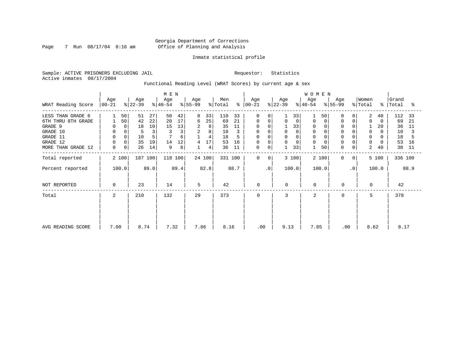Page 7 Run  $08/17/04$  8:16 am

#### Inmate statistical profile

Sample: ACTIVE PRISONERS EXCLUDING JAIL Requestor: Statistics Active inmates 08/17/2004

Functional Reading Level (WRAT Scores) by current age & sex

|                    | Age         |          | Age       |      | M E N<br>Age |      | Age      |                | Men     |         | Age          |                | Age       |       | WOMEN<br>Age |       | Age         |                | Women    |          | Grand     |      |
|--------------------|-------------|----------|-----------|------|--------------|------|----------|----------------|---------|---------|--------------|----------------|-----------|-------|--------------|-------|-------------|----------------|----------|----------|-----------|------|
| WRAT Reading Score | $ 00-21 $   |          | $ 22-39 $ |      | $ 40-54 $    |      | $ 55-99$ |                | % Total | နွ      | 00-21        |                | $ 22-39 $ |       | $ 40-54 $    |       | % 55-99     |                | % Total  |          | %   Total | ႜ    |
| LESS THAN GRADE 6  |             | 50       | 51        | 27   | 50           | 42   | 8        | 33             | 110     | 33      | $\Omega$     | $\Omega$       |           | 33    |              | 50    | $\Omega$    |                | 2        | 40       | 112       | -33  |
| 6TH THRU 8TH GRADE |             | 50       | 42        | 22   | 20           | 17   | 6        | 25             | 69      | 21      | 0            | 0              | 0         | 0     | 0            |       | $\mathbf 0$ | 0              | $\Omega$ | 0        | 69        | 21   |
| GRADE 9            | $\Omega$    | $\Omega$ | 18        | 10   | 15           | 13   | 2        | 8              | 35      | 11      |              |                |           | 33    |              |       | 0           |                |          | 20       | 36        | -11  |
| GRADE 10           | 0           | 0        | 5         | 3    |              | 3    | 2        | 8              | 10      |         | 0            | 0              | 0         | 0     | 0            |       | $\mathbf 0$ |                | 0        | 0        | 10        |      |
| GRADE 11           | $\mathbf 0$ |          | 10        | 5    |              | 6    |          | $\overline{4}$ | 18      |         | <sup>0</sup> |                | $\Omega$  |       |              |       |             |                | $\Omega$ |          | 18        |      |
| GRADE 12           | $\mathbf 0$ | 0        | 35        | 19   | 14           | 12   | 4        | 17             | 53      | 16      | 0            |                | 0         | 0     | $\Omega$     |       | $\Omega$    | 0              | 0        | $\Omega$ | 53        | 16   |
| MORE THAN GRADE 12 | 0           | 0        | 26        | 14   | 9            | 8    |          | 4              | 36      | 11      | 0            | 0              |           | 33    |              | 50    | 0           | $\overline{0}$ | 2        | 40       | 38        | 11   |
| Total reported     | 2 100       |          | 187 100   |      | 118 100      |      |          | 24 100         |         | 331 100 | $\mathbf 0$  | $\overline{0}$ |           | 3 100 |              | 2 100 | $\mathbf 0$ | 0 <sup>1</sup> |          | 5 100    | 336 100   |      |
| Percent reported   | 100.0       |          |           | 89.0 |              | 89.4 |          | 82.8           |         | 88.7    |              | $\cdot$ 0      |           | 100.0 | 100.0        |       |             | $\cdot$ 0      |          | 100.0    |           | 88.9 |
| NOT REPORTED       | 0           |          | 23        |      | 14           |      | 5        |                | 42      |         | $\mathbf 0$  |                | 0         |       | $\mathbf 0$  |       | 0           |                | $\Omega$ |          | 42        |      |
| Total              | 2           |          | 210       |      | 132          |      | 29       |                | 373     |         | 0            |                | 3         |       | 2            |       | $\mathbf 0$ |                | 5        |          | 378       |      |
|                    |             |          |           |      |              |      |          |                |         |         |              |                |           |       |              |       |             |                |          |          |           |      |
|                    |             |          |           |      |              |      |          |                |         |         |              |                |           |       |              |       |             |                |          |          |           |      |
| AVG READING SCORE  | 7.00        |          | 8.74      |      | 7.32         |      | 7.86     |                | 8.16    |         |              | .00            | 9.13      |       | 7.85         |       | .00         |                | 8.62     |          | 8.17      |      |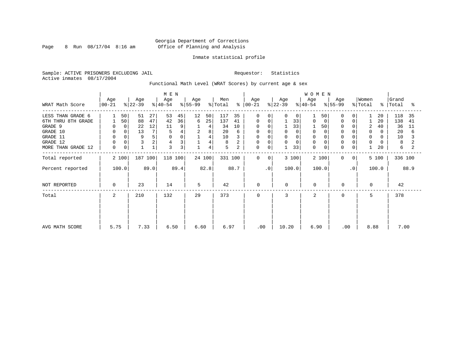Page 8 Run  $08/17/04$  8:16 am

#### Inmate statistical profile

Sample: ACTIVE PRISONERS EXCLUDING JAIL Requestor: Statistics Active inmates 08/17/2004

Functional Math Level (WRAT Scores) by current age & sex

|                    | Age       | Age       | M E N<br>Age        | Age       | Men                 | Age                         | Age           | WOMEN<br>Age     | Age                     | Women                    | Grand      |
|--------------------|-----------|-----------|---------------------|-----------|---------------------|-----------------------------|---------------|------------------|-------------------------|--------------------------|------------|
| WRAT Math Score    | $00 - 21$ | $ 22-39 $ | $ 40-54 $           | $ 55-99 $ | % Total<br>န္       | $ 00-21 $                   | $ 22-39 $     | $8 40-54$        | $\frac{1}{6}$ 55-99     | % Total<br>$\frac{8}{6}$ | Total<br>ႜ |
| LESS THAN GRADE 6  | 50        | 51        | 53<br>45<br>27      | 12<br>50  | 117<br>35           | 0<br>$\Omega$               | 0<br>0        | 50               | O                       | 20                       | 118<br>35  |
| 6TH THRU 8TH GRADE | 50        | 88        | 47<br>36<br>42      | 25<br>6   | 137<br>41           | 0<br>$\mathbf 0$            | 33            | 0<br>0           |                         | 20                       | 138<br>41  |
| GRADE 9            |           | 0<br>22   | 12<br>11<br>9       | 4         | 34<br>10            | 0                           | 33            | 50               |                         | $\overline{2}$<br>40     | 36<br>11   |
| GRADE 10           | $\Omega$  | 13<br>0   | 7 <sub>1</sub><br>5 | 2<br>8    | 20<br>6             | 0                           | $\Omega$      | 0                |                         | 0<br>0                   | 20<br>6    |
| GRADE 11           |           | 9         | 5<br>$\Omega$       | 4         | 10                  | $\Omega$                    | $\Omega$      | $\Omega$         |                         | $\Omega$                 | 10         |
| GRADE 12           |           |           | 2<br>3<br>4         | 4         | 8                   | 0<br>$\Omega$               | 0<br>$\Omega$ | $\Omega$         |                         | $\mathbf 0$              | 8          |
| MORE THAN GRADE 12 | 0         | 0         | 3<br>3              | 4         | 5<br>$\overline{a}$ | 0<br>0                      | 33            | $\mathbf 0$<br>0 | $\Omega$<br>$\mathbf 0$ | 20                       | 6          |
| Total reported     | 2 100     | 187 100   | 118 100             | 24 100    | 331 100             | $\mathbf 0$<br>$\mathbf{0}$ | 3 100         | 2 100            | $\mathbf 0$<br>0        | 5 100                    | 336 100    |
| Percent reported   | 100.0     | 89.0      | 89.4                | 82.8      | 88.7                | $\cdot$ 0                   | 100.0         | 100.0            | $\cdot$ 0               | 100.0                    | 88.9       |
| NOT REPORTED       | $\Omega$  | 23        | 14                  | 5         | 42                  | 0                           | $\Omega$      | $\mathbf 0$      | 0                       | 0                        | 42         |
| Total              | 2         | 210       | 132                 | 29        | 373                 | $\mathbf 0$                 | 3             | $\overline{2}$   | 0                       | 5                        | 378        |
|                    |           |           |                     |           |                     |                             |               |                  |                         |                          |            |
|                    |           |           |                     |           |                     |                             |               |                  |                         |                          |            |
| AVG MATH SCORE     | 5.75      | 7.33      | 6.50                | 6.60      | 6.97                | .00                         | 10.20         | 6.90             | .00                     | 8.88                     | 7.00       |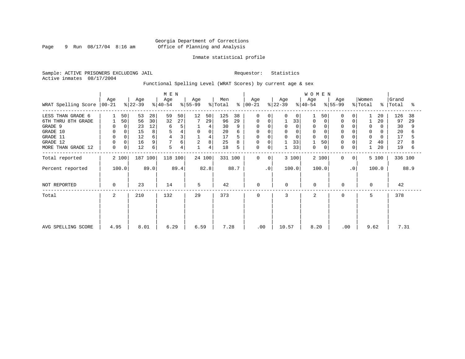Page 9 Run  $08/17/04$  8:16 am

#### Inmate statistical profile

Sample: ACTIVE PRISONERS EXCLUDING JAIL Requestor: Statistics Active inmates 08/17/2004

Functional Spelling Level (WRAT Scores) by current age & sex

|                             |             |          |                  |      | M E N            |      |                  |        |                |      |                 |           |                  |             | WOMEN            |       |                  |                |                  |             |                |      |
|-----------------------------|-------------|----------|------------------|------|------------------|------|------------------|--------|----------------|------|-----------------|-----------|------------------|-------------|------------------|-------|------------------|----------------|------------------|-------------|----------------|------|
| WRAT Spelling Score   00-21 | Age         |          | Age<br>$ 22-39 $ |      | Age<br>$8 40-54$ |      | Age<br>$ 55-99 $ |        | Men<br>% Total | ႜ    | Age<br>$ 00-21$ |           | Age<br>$ 22-39 $ |             | Age<br>$ 40-54 $ |       | Age<br>$ 55-99 $ |                | Women<br>% Total | $\approx$ 1 | Grand<br>Total | ႜ    |
| LESS THAN GRADE 6           |             | 50       | 53               | 28   | 59               | 50   | 12               | 50     | 125            | 38   | 0               | $\Omega$  | 0                | $\mathbf 0$ |                  | 50    | 0                | 0              |                  | 20          | 126            | 38   |
| 6TH THRU 8TH GRADE          |             | 50       | 56               | 30   | 32               | 27   |                  | 29     | 96             | 29   | 0               | 0         |                  | 33          | 0                | 0     | 0                | 0              |                  | 20          | 97             | 29   |
| GRADE 9                     | 0           | $\Omega$ | 23               | 12   | 6                | 5    |                  | 4      | 30             |      | 0               |           | $\Omega$         | $\Omega$    | 0                |       |                  |                | 0                |             | 30             |      |
| GRADE 10                    | 0           | 0        | 15               | 8    | 5                | 4    | 0                | 0      | 20             |      | 0               |           | 0                |             | 0                |       | $\Omega$         |                | 0                | 0           | 20             |      |
| GRADE 11                    | $\mathbf 0$ |          | 12               | б    |                  | 3    |                  | 4      | 17             |      |                 |           | $\Omega$         |             |                  |       |                  |                | $\Omega$         |             | 17             |      |
| GRADE 12                    | $\mathbf 0$ | 0        | 16               | 9    |                  | б.   | $\overline{2}$   | 8      | 25             |      | 0               | $\Omega$  |                  | 33          |                  | 50    | $\Omega$         | $\Omega$       | 2                | 40          | 27             |      |
| MORE THAN GRADE 12          | 0           | 0        | 12               | б    | 5                | 4    |                  | 4      | 18             | 5    | 0               | 0         | $\mathbf{1}$     | 33          | $\mathbf 0$      | 0     | 0                | 0              |                  | 20          | 19             | 6    |
| Total reported              |             | 2 100    | 187 100          |      | 118 100          |      |                  | 24 100 | 331 100        |      | $\mathbf 0$     | 0         |                  | 3 100       |                  | 2 100 | 0                | 0 <sup>1</sup> |                  | 5 100       | 336 100        |      |
| Percent reported            |             | 100.0    |                  | 89.0 |                  | 89.4 |                  | 82.8   |                | 88.7 |                 | $\cdot$ 0 |                  | 100.0       | 100.0            |       |                  | $\cdot$ 0      |                  | 100.0       |                | 88.9 |
| NOT REPORTED                | 0           |          | 23               |      | 14               |      | 5                |        | 42             |      | $\mathbf 0$     |           | $\mathbf 0$      |             | $\Omega$         |       | 0                |                | $\Omega$         |             | 42             |      |
| Total                       | 2           |          | 210              |      | 132              |      | 29               |        | 373            |      | $\mathbf 0$     |           | 3                |             | 2                |       | 0                |                | 5                |             | 378            |      |
|                             |             |          |                  |      |                  |      |                  |        |                |      |                 |           |                  |             |                  |       |                  |                |                  |             |                |      |
|                             |             |          |                  |      |                  |      |                  |        |                |      |                 |           |                  |             |                  |       |                  |                |                  |             |                |      |
| AVG SPELLING SCORE          | 4.95        |          | 8.01             |      | 6.29             |      | 6.59             |        | 7.28           |      | .00             |           | 10.57            |             | 8.20             |       | .00              |                | 9.62             |             | 7.31           |      |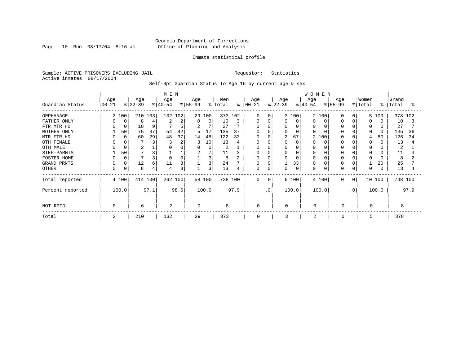Page 10 Run  $08/17/04$  8:16 am

#### Inmate statistical profile

Sample: ACTIVE PRISONERS EXCLUDING JAIL Requestor: Statistics Active inmates 08/17/2004

Self-Rpt Guardian Status To Age 16 by current age & sex

|                    |                  |          |                  |      | M E N            |      |                  |          |                |         |                   |          |                  |             | <b>WOMEN</b>     |       |                              |           |                  |        |                |         |
|--------------------|------------------|----------|------------------|------|------------------|------|------------------|----------|----------------|---------|-------------------|----------|------------------|-------------|------------------|-------|------------------------------|-----------|------------------|--------|----------------|---------|
| Guardian Status    | Age<br>$00 - 21$ |          | Age<br>$ 22-39 $ |      | Age<br>$ 40-54 $ |      | Age<br>$ 55-99 $ |          | Men<br>% Total | ៖       | Age<br>$ 00 - 21$ |          | Age<br>$ 22-39 $ |             | Age<br>$ 40-54 $ |       | Age<br>$\frac{1}{6}$   55-99 |           | Women<br>% Total | န္     | Grand<br>Total | °       |
| ORPHANAGE          |                  | 2 100    | 210 103          |      | 132 102          |      |                  | 29 100   |                | 373 102 | $\Omega$          | 0        |                  | 3 100       | $\overline{2}$   | 100   | O                            | $\Omega$  |                  | 5 100  |                | 378 102 |
| FATHER ONLY        | 0                | 0        | 8                |      |                  | 2    | $\Omega$         | $\Omega$ | 10             | 3       | U                 | C        |                  | $\Omega$    | O                |       |                              |           | <sup>0</sup>     |        | 10             |         |
| FTR MTR HD         | 0                | 0        | 18               | 9    |                  | 5    | 2                | 7        | 27             |         | U                 |          |                  |             | <sup>0</sup>     |       |                              |           |                  |        | 27             |         |
| MOTHER ONLY        |                  | 50       | 75               | 37   | 54               | 42   | 5                | 17       | 135            | 37      | U                 |          |                  |             | $\cap$           |       |                              |           | $\Omega$         |        | 135            | 36      |
| MTR FTR HD         | $\Omega$         | $\Omega$ | 60               | 29   | 48               | 37   | 14               | 48       | 122            | 33      | $\Omega$          |          | 2                | 67          | 2                | 100   |                              |           | 4                | 80     | 126            | 34      |
| OTH FEMALE         | 0                |          |                  | 3    |                  | 2    |                  | 10       | 13             |         | 0                 |          |                  |             |                  |       |                              |           | 0                |        | 13             |         |
| OTH MALE           |                  |          | $\overline{2}$   |      |                  |      | $\Omega$         | 0        | 2              |         | U                 |          |                  |             | 0                |       |                              |           | 0                |        | 2              |         |
| STEP-PARNTS        |                  | 50       |                  |      |                  |      |                  | 7        | 11             |         | $\Omega$          |          |                  |             | 0                |       |                              |           | $\Omega$         |        | 11             |         |
| <b>FOSTER HOME</b> |                  |          |                  | 3    | $\Omega$         |      |                  | 3        | 8              |         | 0                 |          |                  |             | $\Omega$         |       |                              |           | $\Omega$         |        | 8              |         |
| GRAND PRNTS        | 0                |          | 12               | 6    | 11               | 8    |                  | 3        | 24             |         | 0                 |          |                  | 33          | 0                |       |                              |           |                  | 20     | 25             |         |
| OTHER              | 0                |          | 8                | 4    | 4                | 3    |                  | 3        | 13             |         | 0                 | 0        |                  | $\mathbf 0$ | 0                |       | O                            |           | $\Omega$         |        | 13             |         |
| Total reported     |                  | 4 100    | 414 100          |      | 262 100          |      |                  | 58 100   | 738 100        |         | 0                 | $\Omega$ |                  | 6 100       |                  | 4 100 | $\Omega$                     | 0         |                  | 10 100 |                | 748 100 |
| Percent reported   |                  | 100.0    |                  | 97.1 |                  | 98.5 |                  | 100.0    |                | 97.9    |                   | . 0      |                  | 100.0       |                  | 100.0 |                              | $\cdot$ 0 |                  | 100.0  |                | 97.9    |
| NOT RPTD           | 0                |          | 6                |      | 2                |      |                  |          | 8              |         | 0                 |          | $\Omega$         |             | 0                |       | $\Omega$                     |           | $\Omega$         |        |                |         |
| Total              | 2                |          | 210              |      | 132              |      | 29               |          | 373            |         | 0                 |          | 3                |             | 2                |       | $\mathbf 0$                  |           | 5                |        | 378            |         |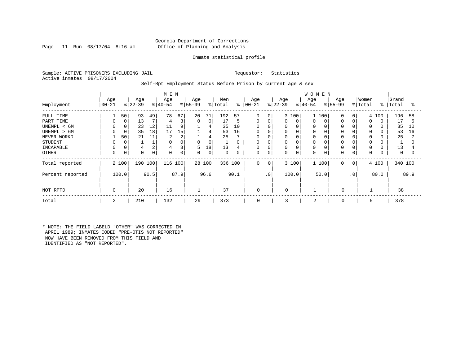#### Georgia Department of Corrections Page 11 Run 08/17/04 8:16 am Office of Planning and Analysis

#### Inmate statistical profile

Sample: ACTIVE PRISONERS EXCLUDING JAIL Requestor: Statistics Active inmates 08/17/2004

#### Self-Rpt Employment Status Before Prison by current age & sex

| Employment                                                                            | Age<br>$ 00 - 21$ |                    | Age<br>$ 22-39$            |                      | M E N<br>Age<br>$ 40-54 $            |                              | Age<br>$8 55-99$ |                             | Men<br>% Total              |                          | Age<br>$8   00 - 21$                                     |                      | Age<br>$ 22-39 $      |                             | <b>WOMEN</b><br>Age<br>$ 40-54$ |               | Age<br>$8 55-99$     |                      | Women<br>% Total               | ိ                 | Grand<br>Total              | °                   |
|---------------------------------------------------------------------------------------|-------------------|--------------------|----------------------------|----------------------|--------------------------------------|------------------------------|------------------|-----------------------------|-----------------------------|--------------------------|----------------------------------------------------------|----------------------|-----------------------|-----------------------------|---------------------------------|---------------|----------------------|----------------------|--------------------------------|-------------------|-----------------------------|---------------------|
| FULL TIME<br>PART TIME<br>UNEMPL < 6M<br>UNEMPL > 6M<br>NEVER WORKD<br><b>STUDENT</b> | 0                 | 50<br>0<br>50<br>0 | 93<br>13<br>23<br>35<br>21 | 49<br>12<br>18<br>11 | 78<br>4<br>11<br>17<br>2<br>$\Omega$ | 67<br>3<br>9<br>15<br>2<br>0 | 20<br>0          | 71<br>0<br>4<br>4<br>4<br>0 | 192<br>17<br>35<br>53<br>25 | 57<br>5<br>10<br>16<br>0 | 0<br>0<br>$\mathbf 0$<br>$\mathbf 0$<br>$\mathbf 0$<br>0 | $\mathbf{0}$<br>0    | 0<br>0<br>0<br>0<br>0 | 3 100<br>0<br>$\Omega$<br>0 | 0<br>0<br>0<br>0<br>0           | 100<br>0      | $\Omega$<br>$\Omega$ | $\Omega$<br>$\Omega$ | $\Omega$<br>0<br>$\Omega$<br>0 | 4 100<br>$\Omega$ | 196<br>17<br>35<br>53<br>25 | 58<br>5<br>10<br>16 |
| INCAPABLE<br>OTHER                                                                    | 0                 | 0                  | $\Omega$                   |                      | 4<br>0                               | 3<br>0                       | 5<br>0           | 18<br>0                     | 1<br>13<br>0                | 4<br>0                   | $\mathbf 0$<br>0                                         | 0                    | 0<br>0                | $\Omega$<br>$\mathbf 0$     | 0<br>0                          |               | $\Omega$<br>$\Omega$ | 0                    | $\Omega$<br>0                  |                   | 13<br>0                     | 0                   |
| Total reported<br>Percent reported                                                    |                   | 2 100<br>100.0     | 190                        | 100<br>90.5          | 116 100                              | 87.9                         |                  | 28 100<br>96.6              | 336 100                     | 90.1                     | 0                                                        | 0<br>.0 <sup>1</sup> |                       | 3 100<br>100.0              |                                 | 1 100<br>50.0 | $\Omega$             | 0<br>$\cdot$ 0       |                                | 4 100<br>80.0     | 340 100                     | 89.9                |
| NOT RPTD                                                                              | 0                 |                    | 20                         |                      | 16                                   |                              | $\mathbf{1}$     |                             | 37                          |                          | $\mathbf 0$                                              |                      | $\mathbf 0$           |                             |                                 |               | $\mathbf 0$          |                      |                                |                   | 38                          |                     |
| Total                                                                                 | 2                 |                    | 210                        |                      | 132                                  |                              | 29               |                             | 373                         |                          | 0                                                        |                      | 3                     |                             | $\overline{2}$                  |               | 0                    |                      | 5                              |                   | 378                         |                     |

\* NOTE: THE FIELD LABELD "OTHER" WAS CORRECTED IN APRIL 1989; INMATES CODED "PRE-OTIS NOT REPORTED" NOW HAVE BEEN REMOVED FROM THIS FIELD AND IDENTIFIED AS "NOT REPORTED".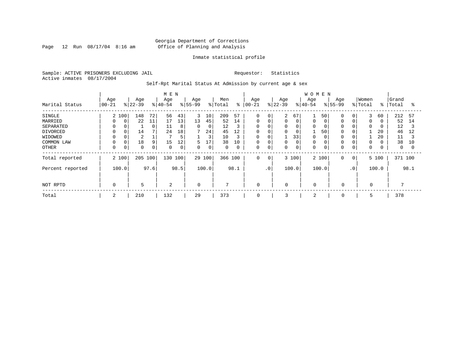Page 12 Run  $08/17/04$  8:16 am

#### Inmate statistical profile

Sample: ACTIVE PRISONERS EXCLUDING JAIL Requestor: Statistics Active inmates 08/17/2004

Self-Rpt Marital Status At Admission by current age & sex

|                                                       |                             |        |                      |                      | M E N                |                          |                             |                          |                             |                          |                                           |                  |                  |                         | <b>WOMEN</b>     |               |                    |                |                       |                |                             |                     |
|-------------------------------------------------------|-----------------------------|--------|----------------------|----------------------|----------------------|--------------------------|-----------------------------|--------------------------|-----------------------------|--------------------------|-------------------------------------------|------------------|------------------|-------------------------|------------------|---------------|--------------------|----------------|-----------------------|----------------|-----------------------------|---------------------|
| Marital Status                                        | Age<br>$ 00-21 $            |        | Age<br>$8 22-39$     |                      | Age<br>$ 40-54 $     |                          | Age<br>$8 55-99$            |                          | Men<br>% Total              | ៖                        | Age<br>$ 00 - 21$                         |                  | Age<br>$8 22-39$ |                         | Age<br>$ 40-54$  |               | Age<br>$8155 - 99$ |                | Women<br>% Total      | $\frac{8}{6}$  | Grand<br>Total              | °≈                  |
| SINGLE<br>MARRIED<br>SEPARATED<br>DIVORCED<br>WIDOWED | 2 100<br>0<br>$\Omega$<br>0 | 0<br>0 | 148<br>22<br>14<br>2 | 72<br>11<br>$\Omega$ | 56<br>17<br>11<br>24 | 43<br>13<br>8<br>18<br>5 | 3<br>13<br>$\mathbf 0$<br>7 | 10<br>45<br>0<br>24<br>3 | 209<br>52<br>12<br>45<br>10 | 57<br>14<br>3<br>12<br>3 | $\mathbf 0$<br>0<br>$\mathbf 0$<br>0<br>0 | 0<br>0<br>0<br>0 | 2<br>0<br>0<br>0 | 67<br>0<br>0<br>0<br>33 | 0<br>0<br>ᅩ<br>0 | 50<br>0<br>50 |                    | 0<br>0<br>0    | 3<br>0<br>$\mathbf 0$ | 60<br>20<br>20 | 212<br>52<br>12<br>46<br>11 | 57<br>14<br>3<br>12 |
| COMMON LAW<br><b>OTHER</b>                            | 0                           | 0<br>0 | 18<br>0              | 9<br>0               | 15<br>0              | 12<br>0                  | 5<br>0                      | 17<br>0                  | 38<br>$\mathbf 0$           | 10<br>0                  | $\mathbf 0$<br>0                          | O<br>0           | 0                | $\mathbf 0$<br>0        | $\mathbf 0$<br>0 |               | 0                  | 0              | $\mathbf 0$<br>0      |                | 38<br>$\mathbf{0}$          | 10                  |
| Total reported                                        | 2 100                       |        | 205                  | 100                  | 130                  | 100                      |                             | 29 100                   | 366 100                     |                          | $\mathbf 0$                               | 0                |                  | 3 100                   |                  | 2 100         | 0                  | 0 <sup>1</sup> |                       | 5 100          | 371 100                     |                     |
| Percent reported                                      | 100.0                       |        |                      | 97.6                 |                      | 98.5                     |                             | 100.0                    |                             | 98.1                     |                                           | .0 <sup>1</sup>  |                  | 100.0                   |                  | 100.0         |                    | $\cdot$ 0      |                       | 100.0          |                             | 98.1                |
| NOT RPTD                                              | 0                           |        | 5                    |                      | 2                    |                          | $\mathbf 0$                 |                          | 7                           |                          | $\mathbf 0$                               |                  | $\mathbf 0$      |                         | $\mathbf 0$      |               | $\mathbf 0$        |                | $\mathbf 0$           |                |                             |                     |
| Total                                                 | 2                           |        | 210                  |                      | 132                  |                          | 29                          |                          | 373                         |                          | 0                                         |                  | 3                |                         | 2                |               | 0                  |                | 5                     |                | 378                         |                     |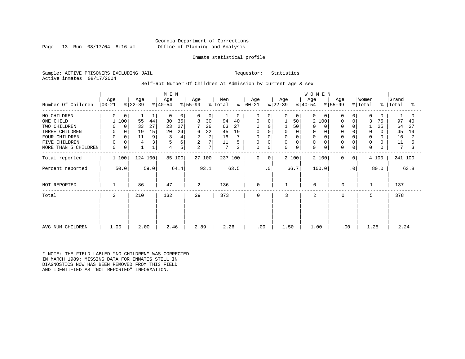#### Georgia Department of Corrections Page 13 Run 08/17/04 8:16 am Office of Planning and Analysis

#### Inmate statistical profile

Sample: ACTIVE PRISONERS EXCLUDING JAIL Requestor: Statistics Active inmates 08/17/2004

#### Self-Rpt Number Of Children At Admission by current age & sex

|                      |                     |                  | M E N            |                              |                                             |                      |                     | <b>WOMEN</b>               |                            |                                 |                     |
|----------------------|---------------------|------------------|------------------|------------------------------|---------------------------------------------|----------------------|---------------------|----------------------------|----------------------------|---------------------------------|---------------------|
| Number Of Children   | Age<br>$ 00-21 $    | Age<br>$ 22-39 $ | Age<br>$ 40-54 $ | Age<br>$ 55-99 $             | Men<br>$\frac{1}{2}$ Total<br>$\frac{6}{6}$ | Age<br>$ 00 - 21 $   | Age<br>$ 22-39 $    | Age<br>$ 40-54 $           | Age<br>$ 55-99 $           | Women<br>% Total<br>$\approx$ 1 | Grand<br>Total<br>° |
|                      |                     |                  |                  |                              |                                             |                      |                     |                            |                            |                                 |                     |
| NO CHILDREN          | $\Omega$<br>0       | 1                | 0<br>0           | 0<br>$\Omega$                | $\Omega$                                    | $\Omega$<br>$\Omega$ | $\overline{0}$<br>0 | $\Omega$<br>$\Omega$       | $\Omega$<br>0              | $\Omega$<br>$\Omega$            |                     |
| ONE CHILD            | 1 100               | 55<br>44         | 30<br>35         | 30<br>8                      | 94<br>40                                    | 0<br>$\Omega$        | 50                  | 100<br>2                   | $\Omega$<br>$\Omega$       | 3<br>75                         | 97<br>40            |
| TWO CHILDREN         | 0<br>0              | 33<br>27         | 27<br>23         | 26                           | 63<br>27                                    | $\Omega$             | 50                  | $\Omega$                   |                            | 25                              | 64<br>27            |
| THREE CHILDREN       | $\overline{0}$<br>0 | 19<br>15         | 24<br>20         | 22<br>6                      | 45<br>19                                    | 0<br>0               | $\Omega$<br>0       | $\mathbf 0$                | $\mathbf 0$<br>$\Omega$    | $\mathbf 0$<br>$\Omega$         | 45<br>19            |
| FOUR CHILDREN        | $\mathbf 0$         | 9<br>11          | 4                | 7<br>2                       | 16                                          | $\Omega$             | 0                   | $\mathbf 0$                |                            | 0<br>0                          | 16                  |
| FIVE CHILDREN        | $\mathbf 0$         | 3<br>4           | 6                | $\overline{\mathbf{c}}$<br>7 | 11                                          | 0<br>$\Omega$        | 0<br>0              | $\mathbf 0$                |                            | $\mathbf 0$                     | 11                  |
| MORE THAN 5 CHILDREN | $\mathsf 0$<br>0    | $1\,$            | 5<br>4           | 7<br>2                       | $7\phantom{.0}$<br>3                        | 0<br>$\mathbf 0$     | $\mathbf 0$<br>0    | $\mathbf 0$<br>$\mathbf 0$ | $\mathbf 0$<br>$\mathbf 0$ | $\mathbf 0$<br>0                | 7                   |
| Total reported       | 1 100               | 124 100          | 85 100           | 27 100                       | 237 100                                     | 0<br>0               | 2 100               | 2 100                      | $\mathbf 0$<br>0           | 4 100                           | 241 100             |
| Percent reported     | 50.0                | 59.0             | 64.4             | 93.1                         | 63.5                                        | . 0                  | 66.7                | 100.0                      | $\cdot$ 0                  | 80.0                            | 63.8                |
| NOT REPORTED         |                     | 86               | 47               | 2                            | 136                                         | 0                    |                     | $\mathbf 0$                | 0                          | 1                               | 137                 |
| Total                | 2                   | 210              | 132              | 29                           | 373                                         | 0                    | 3                   | 2                          | $\mathbf 0$                | 5                               | 378                 |
|                      |                     |                  |                  |                              |                                             |                      |                     |                            |                            |                                 |                     |
|                      |                     |                  |                  |                              |                                             |                      |                     |                            |                            |                                 |                     |
| AVG NUM CHILDREN     | 1.00                | 2.00             | 2.46             | 2.89                         | 2.26                                        | .00                  | 1.50                | 1.00                       | .00                        | 1.25                            | 2.24                |

\* NOTE: THE FIELD LABLED "NO CHILDREN" WAS CORRECTED IN MARCH 1989: MISSING DATA FOR INMATES STILL IN DIAGNOSTICS NOW HAS BEEN REMOVED FROM THIS FIELD AND IDENTIFIED AS "NOT REPORTED" INFORMATION.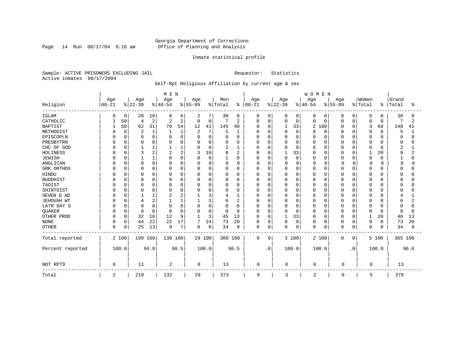Page 14 Run  $08/17/04$  8:16 am

#### Inmate statistical profile

Sample: ACTIVE PRISONERS EXCLUDING JAIL Requestor: Statistics Active inmates 08/17/2004

### Self-Rpt Religious Affiliation by current age & sex

|                  |           |             |                |          | M E N     |              |                |          |              |                |            |             |          |             | WOMEN    |             |           |             |          |          |              |      |
|------------------|-----------|-------------|----------------|----------|-----------|--------------|----------------|----------|--------------|----------------|------------|-------------|----------|-------------|----------|-------------|-----------|-------------|----------|----------|--------------|------|
|                  | Age       |             | Age            |          | Age       |              | Age            |          | Men          |                | Age        |             | Age      |             | Age      |             | Age       |             | Women    |          | Grand        |      |
| Religion         | $00 - 21$ |             | $ 22-39$       |          | $ 40-54 $ |              | $8 55-99$      |          | % Total      | $\frac{1}{6}$  | $ 00 - 21$ |             | $ 22-39$ |             | $ 40-54$ |             | $8 55-99$ |             | % Total  | ႜ        | Total        | ႜ    |
| <b>ISLAM</b>     | O         | 0           | 20             | 10       | 8         | 6            | 2              | 7        | 30           | 8              | 0          | 0           | 0        | 0           | 0        | 0           | 0         | 0           | 0        | 0        | 30           | 8    |
| CATHOLIC         |           | 50          | 4              | 2        | 2         | 2            | $\Omega$       | 0        | 7            | $\overline{2}$ | 0          | $\mathbf 0$ | 0        | $\Omega$    | 0        | 0           | 0         | $\Omega$    | 0        | 0        | 7            |      |
| <b>BAPTIST</b>   |           | 50          | 62             | 31       | 70        | 54           | 12             | 41       | 145          | 40             | U          | $\Omega$    |          | 33          | 2        | 100         | 0         | $\Omega$    | 3        | 60       | 148          | 41   |
| METHODIST        |           | $\mathbf 0$ | $\overline{2}$ | 1        |           | $\mathbf{1}$ | $\overline{a}$ | 7        | 5            | 1              |            | $\mathbf 0$ | $\Omega$ | $\Omega$    | O        | 0           | O         | $\Omega$    | 0        | 0        | 5            |      |
| EPISCOPLN        |           | $\Omega$    | $\Omega$       | $\Omega$ |           | $\Omega$     | $\Omega$       | 0        |              | $\Omega$       |            | $\Omega$    |          | $\Omega$    |          | 0           | Ω         | $\Omega$    | 0        | 0        | $\Omega$     |      |
| PRESBYTRN        |           | $\Omega$    | 0              | 0        |           | $\Omega$     | $\Omega$       | 0        | 0            | $\Omega$       |            | $\Omega$    | 0        | $\Omega$    | 0        | 0           | $\Omega$  | $\Omega$    | 0        | 0        | 0            |      |
| CHC OF GOD       |           | $\Omega$    |                |          |           |              | O              | 0        | 2            | 1              |            | $\Omega$    | O        | $\Omega$    | O        | $\Omega$    | 0         | $\Omega$    | O        | $\Omega$ | 2            |      |
| HOLINESS         |           | $\Omega$    | 3              | 2        |           | 2            | 3              | 10       | 8            | $\overline{a}$ | U          | $\Omega$    |          | 33          | U        | 0           | 0         | $\Omega$    |          | 20       | 9            |      |
| <b>JEWISH</b>    |           | $\Omega$    |                |          | O         | $\Omega$     | $\Omega$       | 0        | $\mathbf{1}$ | 0              | U          | $\Omega$    | $\Omega$ | $\mathbf 0$ | O        | 0           | O         | $\Omega$    | 0        | $\Omega$ |              | O    |
| ANGLICAN         |           | $\Omega$    | $\Omega$       | 0        |           | O            | $\Omega$       | 0        | 0            | 0              | 0          | $\Omega$    | Ω        | 0           |          | 0           | 0         | U           | $\Omega$ | O        | 0            |      |
| GRK ORTHDX       |           | $\Omega$    | $\Omega$       | 0        | U         | $\Omega$     | $\Omega$       | 0        | $\Omega$     | $\Omega$       | $\Omega$   | $\Omega$    | U        | $\Omega$    | O        | 0           | 0         | $\Omega$    | 0        | $\Omega$ | $\Omega$     |      |
| HINDU            |           | O           | C              | 0        |           | $\Omega$     | 0              | 0        | 0            | $\Omega$       |            | $\Omega$    |          | $\Omega$    | Λ        | 0           | Ω         | $\Omega$    | 0        | O        |              |      |
| <b>BUDDHIST</b>  |           |             | $\Omega$       | $\Omega$ |           | $\Omega$     |                | $\Omega$ | 0            | 0              |            | $\Omega$    |          | $\Omega$    |          | $\mathbf 0$ | 0         | $\Omega$    | U        | O        |              |      |
| TAOIST           |           | $\Omega$    | $\Omega$       | 0        | O         | $\Omega$     | O              | 0        | 0            | 0              |            | $\Omega$    | U        | $\Omega$    | O        | $\Omega$    | O         | $\Omega$    | U        | O        | O            |      |
| SHINTOIST        |           | $\cap$      | $\Omega$       | U        | O         | $\cap$       | $\cap$         | 0        | O            | $\Omega$       | U          | $\Omega$    | $\Omega$ | $\cap$      | O        | $\Omega$    | $\Omega$  | $\Omega$    | O        | $\Omega$ | n            |      |
| SEVEN D AD       |           | O           |                |          |           | 2            |                | 3        |              |                | U          | $\Omega$    | 0        | $\Omega$    | O        | 0           | O         | $\Omega$    | 0        | O        |              |      |
| JEHOVAH WT       |           |             | 4              | 2        |           |              |                | 3        | 6            | $\overline{a}$ |            | $\Omega$    |          | $\Omega$    | 0        | 0           | Ω         | $\Omega$    | $\Omega$ | O        | 6            |      |
| LATR DAY S       |           |             | 0              | $\Omega$ | n         | $\Omega$     | $\Omega$       | $\Omega$ | 0            | 0              | U          | $\Omega$    | 0        | $\Omega$    | O        | 0           | 0         | $\Omega$    | 0        | O        | <sup>0</sup> | U    |
| <b>OUAKER</b>    |           | $\Omega$    | $\Omega$       | $\Omega$ | $\Omega$  | $\Omega$     | $\Omega$       | 0        | $\Omega$     | $\Omega$       | $\Omega$   | $\Omega$    | $\Omega$ | $\Omega$    | O        | 0           | 0         | $\Omega$    | $\Omega$ | $\Omega$ | $\Omega$     | n    |
| OTHER PROD       |           | $\mathbf 0$ | 32             | 16       | 12        | 9            | 1              | 3        | 45           | 13             | O          | $\Omega$    |          | 33          | Ω        | $\mathbf 0$ | O         | 0           | 1        | 20       | 46           | 13   |
| <b>NONE</b>      |           | $\Omega$    | 44             | 22       | 22        | 17           |                | 24       | 73           | 20             |            | 0           | 0        | $\mathbf 0$ | 0        | $\mathbf 0$ | 0         | $\Omega$    | 0        | 0        | 73           | 20   |
| <b>OTHER</b>     | $\Omega$  | $\Omega$    | 25             | 13       | 9         | 7            | $\Omega$       | 0        | 34           | 9              | $\Omega$   | $\mathbf 0$ | 0        | $\mathbf 0$ | $\Omega$ | $\mathbf 0$ | $\Omega$  | $\mathbf 0$ | 0        | 0        | 34           | 9    |
| Total reported   |           | 2 100       | 199 100        |          | 130 100   |              |                | 29 100   | 360 100      |                | 0          | 0           |          | 3 100       |          | 2 100       | 0         | 0           |          | 5 100    | 365 100      |      |
| Percent reported |           | 100.0       |                | 94.8     |           | 98.5         |                | 100.0    |              | 96.5           |            | $\cdot$ 0   |          | 100.0       |          | 100.0       |           | $\cdot$ 0   |          | 100.0    |              | 96.6 |
| NOT RPTD         | 0         |             | 11             |          | 2         |              | 0              |          | 13           |                | 0          |             | 0        |             | 0        |             | 0         |             | $\Omega$ |          | 13           |      |
| Total            | 2         |             | 210            |          | 132       |              | 29             |          | 373          |                | 0          |             | 3        |             | 2        |             | 0         |             | 5        |          | 378          |      |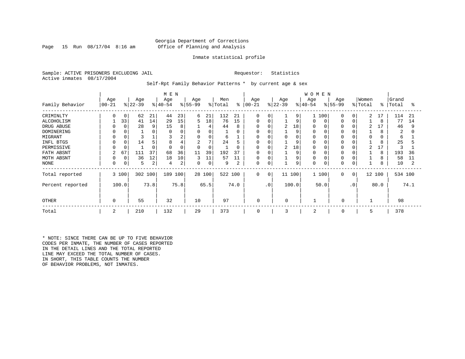#### Georgia Department of Corrections Page 15 Run 08/17/04 8:16 am Office of Planning and Analysis

#### Inmate statistical profile

Sample: ACTIVE PRISONERS EXCLUDING JAIL **Requestor:** Statistics Active inmates 08/17/2004

Self-Rpt Family Behavior Patterns \* by current age & sex

|                  |                |             |           |      | M E N     |          |                |        |         |          |             |            |           |          | <b>WOMEN</b> |       |           |           |          |           |         |      |
|------------------|----------------|-------------|-----------|------|-----------|----------|----------------|--------|---------|----------|-------------|------------|-----------|----------|--------------|-------|-----------|-----------|----------|-----------|---------|------|
|                  | Age            |             | Age       |      | Age       |          | Age            |        | Men     |          | Age         |            | Age       |          | Age          |       | Age       |           | Women    |           | Grand   |      |
| Family Behavior  | $00 - 21$      |             | $ 22-39 $ |      | $ 40-54 $ |          | $ 55-99$       |        | % Total | န္       | $ 00-21$    |            | $ 22-39 $ |          | $ 40-54 $    |       | $8 55-99$ |           | % Total  | $\approx$ | Total   | °    |
| CRIMINLTY        |                | 0           | 62        | 21   | 44        | 23       | 6              | 21     | 112     | 21       | $\Omega$    | $\Omega$   |           | 9        |              | 100   | $\Omega$  | $\Omega$  | 2        | 17        | 114     | 21   |
| ALCOHOLISM       |                | 33          | 41        | 14   | 29        | 15       | 5              | 18     | 76      | 15       | $\Omega$    | $\Omega$   |           | 9        | $\Omega$     | 0     |           |           |          | 8         | 77      | 14   |
| DRUG ABUSE       |                | $\Omega$    | 28        | 9    | 15        | 8        |                | 4      | 44      | 8        |             |            | 2         | 18       | <sup>0</sup> |       |           |           | 2        |           | 46      | 9    |
| DOMINERING       |                |             |           |      |           |          | 0              |        |         | $\Omega$ | n           |            |           | 9        | $\Omega$     |       |           |           |          | 8         | 2       |      |
| MIGRANT          |                |             |           |      |           | 2        | 0              | 0      | 6       |          | $\Omega$    |            |           | $\Omega$ | 0            |       |           |           | $\Omega$ | 0         | 6       |      |
| INFL BTGS        |                |             | 14        |      | 8         |          | $\overline{2}$ | 7      | 24      | 5        | 0           |            |           | 9        | 0            |       |           |           |          | 8         | 25      |      |
| PERMISSIVE       |                |             |           |      | $\Omega$  | $\Omega$ | $\Omega$       |        |         | $\Omega$ | $\Omega$    | $\Omega$   | 2         | 18       | $\Omega$     |       |           |           | 2        |           |         |      |
| FATH ABSNT       | $\overline{c}$ | 67          | 111       | 37   | 68        | 36       | 11             | 39     | 192     | 37       | $\Omega$    | $\sqrt{ }$ |           | 9        | $\Omega$     |       |           |           |          | 8         | 193     | 36   |
| MOTH ABSNT       |                | $\mathbf 0$ | 36        | 12   | 18        | 10       | 3              | 11     | 57      | 11       | 0           | 0          |           | 9        | $\Omega$     |       |           |           |          | 8         | 58      | 11   |
| NONE             |                |             | 5         | 2    | 4         | 2        | 0              | 0      | 9       |          | $\mathbf 0$ |            |           | 9        | 0            |       |           |           |          | 8         | 10      | 2    |
| Total reported   |                | 3 100       | 302 100   |      | 189 100   |          |                | 28 100 | 522 100 |          | $\mathbf 0$ | 0          | 11 100    |          |              | 1 100 | 0         | 0         |          | 12 100    | 534 100 |      |
| Percent reported |                | 100.0       |           | 73.8 |           | 75.8     |                | 65.5   |         | 74.0     |             | $\cdot$ 0  |           | 100.0    |              | 50.0  |           | $\cdot$ 0 |          | 80.0      |         | 74.1 |
| <b>OTHER</b>     | $\Omega$       |             | 55        |      | 32        |          | 10             |        | 97      |          | 0           |            | $\Omega$  |          |              |       | $\Omega$  |           |          |           | 98      |      |
| Total            | 2              |             | 210       |      | 132       |          | 29             |        | 373     |          | 0           |            | 3         |          | 2            |       | 0         |           | 5        |           | 378     |      |

\* NOTE: SINCE THERE CAN BE UP TO FIVE BEHAVIOR CODES PER INMATE, THE NUMBER OF CASES REPORTED IN THE DETAIL LINES AND THE TOTAL REPORTED LINE MAY EXCEED THE TOTAL NUMBER OF CASES. IN SHORT, THIS TABLE COUNTS THE NUMBER OF BEHAVIOR PROBLEMS, NOT INMATES.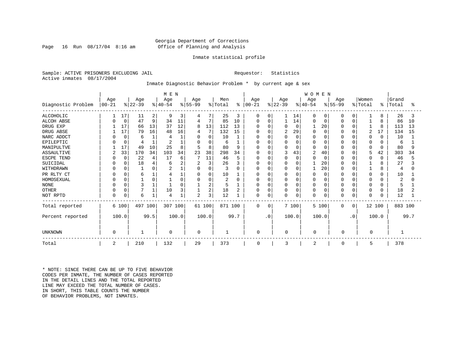#### Georgia Department of Corrections Page 16 Run 08/17/04 8:16 am Office of Planning and Analysis

#### Inmate statistical profile

Sample: ACTIVE PRISONERS EXCLUDING JAIL **Requestor:** Statistics Active inmates 08/17/2004

#### Inmate Diagnostic Behavior Problem \* by current age & sex

|                    | M E N          |             |           |                |           |       |                |          |                |      |               |             |                |             | WOMEN     |             |              |             |          |          |         |      |
|--------------------|----------------|-------------|-----------|----------------|-----------|-------|----------------|----------|----------------|------|---------------|-------------|----------------|-------------|-----------|-------------|--------------|-------------|----------|----------|---------|------|
|                    | Age            |             | Age       |                | Age       |       | Age            |          | Men            |      | Age           |             | Age            |             | Age       |             | Age          |             | Women    |          | Grand   |      |
| Diagnostic Problem | $ 00 - 21$     |             | $ 22-39 $ |                | $ 40-54 $ |       | $ 55-99$       |          | % Total        |      | $8   00 - 21$ |             | $ 22-39 $      |             | $ 40-54 $ |             | $ 55-99 $    |             | % Total  | ႜ        | Total   | °≈   |
| <b>ALCOHOLIC</b>   |                | 17          | 11        | $\overline{2}$ | 9         | 3     | 4              |          | 25             | 3    | 0             | 0           |                | 14          | $\Omega$  | 0           | $\Omega$     | $\Omega$    | 1        | 8        | 26      | 3    |
| <b>ALCOH ABSE</b>  |                | $\mathbf 0$ | 47        | 9              | 34        | 11    | 4              | 7        | 85             | 10   | $\Omega$      | $\mathbf 0$ |                | 14          | $\Omega$  | 0           | $\Omega$     | $\Omega$    |          | 8        | 86      | 10   |
| DRUG EXP           |                | 17          | 66        | 13             | 37        | 12    | 8              | 13       | 112            | 13   | 0             | O           | 0              | 0           |           | 20          | 0            | $\Omega$    |          | 8        | 113     | 13   |
| DRUG ABSE          |                | 17          | 79        | 16             | 48        | 16    | 4              |          | 132            | 15   | O             | O           | $\overline{2}$ | 29          |           | $\Omega$    |              | $\Omega$    | 2        | 17       | 134     | 15   |
| NARC ADDCT         |                | $\Omega$    | 6         |                | 4         |       | $\Omega$       | $\Omega$ | 10             |      | 0             | O           | $\Omega$       | $\Omega$    |           | $\Omega$    |              | $\Omega$    | 0        | $\Omega$ | 10      |      |
| EPILEPTIC          |                | $\Omega$    |           |                | 2         |       | $\Omega$       | $\Omega$ | 6              |      | 0             | O           |                | $\Omega$    |           | $\Omega$    |              | $\Omega$    | 0        | O        | 6       |      |
| MANIPULTVE         |                | 17          | 49        | 10             | 25        | 8     | 5              | 8        | 80             | 9    | O             | O           |                | $\Omega$    |           | $\Omega$    |              | $\Omega$    | 0        | $\Omega$ | 80      |      |
| ASSAULTIVE         | $\overline{c}$ | 33          | 170       | 34             | 103       | 34    | 23             | 38       | 298            | 34   | $\Omega$      | $\Omega$    |                | 43          | 2         | 40          | $\Omega$     | $\Omega$    | 5        | 42       | 303     | 34   |
| ESCPE TEND         |                | $\Omega$    | 22        |                | 17        | 6     |                | 11       | 46             | 5    | 0             | 0           |                | 0           |           | $\Omega$    | 0            | $\Omega$    | 0        | $\Omega$ | 46      |      |
| SUICIDAL           |                |             | 18        |                | 6         |       | $\overline{2}$ | 3        | 26             | ς    | O             | O           |                | $\mathbf 0$ |           | 20          |              |             |          | 8        | 27      |      |
| WITHDRAWN          |                |             |           |                |           |       | $\Omega$       | $\Omega$ | 3              | U    | 0             | U           |                | $\Omega$    |           | 20          |              | $\cap$      |          | 8        | 4       |      |
| PR RLTY CT         |                |             | 6         |                |           |       | $\Omega$       | 0        | 10             |      | 0             | 0           |                | 0           |           | 0           | <sup>0</sup> | $\Omega$    | 0        | 0        | 10      |      |
| HOMOSEXUAL         |                | $\Omega$    |           |                |           |       | $\Omega$       | $\Omega$ | $\overline{c}$ | O    | <sup>0</sup>  | 0           |                | $\Omega$    |           | $\Omega$    | $\Omega$     | $\cap$      | $\Omega$ | $\cap$   |         |      |
| <b>NONE</b>        |                |             | 3         |                |           |       |                | 2        | 5              |      | 0             | 0           |                | $\Omega$    |           | $\Omega$    | $\Omega$     | $\Omega$    | $\Omega$ | O        | 5       |      |
| <b>OTHER</b>       |                | $\Omega$    |           |                | 10        |       |                | 2        | 18             | 2    | 0             | 0           | 0              | 0           |           | $\mathbf 0$ | <sup>0</sup> | $\Omega$    | 0        | $\Omega$ | 18      |      |
| NOT RPTD           | $\Omega$       | $\Omega$    | 6         |                | 4         |       | $\overline{c}$ | 3        | 12             |      | $\Omega$      | 0           |                | $\mathbf 0$ | $\Omega$  | $\Omega$    |              | $\Omega$    | $\Omega$ |          | 12      |      |
| Total reported     |                | 6 100       | 497 100   |                | 307 100   |       | 61 100         |          | 871 100        |      | 0             | 0           |                | 7 100       |           | 5 100       | $\Omega$     | $\mathbf 0$ | 12 100   |          | 883 100 |      |
| Percent reported   |                | 100.0       |           | 99.5           |           | 100.0 |                | 100.0    |                | 99.7 |               | $\cdot$ 0   |                | 100.0       |           | 100.0       |              | $\cdot$ 0   |          | 100.0    |         | 99.7 |
| <b>UNKNOWN</b>     | $\Omega$       |             |           |                | $\Omega$  |       | $\mathbf 0$    |          |                |      | $\mathbf 0$   |             | 0              |             | $\Omega$  |             | 0            |             | 0        |          |         |      |
| Total              | 2              |             | 210       |                | 132       |       | 29             |          | 373            |      | $\mathbf 0$   |             | 3              |             | 2         |             | 0            |             | 5        |          | 378     |      |

\* NOTE: SINCE THERE CAN BE UP TO FIVE BEHAVIOR CODES PER INMATE, THE NUMBER OF CASES REPORTED IN THE DETAIL LINES AND THE TOTAL REPORTED LINE MAY EXCEED THE TOTAL NUMBER OF CASES. IN SHORT, THIS TABLE COUNTS THE NUMBER OF BEHAVIOR PROBLEMS, NOT INMATES.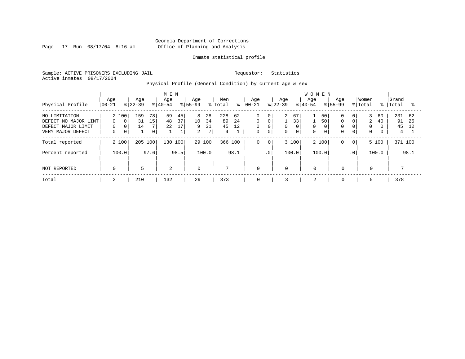Page 17 Run  $08/17/04$  8:16 am

#### Inmate statistical profile

Sample: ACTIVE PRISONERS EXCLUDING JAIL Requestor: Statistics Active inmates 08/17/2004

Physical Profile (General Condition) by current age & sex

|                                                                                  |                                    |                                                 |               | M E N            |                                |                                |                     |                      |                |                                                          |                             |                                 |                                        | <b>WOMEN</b>     |               |                                              |                                                   |                            |          |                      |                |
|----------------------------------------------------------------------------------|------------------------------------|-------------------------------------------------|---------------|------------------|--------------------------------|--------------------------------|---------------------|----------------------|----------------|----------------------------------------------------------|-----------------------------|---------------------------------|----------------------------------------|------------------|---------------|----------------------------------------------|---------------------------------------------------|----------------------------|----------|----------------------|----------------|
| Physical Profile                                                                 | Age<br>$00 - 21$                   | Age<br>$ 22-39 $                                |               | Age<br>$8 40-54$ |                                | Age<br>$8155 - 99$             |                     | Men<br>% Total       | ៖              | Age<br>$ 00-21$                                          |                             | Age<br>$ 22-39 $                |                                        | Age<br>$8 40-54$ |               | Aqe<br>$8155 - 99$                           |                                                   | Women<br>% Total           | ႜႜ       | Grand<br>Total       | °≈             |
| NO LIMITATION<br>DEFECT NO MAJOR LIMT<br>DEFECT MAJOR LIMIT<br>VERY MAJOR DEFECT | 2 100<br>$\Omega$<br>0<br>$\Omega$ | 159<br>31<br>$\Omega$<br>14<br>0<br>$\mathbf 0$ | 78<br>15<br>0 | 59<br>48<br>22   | 45<br>37<br>17<br>$\mathbf{1}$ | 8<br>10<br>9<br>$\overline{2}$ | 28<br>34<br>31<br>7 | 228<br>89<br>45<br>4 | 62<br>24<br>12 | $\mathbf 0$<br>$\mathbf 0$<br>$\mathbf 0$<br>$\mathbf 0$ | 0<br>0<br>0<br>$\mathbf{0}$ | $\overline{a}$<br>0<br>$\Omega$ | 67<br>33<br>$\mathbf 0$<br>$\mathbf 0$ | 0<br>$\Omega$    | 50<br>50<br>0 | $\Omega$<br>$\Omega$<br>$\Omega$<br>$\Omega$ | 0 <sup>1</sup><br>$\Omega$<br>0<br>$\overline{0}$ | 3<br>2<br>0<br>$\mathbf 0$ | 60<br>40 | 231<br>91<br>45<br>4 | 62<br>25<br>12 |
| Total reported                                                                   | 2 100                              | 205                                             | 100           | 130              | 100                            |                                | 29 100              | 366 100              |                | 0                                                        | $\mathbf 0$                 |                                 | 3 100                                  | 2 100            |               | 0                                            | $\mathbf{0}$                                      |                            | 5 100    | 371 100              |                |
| Percent reported                                                                 | 100.0                              |                                                 | 97.6          |                  | 98.5                           |                                | 100.0               |                      | 98.1           |                                                          | .0 <sup>1</sup>             |                                 | 100.0                                  | 100.0            |               |                                              | $\cdot$ 0                                         |                            | 100.0    |                      | 98.1           |
| NOT REPORTED                                                                     | $\mathbf 0$                        | 5                                               |               | 2                |                                | $\overline{0}$                 |                     | $\mathbf{r}$         |                | $\mathbf 0$                                              |                             | $\mathbf 0$                     |                                        | $\mathbf 0$      |               | $\mathbf 0$                                  |                                                   | $\mathbf{0}$               |          |                      |                |
| Total                                                                            | 2                                  | 210                                             |               | 132              |                                | 29                             |                     | 373                  |                | 0                                                        |                             | 3                               |                                        | 2                |               | $\mathbf 0$                                  |                                                   | 5                          |          | 378                  |                |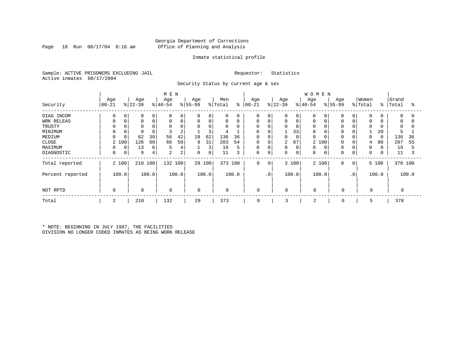#### Georgia Department of Corrections Page 18 Run 08/17/04 8:16 am Office of Planning and Analysis

#### Inmate statistical profile

Sample: ACTIVE PRISONERS EXCLUDING JAIL Requestor: Statistics Active inmates 08/17/2004

Security Status by current age & sex

|                  |                  |             |                  |          | M E N           |       |                 |        |                |       |                   |                 |                  |             | <b>WOMEN</b>     |       |                    |           |                  |          |                |          |
|------------------|------------------|-------------|------------------|----------|-----------------|-------|-----------------|--------|----------------|-------|-------------------|-----------------|------------------|-------------|------------------|-------|--------------------|-----------|------------------|----------|----------------|----------|
| Security         | Age<br>$ 00-21 $ |             | Age<br>$ 22-39 $ |          | Age<br>$ 40-54$ |       | Age<br>$ 55-99$ |        | Men<br>% Total | ႜ     | Age<br>$ 00 - 21$ |                 | Age<br>$ 22-39 $ |             | Age<br>$8 40-54$ |       | Age<br>$8155 - 99$ |           | Women<br>% Total | ႜ        | Grand<br>Total | ႜ        |
| DIAG INCOM       | 0                | 0           |                  | 0        | 0               | 0     | $\Omega$        | 0      | $\mathbf 0$    |       | 0                 |                 | 0                | $\mathbf 0$ | 0                |       | $\Omega$           | $\Omega$  | 0                |          | $\Omega$       | $\Omega$ |
| WRK RELEAS       |                  | $\Omega$    |                  | $\Omega$ | $\Omega$        | 0     |                 | 0      | 0              | 0     | 0                 | 0               | 0                | $\mathbf 0$ | 0                |       | $\Omega$           |           | $\Omega$         |          | 0              | 0        |
| TRUSTY           |                  |             |                  |          |                 |       |                 | 0      | $\mathbf 0$    |       | 0                 |                 | U                | $\Omega$    | $\Omega$         |       |                    |           | $\Omega$         |          | $\Omega$       |          |
| MINIMUM          | 0                |             |                  |          |                 | 2     |                 | 3      |                |       | 0                 |                 |                  | 33          | 0                |       | $\Omega$           |           |                  | 20       |                |          |
| MEDIUM           | 0                |             | 62               | 30       | 56              | 42    | 18              | 62     | 136            | 36    | $\mathbf 0$       |                 | 0                | 0           | $\Omega$         |       | $\Omega$           |           | $\Omega$         | $\Omega$ | 136            | 36       |
| CLOSE            | 2 100            |             | 126              | 60       | 66              | 50    | 9               | 31     | 203            | 54    | 0                 |                 | 2                | 67          | 2                | 100   | $\Omega$           |           | 4                | 80       | 207            | 55       |
| MAXIMUM          | 0                | 0           | 13               | 6        | 5               | 4     |                 | 3      | 19             | 5     | 0                 |                 | 0                | 0           | 0                |       | $\Omega$           | $\Omega$  | $\Omega$         |          | 19             |          |
| DIAGNOSTIC       | 0                | $\mathbf 0$ | 9                | 4        | 2               | 2     | $\mathbf 0$     | 0      | 11             | 3     | 0                 | 0               | 0                | $\mathbf 0$ | 0                | 0     | $\Omega$           | $\Omega$  | $\Omega$         |          | 11             |          |
| Total reported   | 2 100            |             | 210              | 100      | 132 100         |       |                 | 29 100 | 373 100        |       | 0                 | 0               |                  | 3 100       |                  | 2 100 | $\Omega$           | 0         |                  | 5 100    | 378 100        |          |
| Percent reported | 100.0            |             |                  | 100.0    |                 | 100.0 |                 | 100.0  |                | 100.0 |                   | .0 <sup>1</sup> |                  | 100.0       |                  | 100.0 |                    | $\cdot$ 0 |                  | 100.0    |                | 100.0    |
| NOT RPTD         | $\Omega$         |             | $\mathbf 0$      |          | $\mathbf 0$     |       | $\mathbf 0$     |        | $\mathbf 0$    |       | $\mathbf 0$       |                 | $\Omega$         |             | $\Omega$         |       | $\mathbf 0$        |           | $\mathbf 0$      |          |                |          |
| Total            | 2                |             | 210              |          | 132             |       | 29              |        | 373            |       | 0                 |                 | 3                |             | 2                |       | 0                  |           | 5                |          | 378            |          |

\* NOTE: BEGINNING IN JULY 1987, THE FACILITIES DIVISION NO LONGER CODED INMATES AS BEING WORK RELEASE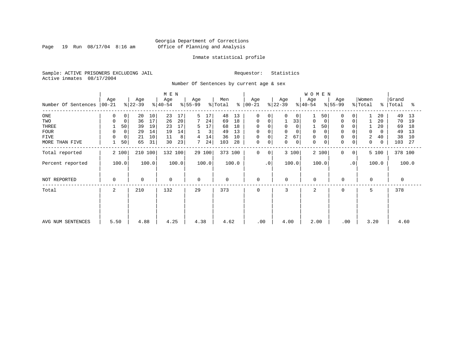Page 19 Run  $08/17/04$  8:16 am

#### Inmate statistical profile

Sample: ACTIVE PRISONERS EXCLUDING JAIL Requestor: Statistics Active inmates 08/17/2004

Number Of Sentences by current age & sex

|                     |             |       |           |       | M E N       |       |                |        |             |       |             |           |             |             | WOMEN          |             |             |                |          |             |          |       |
|---------------------|-------------|-------|-----------|-------|-------------|-------|----------------|--------|-------------|-------|-------------|-----------|-------------|-------------|----------------|-------------|-------------|----------------|----------|-------------|----------|-------|
|                     | Age         |       | Age       |       | Age         |       | Age            |        | Men         |       | Age         |           | Age         |             | Age            |             | Age         |                | Women    |             | Grand    |       |
| Number Of Sentences | $ 00-21$    |       | $ 22-39 $ |       | $ 40-54 $   |       | $ 55-99 $      |        | % Total     | နွ    | $ 00-21 $   |           | $ 22-39 $   |             | $ 40-54 $      |             | $ 55-99 $   |                | % Total  | $\approx$ 1 | Total    | ႜ     |
| ONE                 | 0           | 0     | 20        | 10    | 23          | 17    | 5              | 17     | 48          | 13    | 0           | 0         | $\Omega$    | 0           |                | 50          | 0           | $\overline{0}$ |          | 20          | 49       | 13    |
| TWO                 | 0           | 0     | 36        | 17    | 26          | 20    | $7\phantom{.}$ | 24     | 69          | 18    | 0           |           |             | 33          | 0              | 0           | $\mathbf 0$ | $\mathbf 0$    |          | 20          | 70       | 19    |
| THREE               |             | 50    | 39        | 19    | 23          | 17    | 5              | 17     | 68          | 18    | 0           |           | $\mathbf 0$ |             |                | 50          | $\Omega$    |                |          | 20          | 69       | 18    |
| <b>FOUR</b>         | 0           |       | 29        | 14    | 19          | 14    |                | 3      | 49          | 13    | $\mathbf 0$ |           | $\Omega$    |             | $\mathbf 0$    |             |             |                | $\Omega$ | 0           | 49       | 13    |
| FIVE                | 0           | 0     | 21        | 10    | 11          | 8     | 4              | 14     | 36          | 10    | $\mathsf 0$ |           | 2           | 67          | 0              |             | $\Omega$    |                | 2        | 40          | 38       | 10    |
| MORE THAN FIVE      |             | 50    | 65        | 31    | 30          | 23    |                | 24     | 103         | 28    | $\mathsf 0$ | 0         | $\mathbf 0$ | $\mathbf 0$ | $\mathbf 0$    | $\mathbf 0$ | $\Omega$    | 0              | 0        | 0           | 103      | 27    |
| Total reported      |             | 2 100 | 210 100   |       | 132 100     |       |                | 29 100 | 373 100     |       | $\Omega$    | $\Omega$  |             | 3 100       | 2 100          |             | $\Omega$    | $\overline{0}$ |          | 5 100       | 378 100  |       |
| Percent reported    |             | 100.0 |           | 100.0 |             | 100.0 |                | 100.0  |             | 100.0 |             | $\cdot$ 0 |             | 100.0       | 100.0          |             |             | $\cdot$ 0      |          | 100.0       |          | 100.0 |
| NOT REPORTED        | $\mathbf 0$ |       | 0         |       | $\mathbf 0$ |       | $\mathbf 0$    |        | $\mathbf 0$ |       | $\mathbf 0$ |           | $\mathbf 0$ |             | $\Omega$       |             | $\mathbf 0$ |                | $\Omega$ |             | $\Omega$ |       |
| Total               | 2           |       | 210       |       | 132         |       | 29             |        | 373         |       | $\Omega$    |           | 3           |             | $\overline{a}$ |             | $\Omega$    |                | 5        |             | 378      |       |
|                     |             |       |           |       |             |       |                |        |             |       |             |           |             |             |                |             |             |                |          |             |          |       |
|                     |             |       |           |       |             |       |                |        |             |       |             |           |             |             |                |             |             |                |          |             |          |       |
| AVG NUM SENTENCES   | 5.50        |       | 4.88      |       | 4.25        |       | 4.38           |        | 4.62        |       | .00         |           | 4.00        |             | 2.00           |             | .00         |                | 3.20     |             | 4.60     |       |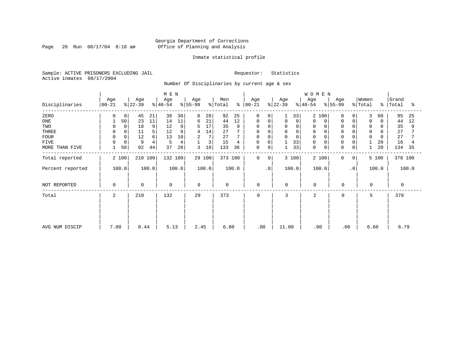Page 20 Run  $08/17/04$  8:16 am

#### Inmate statistical profile

Sample: ACTIVE PRISONERS EXCLUDING JAIL Requestor: Statistics Active inmates 08/17/2004

Number Of Disciplinaries by current age & sex

|                  |                 |                  | M E N            |                 |                      |                  |                  | WOMEN                                          |                                        |                     |
|------------------|-----------------|------------------|------------------|-----------------|----------------------|------------------|------------------|------------------------------------------------|----------------------------------------|---------------------|
| Disciplinaries   | Age<br>$ 00-21$ | Age<br>$ 22-39 $ | Age<br>$ 40-54 $ | Age<br>$ 55-99$ | Men<br>% Total<br>န္ | Age<br>$ 00-21$  | Age<br>$ 22-39 $ | Age<br>Age<br>$\frac{1}{6}$ 55-99<br>$ 40-54 $ | Women<br>% Total<br>ွေ                 | Grand<br>Total<br>ႜ |
| ZERO             | 0               | 45<br>21         | 39<br>30         | 8<br>28         | 92<br>25             | 0<br>$\Omega$    | 33               | $\overline{2}$<br>100<br>$\Omega$              | 3<br>0<br>60                           | 95<br>25            |
| $_{\rm ONE}$     | 50              | 23<br>11         | 11<br>14         | 21<br>6         | 12<br>44             | $\mathbf 0$<br>0 | $\mathbf 0$<br>0 | $\Omega$<br>0<br>0                             | $\mathbf 0$<br>$\mathbf 0$<br>$\Omega$ | 44<br>12            |
| TWO              | $\mathbf 0$     | 18<br>9          | 12<br>9          | 17              | 35<br>9              | 0<br>$\Omega$    | $\Omega$         | 0                                              | 0                                      | 35<br>9             |
| THREE            | 0               | 5<br>11          | 12<br>9          | 14<br>4         | 27                   | 0<br>$\Omega$    | $\mathbf 0$<br>0 | $\Omega$<br>0                                  | $\mathbf 0$                            | 27                  |
| <b>FOUR</b>      |                 | 12<br>6          | 10<br>13         | 7<br>2          | 27                   | $\mathbf 0$      | $\Omega$         | $\mathbf 0$                                    | $\Omega$                               | 27                  |
| <b>FIVE</b>      | 0               | 9<br>4           | 4<br>5           | 3               | 15<br>4              | 0<br>$\mathbf 0$ | 33               | 0<br>$\Omega$                                  | 20                                     | 16                  |
| MORE THAN FIVE   | 50              | 92<br>44         | 37<br>28         | 3<br>10         | 133<br>36            | 0<br>0           | 33               | $\mathbf 0$<br>$\mathbf 0$<br>0                | 20<br>0                                | 134<br>35           |
| Total reported   | 2 100           | 210 100          | 132 100          | 29 100          | 373 100              | $\mathbf 0$<br>0 | 3 100            | 2 100<br>0                                     | 5 100<br>$\mathbf{0}$                  | 378 100             |
| Percent reported | 100.0           | 100.0            | 100.0            | 100.0           | 100.0                | $\cdot$ 0        | 100.0            | 100.0                                          | $\cdot$ 0<br>100.0                     | 100.0               |
| NOT REPORTED     | 0               | $\mathbf 0$      | 0                | $\Omega$        | $\mathbf 0$          | 0                | 0                | $\mathbf 0$<br>0                               | $\mathbf 0$                            | $\Omega$            |
| Total            | 2               | 210              | 132              | 29              | 373                  | $\mathbf 0$      | 3                | 2<br>0                                         | 5                                      | 378                 |
|                  |                 |                  |                  |                 |                      |                  |                  |                                                |                                        |                     |
|                  |                 |                  |                  |                 |                      |                  |                  |                                                |                                        |                     |
| AVG NUM DISCIP   | 7.00            | 8.44             | 5.13             | 2.45            | 6.80                 | .00              | 11.00            | .00                                            | .00<br>6.60                            | 6.79                |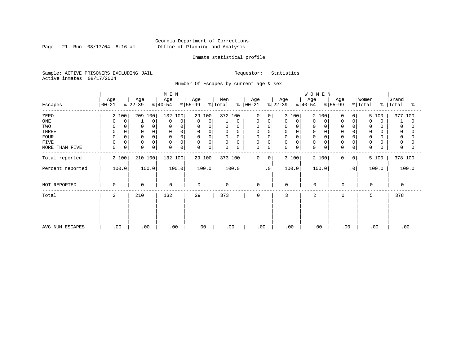Page 21 Run  $08/17/04$  8:16 am

#### Inmate statistical profile

Sample: ACTIVE PRISONERS EXCLUDING JAIL Requestor: Statistics Active inmates 08/17/2004

Number Of Escapes by current age & sex

|                  |                  |                      | M E N                      |                         |                         |                            |                  | WOMEN            |                  |                                   |                     |
|------------------|------------------|----------------------|----------------------------|-------------------------|-------------------------|----------------------------|------------------|------------------|------------------|-----------------------------------|---------------------|
| Escapes          | Age<br>$00 - 21$ | Age<br>$ 22-39 $     | Age<br>$ 40-54 $           | Age<br>$ 55-99 $        | Men<br>% Total<br>ະ     | Age<br>$ 00 - 21 $         | Age<br>$ 22-39 $ | Age<br>$8 40-54$ | Age<br>$ 55-99 $ | Women<br>% Total<br>$\frac{1}{6}$ | Grand<br>Total<br>ႜ |
| ZERO             | 2 100            | 209 100              | 132 100                    | 29 100                  | 372 100                 | $\Omega$<br>$\Omega$       | 3 100            | 2<br>100         | 0<br>0           | 5 100                             | 377 100             |
| ONE              | 0<br>$\Omega$    | $\Omega$             | 0<br>$\Omega$              | 0<br>$\mathbf 0$        | 0                       | 0<br>0                     | 0<br>0           | 0<br>0           | 0<br>0           | $\Omega$<br>0                     | 0                   |
| TWO              | 0<br>$\Omega$    | 0                    | $\Omega$                   | 0<br>$\Omega$           | 0<br>$\Omega$           | 0<br>$\Omega$              | 0<br>$\Omega$    | 0                | $\mathbf 0$      | 0                                 | 0                   |
| THREE            | $\mathbf 0$      | $\mathbf 0$          | $\Omega$                   | 0<br>0                  | $\mathbf 0$<br>0        | 0<br>0                     | 0                | $\mathbf 0$      | $\mathbf 0$      | 0                                 | 0                   |
| <b>FOUR</b>      | $\Omega$         |                      | $\Omega$                   | $\mathbf 0$<br>$\Omega$ | $\mathbf 0$<br>$\Omega$ | 0                          | 0                | $\Omega$         | $\Omega$         | $\Omega$                          |                     |
| FIVE             | 0<br>0           | $\Omega$             | 0<br>$\Omega$              | $\mathbf 0$<br>0        | 0<br>0                  | 0<br>$\Omega$              | 0<br>$\Omega$    | 0                | $\Omega$         | 0                                 | 0                   |
| MORE THAN FIVE   | $\mathbf 0$<br>0 | $\Omega$<br>$\Omega$ | $\mathbf 0$<br>$\mathbf 0$ | 0<br>$\Omega$           | $\mathbf 0$<br>0        | $\mathbf 0$<br>$\mathbf 0$ | 0<br>0           | $\mathbf 0$<br>0 | 0<br>0           | $\Omega$                          | $\Omega$            |
| Total reported   | 2 100            | 210 100              | 132 100                    | 29 100                  | 373 100                 | 0<br>$\mathbf{0}$          | 3 100            | 2 100            | $\mathbf 0$<br>0 | 5 100                             | 378 100             |
| Percent reported | 100.0            | 100.0                | 100.0                      | 100.0                   | 100.0                   | $\cdot$ 0                  | 100.0            | 100.0            | $\cdot$ 0        | 100.0                             | 100.0               |
| NOT REPORTED     | $\Omega$         | $\mathbf 0$          | $\mathbf 0$                | $\Omega$                | $\mathbf 0$             | 0                          | $\Omega$         | $\mathbf 0$      | $\mathbf 0$      | $\Omega$                          | 0                   |
| Total            | 2                | 210                  | 132                        | 29                      | 373                     | $\mathbf 0$                | 3                | 2                | 0                | 5                                 | 378                 |
|                  |                  |                      |                            |                         |                         |                            |                  |                  |                  |                                   |                     |
|                  |                  |                      |                            |                         |                         |                            |                  |                  |                  |                                   |                     |
| AVG NUM ESCAPES  | .00              | .00                  | .00                        | .00                     | .00                     | .00                        | .00              | .00              | .00              | .00                               | .00                 |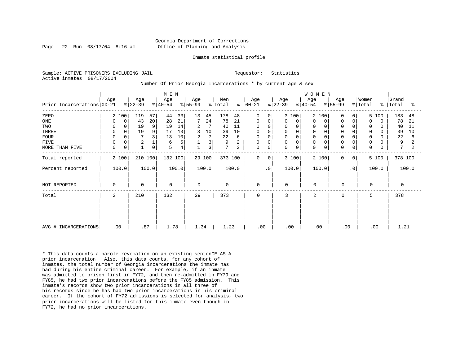#### Georgia Department of Corrections Page 22 Run 08/17/04 8:16 am Office of Planning and Analysis

#### Inmate statistical profile

Sample: ACTIVE PRISONERS EXCLUDING JAIL **Requestor:** Statistics Active inmates 08/17/2004

Number Of Prior Georgia Incarcerations \* by current age & sex

| Prior Incarcerations 00-21                                           | Age                                                                        | Age<br>$ 22-39 $                                                                | M E N<br>Age<br>$ 40-54 $                                                    | Age<br>$ 55-99 $                                                     | Men<br>% Total<br>ႜ                                                          | Age<br>$ 00-21$                                            | Age<br>$ 22-39 $                                                                          | WOMEN<br>Age<br>Age<br>$ 55-99 $<br>$ 40-54 $                                                                                                                                        | Women<br>% Total<br>$\approx$ 1                                                                                                          | Grand<br>Total<br>ႜ                                                |
|----------------------------------------------------------------------|----------------------------------------------------------------------------|---------------------------------------------------------------------------------|------------------------------------------------------------------------------|----------------------------------------------------------------------|------------------------------------------------------------------------------|------------------------------------------------------------|-------------------------------------------------------------------------------------------|--------------------------------------------------------------------------------------------------------------------------------------------------------------------------------------|------------------------------------------------------------------------------------------------------------------------------------------|--------------------------------------------------------------------|
| ZERO<br>ONE<br>TWO<br>THREE<br><b>FOUR</b><br>FIVE<br>MORE THAN FIVE | 2 100<br>0<br>0<br>$\mathbf 0$<br>0<br>$\Omega$<br>0<br>$\Omega$<br>0<br>0 | 57<br>119<br>43<br>20<br>19<br>9<br>9<br>19<br>3<br>2<br>1<br>0<br>$\mathbf{1}$ | 33<br>44<br>21<br>28<br>14<br>19<br>13<br>17<br>10<br>13<br>5<br>6<br>5<br>4 | 13<br>45<br>24<br>7<br>2<br>3<br>10<br>$\overline{a}$<br>7<br>3<br>3 | 178<br>48<br>78<br>21<br>40<br>11<br>39<br>10<br>22<br>6<br>9<br>2<br>7<br>2 | 0<br>0<br>0<br>0<br>0<br>$\mathsf 0$<br>0<br>0<br>$\Omega$ | 3 100<br>$\Omega$<br>0<br>0<br>$\mathbf 0$<br>$\mathbf 0$<br>$\mathbf 0$<br>$\Omega$<br>0 | 2 100<br>$\Omega$<br>$\Omega$<br>$\Omega$<br>0<br>0<br>$\Omega$<br>$\mathbf 0$<br>$\Omega$<br>$\mathbf 0$<br>$\Omega$<br>$\mathbf 0$<br>$\Omega$<br>$\Omega$<br>$\Omega$<br>$\Omega$ | 5 100<br>$\overline{0}$<br>0<br>$\Omega$<br>$\Omega$<br>$\Omega$<br>0<br>$\mathbf 0$<br>O<br>$\mathbf 0$<br>0<br>0<br>0<br>$\Omega$<br>O | 183<br>48<br>78<br>21<br>40<br>11<br>39<br>10<br>22<br>6<br>9<br>7 |
| Total reported<br>Percent reported                                   | 2 100<br>100.0                                                             | 210 100<br>100.0                                                                | 132 100<br>100.0                                                             | 29 100<br>100.0                                                      | 373 100<br>100.0                                                             | $\mathbf 0$<br>$\Omega$<br>$\cdot$ 0                       | 3 100<br>100.0                                                                            | 2 100<br>$\Omega$<br>100.0                                                                                                                                                           | 5 100<br>0 <sup>1</sup><br>$\cdot$ 0<br>100.0                                                                                            | 378 100<br>100.0                                                   |
| NOT REPORTED                                                         | 0                                                                          | $\Omega$                                                                        | $\mathbf 0$                                                                  | $\mathbf 0$                                                          | $\mathbf 0$                                                                  | $\mathbf 0$                                                | $\mathbf 0$                                                                               | $\Omega$<br>$\mathbf 0$                                                                                                                                                              | $\Omega$                                                                                                                                 | $\Omega$                                                           |
| Total                                                                | 2                                                                          | 210                                                                             | 132                                                                          | 29                                                                   | 373                                                                          | $\mathbf 0$                                                | 3                                                                                         | 2<br>$\mathbf 0$                                                                                                                                                                     | 5                                                                                                                                        | 378                                                                |
| AVG # INCARCERATIONS                                                 | .00                                                                        | .87                                                                             | 1.78                                                                         | 1.34                                                                 | 1.23                                                                         | .00                                                        | .00                                                                                       | .00<br>.00                                                                                                                                                                           | .00                                                                                                                                      | 1.21                                                               |

\* This data counts a parole revocation on an existing sentenCE AS A prior incarceration. Also, this data counts, for any cohort of inmates, the total number of Georgia incarcerations the inmate has had during his entire criminal career. For example, if an inmate was admitted to prison first in FY72, and then re-admitted in FY79 and FY85, he had two prior incarcerations before the FY85 admission. This inmate's records show two prior incarcerations in all three of his records since he has had two prior incarcerations in his criminal career. If the cohort of FY72 admissions is selected for analysis, two prior incarcerations will be listed for this inmate even though in FY72, he had no prior incarcerations.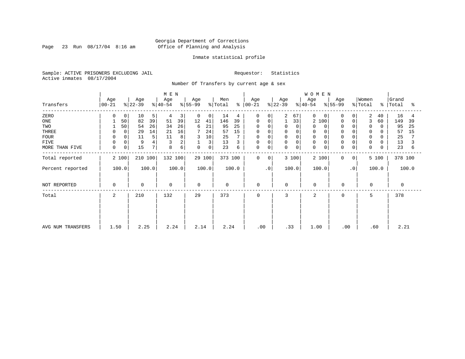Page 23 Run  $08/17/04$  8:16 am

#### Inmate statistical profile

Sample: ACTIVE PRISONERS EXCLUDING JAIL Requestor: Statistics Active inmates 08/17/2004

Number Of Transfers by current age & sex

|                   |                     |                  | M E N            |                               |                      |                             |                  | <b>WOMEN</b>                              |                              |                         |
|-------------------|---------------------|------------------|------------------|-------------------------------|----------------------|-----------------------------|------------------|-------------------------------------------|------------------------------|-------------------------|
| Transfers         | Age<br>$ 00-21 $    | Age<br>$ 22-39 $ | Age<br>$ 40-54 $ | Age<br>$ 55-99 $              | Men<br>% Total<br>န္ | Age<br>00-21                | Age<br>$8 22-39$ | Age<br>Age<br>$ 55-99 $<br>$8 40-54$      | Women<br>$\frac{1}{2}$ Total | Grand<br>%   Total<br>ႜ |
| ZERO              | $\overline{0}$      | 10<br>5          | 4<br>3           | $\mathbf{0}$<br>0             | 14<br>4              | 0<br>0                      | 2<br>67          | 0<br>$\Omega$<br>0                        | 2<br>40<br>0                 | 16<br>4                 |
| ONE               | 50                  | 82<br>39         | 39<br>51         | 12<br>41                      | 146<br>39            | 0<br>0                      | 33               | 2<br>100<br>$\Omega$                      | 3<br>0<br>60                 | 149<br>39               |
| TWO               | 50                  | 26<br>54         | 26<br>34         | 21<br>6                       | 95<br>25             | $\Omega$<br>0               | $\Omega$<br>0    | 0<br>$\Omega$                             | $\mathbf 0$<br>0<br>$\Omega$ | 95<br>25                |
| THREE             | 0                   | 29<br>14         | 16<br>21         | 7<br>24                       | 57<br>15             | $\Omega$<br>0               | 0                | 0                                         | 0                            | 57<br>15                |
| <b>FOUR</b>       |                     | 5<br>11          | 8<br>11          | 10                            | 25                   | 0<br>$\Omega$               | $\Omega$         |                                           | $\mathbf 0$                  | 25                      |
| <b>FIVE</b>       | 0                   | 9<br>4           | 3<br>2           | $\overline{3}$<br>$\mathbf 1$ | 13<br>3              | 0<br>0                      | 0<br>$\Omega$    | $\mathbf 0$                               | $\mathbf 0$<br>0             | 13                      |
| MORE THAN FIVE    | 0 <sup>1</sup><br>0 | 15<br>7          | б<br>8           | $\overline{0}$<br>$\mathbf 0$ | 23<br>6              | 0<br>0                      | 0<br>$\mathbf 0$ | $\mathbf 0$<br>$\mathbf 0$<br>$\mathbf 0$ | 0<br>$\mathbf 0$             | 23<br>6                 |
| Total reported    | 2 100               | 210 100          | 132 100          | 29 100                        | 373 100              | $\mathbf 0$<br>$\mathbf{0}$ | 3 100            | 2 100<br>$\mathbf{0}$                     | 5 100<br>0                   | 378 100                 |
| Percent reported  | 100.0               | 100.0            | 100.0            | 100.0                         | 100.0                | $\cdot$ 0                   | 100.0            | 100.0                                     | $\cdot$ 0<br>100.0           | 100.0                   |
| NOT REPORTED      | 0                   | $\mathbf 0$      | 0                | $\mathbf 0$                   | $\mathbf 0$          | $\mathbf 0$                 | $\mathbf 0$      | $\mathbf 0$<br>$\mathbf 0$                | $\Omega$                     | $\mathbf 0$             |
| Total             | 2                   | 210              | 132              | 29                            | 373                  | 0                           | 3                | 2<br>0                                    | 5                            | 378                     |
|                   |                     |                  |                  |                               |                      |                             |                  |                                           |                              |                         |
|                   |                     |                  |                  |                               |                      |                             |                  |                                           |                              |                         |
| AVG NUM TRANSFERS | 1.50                | 2.25             | 2.24             | 2.14                          | 2.24                 | .00                         | .33              | 1.00                                      | .60<br>.00                   | 2.21                    |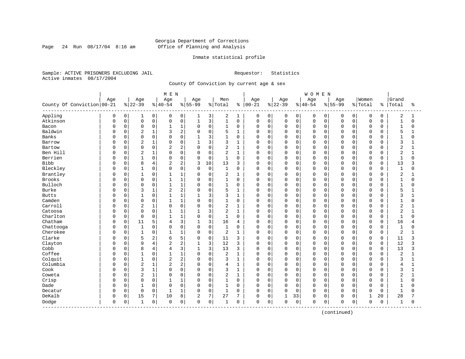Page 24 Run  $08/17/04$  8:16 am

#### Inmate statistical profile

Sample: ACTIVE PRISONERS EXCLUDING JAIL Requestor: Statistics Active inmates 08/17/2004

County Of Conviction by current age & sex

|                            |     |             |                |                | M E N          |                |              |              |                |              |            |             |              |                | WOMEN       |             |             |             |              |             |                |              |
|----------------------------|-----|-------------|----------------|----------------|----------------|----------------|--------------|--------------|----------------|--------------|------------|-------------|--------------|----------------|-------------|-------------|-------------|-------------|--------------|-------------|----------------|--------------|
|                            | Age |             | Age            |                | Age            |                | Age          |              | Men            |              | Age        |             | Age          |                | Age         |             | Age         |             | Women        |             | Grand          |              |
| County Of Conviction 00-21 |     |             | $8 22-39$      |                | $ 40-54$       |                | $8 55-99$    |              | % Total        | ႜ            | $ 00 - 21$ |             | $ 22-39$     |                | $ 40-54$    |             | $8 55-99$   |             | % Total      | ႜ           | Total          | ႜ            |
| Appling                    | 0   | 0           | 1              | $\overline{0}$ | 0              | 0              | 1            | 3            | 2              | 1            | 0          | 0           | 0            | $\overline{0}$ | 0           | 0           | 0           | $\mathbf 0$ | $\mathbf 0$  | 0           | 2              | 1            |
| Atkinson                   | O   | $\mathsf 0$ | $\mathbf 0$    | 0              | $\Omega$       | $\mathsf 0$    | $\mathbf{1}$ | 3            | $\mathbf{1}$   | $\mathbf 0$  | 0          | $\mathbf 0$ | 0            | 0              | $\mathbf 0$ | $\mathbf 0$ | $\Omega$    | $\Omega$    | $\mathbf 0$  | 0           | $\mathbf{1}$   | $\Omega$     |
| Bacon                      | O   | 0           | $\mathbf 0$    | 0              | 1              | 1              | $\mathbf 0$  | $\mathbf 0$  | $\mathbf{1}$   | $\mathbf 0$  | 0          | $\mathbf 0$ | $\mathbf 0$  | 0              | 0           | $\mathbf 0$ | $\Omega$    | $\Omega$    | $\mathbf 0$  | 0           | $\mathbf{1}$   | 0            |
| Baldwin                    | O   | 0           | $\overline{c}$ | 1              | 3              | $\overline{2}$ | $\Omega$     | $\mathbf 0$  | 5              | $\mathbf{1}$ | $\Omega$   | $\Omega$    | $\Omega$     | $\Omega$       | $\Omega$    | $\mathbf 0$ | $\Omega$    | $\cap$      | $\mathbf 0$  | $\Omega$    | 5              |              |
| <b>Banks</b>               | U   | $\Omega$    | $\Omega$       | 0              | $\cap$         | $\Omega$       | 1            | 3            | $\mathbf{1}$   | $\Omega$     | 0          | $\Omega$    | $\Omega$     | $\Omega$       | $\Omega$    | $\Omega$    | $\cap$      | $\cap$      | $\Omega$     | $\Omega$    | $\mathbf{1}$   | U            |
| Barrow                     | U   | 0           | $\overline{2}$ | 1              | $\Omega$       | $\mathbf 0$    | $\mathbf{1}$ | 3            | 3              | $\mathbf{1}$ | 0          | $\mathbf 0$ | $\Omega$     | $\Omega$       | $\Omega$    | 0           | $\Omega$    | $\Omega$    | $\mathbf 0$  | 0           | 3              | $\mathbf{1}$ |
| Bartow                     |     | 0           | $\mathbf 0$    | 0              | 2              | $\sqrt{2}$     | $\Omega$     | $\mathbf 0$  | 2              | $\mathbf{1}$ | 0          | $\mathbf 0$ | 0            | 0              | $\Omega$    | 0           | $\Omega$    | $\Omega$    | $\mathbf 0$  | 0           | 2              | 1            |
| Ben Hill                   | O   | 0           | $\overline{2}$ | $\mathbf 1$    | $\Omega$       | $\mathbf 0$    | $\Omega$     | $\mathbf 0$  | $\overline{a}$ | 1            | $\Omega$   | $\mathbf 0$ | $\mathbf 0$  | $\Omega$       | $\Omega$    | $\mathbf 0$ | $\Omega$    | $\Omega$    | $\mathbf 0$  | $\Omega$    | $\overline{a}$ | $\mathbf{1}$ |
| Berrien                    | O   | 0           | 1              | 0              | $\Omega$       | $\mathbf 0$    | $\Omega$     | $\mathbf 0$  | 1              | $\mathbf 0$  | 0          | 0           | 0            | 0              | $\Omega$    | 0           | $\Omega$    | $\Omega$    | $\mathbf 0$  | 0           | $\mathbf{1}$   | $\Omega$     |
| <b>Bibb</b>                | 0   | 0           | 8              | 4              | 2              | 2              | 3            | 10           | 13             | 3            | 0          | $\mathbf 0$ | 0            | 0              | $\mathbf 0$ | $\mathbf 0$ | $\Omega$    | $\Omega$    | $\mathbf 0$  | $\mathbf 0$ | 13             | 3            |
| Bleckley                   | 0   | $\Omega$    | $\mathbf{1}$   | 0              | $\Omega$       | $\Omega$       | $\Omega$     | $\mathbf 0$  | $\mathbf{1}$   | $\Omega$     | $\Omega$   | $\Omega$    | $\Omega$     | $\Omega$       | $\Omega$    | $\Omega$    | $\Omega$    | $\Omega$    | $\Omega$     | $\Omega$    | $\mathbf{1}$   | $\Omega$     |
| Brantley                   | 0   | 0           | $\mathbf{1}$   | 0              | -1             | $\mathbf{1}$   | $\mathbf 0$  | $\mathbf 0$  | $\overline{2}$ | $\mathbf{1}$ | 0          | $\mathbf 0$ | 0            | $\Omega$       | $\Omega$    | $\Omega$    | $\Omega$    | $\Omega$    | $\mathbf 0$  | $\Omega$    | $\overline{2}$ |              |
| Brooks                     |     | 0           | $\mathbf 0$    | 0              |                | $1\,$          | $\Omega$     | $\mathsf 0$  | $\mathbf{1}$   | $\mathbf 0$  | 0          | $\mathbf 0$ | 0            | 0              | $\Omega$    | 0           | $\Omega$    | $\Omega$    | $\mathbf 0$  | 0           | $\mathbf{1}$   | $\Omega$     |
| Bulloch                    |     | 0           | $\mathbf 0$    | 0              | $\mathbf{1}$   | $1\,$          | $\Omega$     | $\Omega$     | $\mathbf{1}$   | 0            | 0          | $\mathbf 0$ | 0            | 0              | $\Omega$    | 0           | $\cap$      | $\Omega$    | $\mathbf 0$  | 0           | $\mathbf{1}$   | U            |
| Burke                      | O   | 0           | 3              | 1              | $\overline{2}$ | $\overline{2}$ | $\Omega$     | $\mathbf 0$  | 5              | $\mathbf{1}$ | 0          | 0           | 0            | 0              | $\Omega$    | 0           | $\Omega$    | $\cap$      | $\mathbf 0$  | 0           | 5              |              |
| <b>Butts</b>               | O   | 0           | $\mathbf{1}$   | 0              |                | $\mathbf 1$    |              | 3            | 3              | 1            | 0          | 0           | 0            | 0              | $\Omega$    | 0           | $\Omega$    | $\Omega$    | $\mathbf 0$  | 0           | 3              |              |
| Camden                     | O   | $\Omega$    | $\Omega$       | $\Omega$       | $\mathbf{1}$   | $\mathbf{1}$   | $\Omega$     | $\Omega$     | $\mathbf{1}$   | $\Omega$     | $\Omega$   | $\Omega$    | $\Omega$     | $\Omega$       | $\Omega$    | $\Omega$    | $\Omega$    | $\Omega$    | $\Omega$     | $\Omega$    | $\mathbf{1}$   | $\Omega$     |
| Carroll                    |     | 0           | $\overline{2}$ | 1              | $\Omega$       | $\mathbf 0$    | $\Omega$     | $\mathbf 0$  | 2              | $\mathbf{1}$ | 0          | $\mathbf 0$ | $\Omega$     | $\Omega$       | $\Omega$    | $\Omega$    | $\Omega$    | $\Omega$    | $\mathbf 0$  | $\Omega$    | $\overline{2}$ |              |
| Catoosa                    |     | 0           | $\mathbf 0$    | 0              |                | $1\,$          | $\mathbf{1}$ | 3            | $\overline{2}$ | $\mathbf{1}$ | 0          | $\mathbf 0$ | $\Omega$     | $\Omega$       | $\Omega$    | $\mathbf 0$ | $\Omega$    | $\Omega$    | $\mathbf 0$  | $\Omega$    | $\overline{2}$ | $\mathbf{1}$ |
| Charlton                   | O   | 0           | $\Omega$       | 0              | $\mathbf{1}$   | $1\,$          | $\Omega$     | $\Omega$     | $\mathbf{1}$   | $\Omega$     | $\Omega$   | $\mathbf 0$ | $\mathbf 0$  | $\Omega$       | $\Omega$    | $\mathbf 0$ | $\Omega$    | $\Omega$    | $\mathbf 0$  | $\Omega$    | $\overline{1}$ | $\Omega$     |
| Chatham                    | O   | 0           | 11             | 5              | 4              | 3              |              | 3            | 16             | 4            | 0          | $\mathbf 0$ | 0            | $\Omega$       | $\Omega$    | $\mathbf 0$ | $\Omega$    | $\Omega$    | $\mathbf 0$  | $\Omega$    | 16             |              |
| Chattooga                  | O   | $\Omega$    | $\mathbf{1}$   | 0              | $\Omega$       | $\mathbf 0$    | $\Omega$     | $\mathbf 0$  | $\mathbf{1}$   | $\Omega$     | $\Omega$   | $\Omega$    | $\mathbf 0$  | $\Omega$       | $\Omega$    | $\Omega$    | $\Omega$    | $\cap$      | $\Omega$     | $\Omega$    | $\mathbf{1}$   | U            |
| Cherokee                   | U   | 0           | $\mathbf{1}$   | 0              | -1             | $1\,$          | $\mathbf 0$  | $\mathbf 0$  | $\overline{2}$ | $\mathbf{1}$ | 0          | $\mathbf 0$ | $\Omega$     | $\Omega$       | $\Omega$    | 0           | $\Omega$    | $\Omega$    | $\mathbf 0$  | 0           | 2              |              |
| Clarke                     | 0   | $\Omega$    | 5              | 2              | 6              | 5              | $\mathbf 0$  | $\mathbf 0$  | 11             | 3            | 0          | $\mathbf 0$ | $\Omega$     | $\Omega$       | $\Omega$    | $\Omega$    | $\Omega$    | $\Omega$    | $\mathbf 0$  | $\mathbf 0$ | 11             | 3            |
| Clayton                    |     | 0           | 9              | $\overline{4}$ | $\overline{2}$ | $\sqrt{2}$     | $\mathbf{1}$ | 3            | 12             | 3            | 0          | $\mathbf 0$ | $\Omega$     | $\Omega$       | $\Omega$    | $\mathbf 0$ | $\Omega$    | $\Omega$    | $\mathbf 0$  | $\mathbf 0$ | 12             | 3            |
| Cobb                       | O   | 0           | 8              | 4              | 4              | 3              | $\mathbf{1}$ | 3            | 13             | 3            | O          | $\Omega$    | $\mathbf 0$  | $\Omega$       | $\Omega$    | $\mathbf 0$ | $\Omega$    | $\Omega$    | $\mathbf 0$  | $\Omega$    | 13             | ζ            |
| Coffee                     | O   | 0           |                | 0              |                | $\mathbf{1}$   | $\Omega$     | $\mathbf 0$  | 2              | 1            | 0          | 0           | 0            | $\Omega$       | $\Omega$    | 0           | $\Omega$    | $\Omega$    | $\mathbf 0$  | 0           | 2              |              |
| Colquit                    | O   | 0           | $\mathbf{1}$   | 0              | $\overline{2}$ | $\overline{2}$ | $\Omega$     | $\Omega$     | 3              | $\mathbf{1}$ | $\Omega$   | $\Omega$    | $\Omega$     | $\Omega$       | $\Omega$    | $\Omega$    | $\Omega$    | $\cap$      | $\mathbf 0$  | $\Omega$    | 3              |              |
| Columbia                   | U   | $\Omega$    | $\overline{2}$ | 1              | $\overline{2}$ | $\overline{2}$ | $\Omega$     | $\mathbf 0$  | 4              | $\mathbf{1}$ | 0          | $\Omega$    | $\Omega$     | $\Omega$       | $\Omega$    | $\Omega$    | $\Omega$    | $\cap$      | $\mathbf 0$  | $\Omega$    | 4              | $\mathbf{1}$ |
| Cook                       | U   | 0           | 3              | $\mathbf 1$    | $\Omega$       | $\mathbf 0$    | $\Omega$     | $\mathsf 0$  | 3              | 1            | 0          | $\mathbf 0$ | 0            | $\Omega$       | $\Omega$    | 0           | $\Omega$    | $\Omega$    | $\mathbf 0$  | 0           | 3              | 1            |
| Coweta                     | 0   | 0           | $\overline{c}$ | $\mathbf{1}$   | $\Omega$       | $\mathsf 0$    | $\Omega$     | $\mathbf 0$  | 2              | 1            | 0          | $\mathbf 0$ | $\mathbf 0$  | 0              | $\Omega$    | $\mathbf 0$ | $\Omega$    | $\Omega$    | $\mathbf 0$  | 0           | $\overline{c}$ | $\mathbf{1}$ |
| Crisp                      | O   | 0           | $\mathbf 0$    | 0              |                | 1              | 0            | $\mathbf 0$  | 1              | 0            | 0          | 0           | 0            | 0              | $\Omega$    | 0           | $\Omega$    | $\Omega$    | $\mathbf 0$  | 0           | $\mathbf{1}$   | 0            |
| Dade                       | O   | 0           | 1              | 0              | $\Omega$       | $\mathbf 0$    | $\Omega$     | $\mathbf 0$  | 1              | 0            | 0          | 0           | $\mathbf 0$  | 0              | $\Omega$    | $\mathbf 0$ | $\Omega$    | $\Omega$    | $\mathbf 0$  | 0           | $\mathbf{1}$   | O            |
| Decatur                    | 0   | $\Omega$    | $\Omega$       | 0              | $\mathbf{1}$   | 1              | $\Omega$     | $\mathbf 0$  | $\mathbf{1}$   | $\Omega$     | $\Omega$   | $\mathbf 0$ | $\mathbf 0$  | $\Omega$       | $\Omega$    | $\mathbf 0$ | $\Omega$    | $\Omega$    | $\Omega$     | $\Omega$    | $\mathbf{1}$   | $\Omega$     |
| DeKalb                     | 0   | 0           | 15             | 7              | 10             | 8              | 2            | 7            | 27             | 7            | 0          | $\mathbf 0$ | $\mathbf{1}$ | 33             | $\mathbf 0$ | $\mathbf 0$ | $\Omega$    | 0           | $\mathbf{1}$ | 20          | 28             |              |
| Dodge<br>------------      | 0   | 0           | $\mathbf{1}$   | 0              | $\mathbf 0$    | $\mathsf 0$    | $\Omega$     | $\mathsf{O}$ | 1              | 0            | 0          | 0           | $\Omega$     | 0              | $\mathbf 0$ | 0           | $\mathbf 0$ | 0           | $\mathbf 0$  | 0           | 1              | 0            |
|                            |     |             |                |                |                |                |              |              |                |              |            |             |              |                |             |             |             |             |              |             |                |              |

(continued)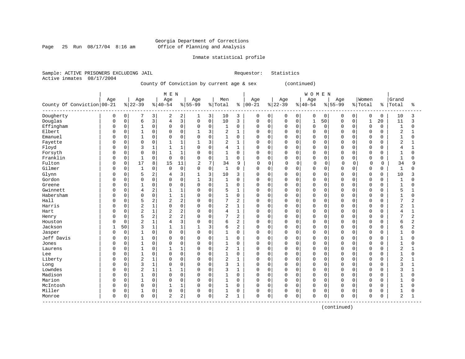Page 25 Run  $08/17/04$  8:16 am

#### Inmate statistical profile

Sample: ACTIVE PRISONERS EXCLUDING JAIL Requestor: Statistics Active inmates 08/17/2004

County Of Conviction by current age & sex (continued)

|                            |          |             |                |                | M E N          |                |              |                         |                |                |             |             |          |             | WOMEN        |             |             |             |              |             |                |                |
|----------------------------|----------|-------------|----------------|----------------|----------------|----------------|--------------|-------------------------|----------------|----------------|-------------|-------------|----------|-------------|--------------|-------------|-------------|-------------|--------------|-------------|----------------|----------------|
|                            | Age      |             | Age            |                | Age            |                | Age          |                         | Men            |                | Age         |             | Age      |             | Age          |             | Age         |             | Women        |             | Grand          |                |
| County Of Conviction 00-21 |          |             | $ 22-39$       |                | $ 40-54$       |                | $8155 - 99$  |                         | % Total        | ႜ              | $ 00-21$    |             | $ 22-39$ |             | $8 40-54$    |             | $8155 - 99$ |             | % Total      | $\approx$   | Total          | ిక             |
| Dougherty                  | 0        | 0           |                | 3              | 2              | 2              | 1            | $\overline{\mathbf{3}}$ | 10             | 3              | 0           | 0           | 0        | $\mathbf 0$ | $\mathbf 0$  | $\mathbf 0$ | 0           | $\mathbf 0$ | 0            | $\mathbf 0$ | 10             | 3              |
| Douglas                    | $\Omega$ | 0           | 6              | 3              | 4              | 3              | 0            | 0 <sup>1</sup>          | 10             | 3              | $\mathbf 0$ | 0           | $\Omega$ | 0           | $\mathbf{1}$ | 50          | $\mathbf 0$ | $\mathbf 0$ | $\mathbf{1}$ | 20          | 11             | 3              |
| Effingham                  | $\Omega$ | $\mathbf 0$ | 1              | $\mathbf 0$    | $\mathbf 0$    | $\mathbf 0$    | 0            | 0                       | 1              | $\mathbf 0$    | 0           | 0           | $\Omega$ | $\Omega$    | $\mathbf 0$  | $\Omega$    | 0           | $\Omega$    | $\mathbf 0$  | 0           | $\mathbf{1}$   | 0              |
| Elbert                     |          | $\mathbf 0$ |                | $\mathbf 0$    | $\Omega$       | $\mathbf 0$    |              | 3                       | 2              | $\mathbf{1}$   | $\Omega$    | $\mathbf 0$ | $\Omega$ | $\Omega$    | $\Omega$     | $\Omega$    | $\Omega$    | $\Omega$    | $\Omega$     | $\Omega$    | $\overline{2}$ | $\mathbf{1}$   |
| Emanuel                    |          | $\mathbf 0$ | $\mathbf{1}$   | $\mathbf 0$    | $\Omega$       | $\mathbf 0$    | $\Omega$     | $\mathbf 0$             | $\mathbf{1}$   | $\mathbf 0$    | $\Omega$    | $\mathbf 0$ | $\Omega$ | 0           | $\mathbf 0$  | $\mathbf 0$ | $\Omega$    | $\Omega$    | $\circ$      | 0           | $\mathbf{1}$   | 0              |
| Fayette                    |          | $\mathbf 0$ | $\Omega$       | $\mathbf 0$    | $\mathbf{1}$   | $\mathbf{1}$   | $\mathbf{1}$ | 3                       | 2              | $\mathbf{1}$   | $\mathbf 0$ | $\mathbf 0$ | $\Omega$ | $\Omega$    | $\Omega$     | $\Omega$    | $\Omega$    | $\Omega$    | $\Omega$     | $\Omega$    | $\overline{2}$ | 1              |
| Floyd                      |          | $\mathbf 0$ | 3              | 1              |                | $\mathbf{1}$   | 0            | $\mathbf 0$             | $\overline{4}$ | $\mathbf{1}$   | $\Omega$    | 0           | $\Omega$ | $\Omega$    | $\Omega$     | 0           | $\Omega$    | $\Omega$    | 0            | 0           | 4              |                |
| Forsyth                    |          | $\mathbf 0$ | $\Omega$       | $\mathbf 0$    | $\mathbf{1}$   | $\mathbf{1}$   | $\Omega$     | $\mathbf 0$             | $\mathbf{1}$   | $\mathbf 0$    | $\mathbf 0$ | $\Omega$    | $\Omega$ | $\Omega$    | $\mathbf 0$  | $\mathbf 0$ | 0           | $\Omega$    | $\mathbf 0$  | 0           | $\mathbf{1}$   | $\Omega$       |
| Franklin                   |          | $\mathbf 0$ | $\mathbf{1}$   | $\mathbf 0$    | $\Omega$       | $\Omega$       | $\Omega$     | $\mathbf 0$             | $1\,$          | $\mathbf 0$    | $\Omega$    | $\mathbf 0$ | $\Omega$ | $\Omega$    | $\Omega$     | $\Omega$    | $\mathbf 0$ | $\Omega$    | $\mathbf 0$  | $\Omega$    | $\mathbf{1}$   | $\Omega$       |
| Fulton                     | $\Omega$ | $\mathbf 0$ | 17             | 8              | 15             | 11             | 2            | 7                       | 34             | 9              | $\mathbf 0$ | $\Omega$    | $\Omega$ | $\mathbf 0$ | $\mathbf 0$  | $\mathbf 0$ | $\Omega$    | $\Omega$    | $\mathbf 0$  | $\mathbf 0$ | 34             | 9              |
| Gilmer                     | $\Omega$ | $\mathbf 0$ | $\mathbf{1}$   | $\mathbf 0$    | $\mathbf 0$    | $\mathbf 0$    | 0            | $\mathsf{O}$            | 1              | $\Omega$       | $\Omega$    | 0           | $\Omega$ | $\Omega$    | $\Omega$     | $\Omega$    | $\Omega$    | $\Omega$    | $\Omega$     | $\Omega$    | $\mathbf{1}$   | $\Omega$       |
| Glynn                      |          | 0           | 5              | $\overline{2}$ | 4              | 3              | 1            | 3 <sup>1</sup>          | 10             | 3              | 0           | 0           | $\Omega$ | $\Omega$    | $\Omega$     | $\Omega$    | $\Omega$    | $\Omega$    | 0            | $\Omega$    | 10             | 3              |
| Gordon                     |          | $\mathbf 0$ | $\Omega$       | $\mathbf 0$    | $\Omega$       | $\mathbf 0$    | 1            | 3                       | $\mathbf 1$    | $\Omega$       | $\Omega$    | 0           | $\Omega$ | $\Omega$    | $\mathbf 0$  | $\Omega$    | 0           | $\Omega$    | $\Omega$     | $\Omega$    | $\mathbf{1}$   | $\Omega$       |
| Greene                     |          | $\mathbf 0$ | $\mathbf{1}$   | $\mathbf 0$    | $\Omega$       | $\mathbf 0$    | 0            | $\mathbf 0$             | $\mathbf{1}$   | $\mathbf 0$    | $\mathbf 0$ | $\mathbf 0$ | $\Omega$ | $\Omega$    | $\Omega$     | $\mathbf 0$ | $\Omega$    | $\Omega$    | $\mathbf 0$  | $\Omega$    | $\mathbf{1}$   | $\Omega$       |
| Gwinnett                   |          | $\mathbf 0$ | 4              | $\overline{2}$ |                | $\mathbf{1}$   | 0            | $\mathbf 0$             | 5              | $\mathbf{1}$   | $\mathbf 0$ | $\mathbf 0$ | $\Omega$ | $\Omega$    | $\Omega$     | $\mathbf 0$ | $\Omega$    | $\Omega$    | $\mathbf 0$  | U           | 5              |                |
| Habersham                  | $\Omega$ | $\mathbf 0$ | $\Omega$       | $\mathbf 0$    | $\mathbf{1}$   | $\mathbf{1}$   | 0            | $\mathbf 0$             | $\mathbf{1}$   | $\mathbf 0$    | $\Omega$    | 0           | $\Omega$ | $\Omega$    | $\Omega$     | $\Omega$    | $\Omega$    | $\Omega$    | $\mathbf 0$  | 0           | $\mathbf{1}$   | $\Omega$       |
| Hall                       | n        | $\mathbf 0$ | 5              | $\overline{2}$ | $\overline{c}$ | $\overline{2}$ | $\Omega$     | $\mathbf 0$             | 7              | $\overline{2}$ | $\mathbf 0$ | $\mathbf 0$ | $\Omega$ | $\Omega$    | $\Omega$     | $\Omega$    | 0           | $\cap$      | $\mathbf 0$  | $\Omega$    | 7              | $\overline{2}$ |
| Harris                     |          | $\mathbf 0$ | $\overline{2}$ | $\mathbf{1}$   | $\mathbf 0$    | $\mathbf 0$    | $\Omega$     | $\mathbf 0$             | 2              | $\mathbf{1}$   | $\Omega$    | $\mathbf 0$ | $\Omega$ | $\Omega$    | $\mathbf 0$  | $\Omega$    | $\Omega$    | $\Omega$    | $\Omega$     | $\Omega$    | 2              | 1              |
| Hart                       |          | $\mathbf 0$ | $\overline{2}$ | $\mathbf{1}$   | $\overline{2}$ | $\overline{2}$ | 0            | $\mathsf{O}$            | 4              | $\mathbf{1}$   | $\Omega$    | $\mathbf 0$ | $\Omega$ | $\Omega$    | $\Omega$     | $\Omega$    | $\Omega$    | $\Omega$    | $\mathbf 0$  | $\Omega$    | 4              | 1              |
| Henry                      |          | $\mathbf 0$ | 5              | $\overline{a}$ | 2              | $\overline{2}$ | 0            | $\mathbf 0$             | 7              | $\overline{2}$ | $\Omega$    | 0           | $\Omega$ | $\Omega$    | $\mathbf 0$  | $\mathbf 0$ | $\Omega$    | $\Omega$    | $\Omega$     | 0           | $\overline{7}$ | 2              |
| Houston                    |          | $\mathbf 0$ | $\overline{2}$ | $\mathbf{1}$   | 4              | 3              | $\Omega$     | $\mathbf 0$             | 6              | $\overline{2}$ | $\Omega$    | $\mathbf 0$ | $\Omega$ | $\Omega$    | $\Omega$     | $\mathbf 0$ | $\Omega$    | $\Omega$    | $\mathbf 0$  | $\Omega$    | 6              | $\overline{2}$ |
| Jackson                    |          | 50          | 3              | $\mathbf{1}$   |                | $\mathbf{1}$   |              | 3                       | 6              | 2              | $\Omega$    | $\mathbf 0$ | $\Omega$ | $\Omega$    | $\Omega$     | $\mathbf 0$ | $\Omega$    | $\cap$      | $\mathbf 0$  | 0           | 6              | 2              |
| Jasper                     | $\Omega$ | 0           |                | $\mathbf 0$    | $\Omega$       | $\mathbf 0$    | $\Omega$     | $\mathbf 0$             | 1              | $\Omega$       | $\mathbf 0$ | 0           | $\Omega$ | $\Omega$    | $\Omega$     | 0           | $\Omega$    | $\Omega$    | 0            | 0           | 1              | $\Omega$       |
| Jeff Davis                 |          | $\mathbf 0$ |                | $\mathbf 0$    | $\Omega$       | $\mathbf 0$    | 0            | $\mathbf 0$             | 1              | $\Omega$       | $\mathbf 0$ | $\mathbf 0$ | $\Omega$ | $\Omega$    | $\Omega$     | $\Omega$    | $\Omega$    | $\Omega$    | $\mathbf 0$  | 0           | $\mathbf{1}$   | $\Omega$       |
| Jones                      |          | $\Omega$    | $\mathbf{1}$   | $\Omega$       | $\Omega$       | $\Omega$       | $\Omega$     | $\Omega$                | $\mathbf{1}$   | $\mathbf 0$    | $\Omega$    | $\Omega$    | $\Omega$ | $\Omega$    | $\Omega$     | $\Omega$    | $\Omega$    | $\Omega$    | $\Omega$     | O           | $\mathbf{1}$   | $\Omega$       |
| Laurens                    |          | $\mathbf 0$ | 1              | $\mathbf 0$    | $\mathbf{1}$   | $\mathbf{1}$   | $\Omega$     | $\mathbf 0$             | 2              | 1              | $\Omega$    | 0           | $\Omega$ | $\Omega$    | $\Omega$     | $\mathbf 0$ | $\Omega$    | $\Omega$    | $\mathbf 0$  | $\Omega$    | $\overline{2}$ |                |
| Lee                        |          | $\mathbf 0$ | $\mathbf{1}$   | $\mathsf 0$    | $\mathbf 0$    | $\mathbf 0$    | 0            | $\mathsf{O}$            | $\mathbf{1}$   | $\mathbf 0$    | $\Omega$    | $\mathbf 0$ | $\Omega$ | $\Omega$    | $\Omega$     | $\mathbf 0$ | $\Omega$    | $\Omega$    | $\circ$      | $\Omega$    | $\mathbf{1}$   | 0              |
| Liberty                    |          | $\mathbf 0$ | $\overline{2}$ | $\mathbf{1}$   | $\Omega$       | $\mathbf 0$    | 0            | $\mathsf 0$             | 2              | $\mathbf{1}$   | $\Omega$    | 0           | $\Omega$ | $\mathbf 0$ | $\Omega$     | $\mathbf 0$ | $\Omega$    | $\Omega$    | $\Omega$     | O           | $\overline{2}$ | 1              |
| Long                       |          | $\mathbf 0$ | 3              | 1              | $\Omega$       | $\Omega$       | $\Omega$     | $\mathbf 0$             | 3              | $\mathbf{1}$   | $\Omega$    | 0           | $\Omega$ | $\Omega$    | $\Omega$     | $\Omega$    | $\Omega$    | $\Omega$    | $\Omega$     | $\Omega$    | 3              | 1              |
| Lowndes                    | $\Omega$ | $\mathbf 0$ | $\overline{2}$ | $\mathbf{1}$   |                | $\mathbf{1}$   | 0            | $\mathbf 0$             | 3              | $\mathbf{1}$   | $\mathbf 0$ | 0           | $\Omega$ | $\Omega$    | $\mathbf 0$  | $\mathbf 0$ | 0           | $\Omega$    | $\mathbf 0$  | 0           | 3              | 1              |
| Madison                    | $\Omega$ | $\mathbf 0$ |                | $\mathbf 0$    | $\mathbf 0$    | $\mathbf 0$    | $\Omega$     | $\mathbf 0$             | 1              | $\mathbf 0$    | $\mathbf 0$ | $\mathbf 0$ | $\Omega$ | $\Omega$    | $\mathbf 0$  | $\Omega$    | $\mathbf 0$ | $\Omega$    | $\mathbf 0$  | 0           | $\mathbf{1}$   | $\Omega$       |
| Marion                     | $\Omega$ | $\Omega$    | $\mathbf{1}$   | $\mathbf 0$    | $\Omega$       | $\Omega$       | $\Omega$     | $\mathbf 0$             | $\mathbf{1}$   | $\Omega$       | $\Omega$    | $\Omega$    | $\Omega$ | $\Omega$    | $\Omega$     | $\Omega$    | $\Omega$    | $\Omega$    | $\mathbf 0$  | $\Omega$    | $\mathbf{1}$   | $\Omega$       |
| McIntosh                   | $\Omega$ | $\mathbf 0$ | $\mathbf 0$    | $\mathbf 0$    | $\mathbf{1}$   | $\mathbf{1}$   | $\Omega$     | $\mathbf 0$             | 1              | $\mathbf 0$    | $\mathbf 0$ | $\mathbf 0$ | $\Omega$ | $\mathbf 0$ | $\mathbf 0$  | $\mathbf 0$ | $\mathbf 0$ | $\mathbf 0$ | $\mathbf 0$  | 0           | $\mathbf{1}$   | 0              |
| Miller                     | $\Omega$ | $\mathsf 0$ | 1              | $\mathsf 0$    | 0              | $\mathsf 0$    | 0            | $\mathbf 0$             | 1              | 0              | 0           | 0           | 0        | $\mathbf 0$ | $\mathbf 0$  | $\mathbf 0$ | 0           | $\mathbf 0$ | 0            | U           |                | 0              |
| Monroe                     | $\Omega$ | 0           | $\Omega$       | $\mathbf 0$    | $\overline{2}$ | 2              | $\Omega$     | $\mathsf 0$             | 2              | $\mathbf 1$    | $\mathbf 0$ | 0           | $\Omega$ | 0           | $\mathbf 0$  | 0           | $\Omega$    | 0           | $\Omega$     | 0           | $\overline{2}$ | $\mathbf{1}$   |

(continued)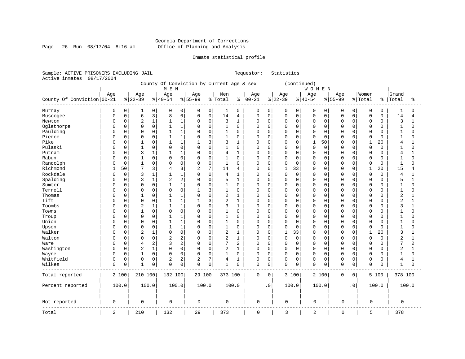#### Georgia Department of Corrections Page 26 Run 08/17/04 8:16 am Office of Planning and Analysis

#### Inmate statistical profile

Sample: ACTIVE PRISONERS EXCLUDING JAIL Requestor: Statistics Active inmates 08/17/2004

 County Of Conviction by current age & sex (continued) | M E N | W O M E N | | Age | Age | Age | Age | Men | Age | Age | Age | Age |Women |Grand County Of Conviction|00-21 %|22-39 %|40-54 %|55-99 %|Total % |00-21 %|22-39 %|40-54 %|55-99 %|Total % |Total % ------------------------------------------------------------------------------------------------------------------------------------ Murray | 0 0| 1 0| 0 0| 0 0| 1 0 | 0 0| 0 0| 0 0| 0 0| 0 0 | 1 0 Muscogee | 0 0| 6 3| 8 6| 0 0| 14 4 | 0 0| 0 0| 0 0| 0 0| 0 0 | 14 4 Newton | 0 0| 2 1| 1 1| 0 0| 3 1 | 0 0| 0 0| 0 0| 0 0| 0 0 | 3 1 Oglethorpe | 0 0| 0 0| 1 1| 0 0| 1 0 | 0 0| 0 0| 0 0| 0 0| 0 0 | 1 0 Paulding | 0 0| 0 0| 1 1| 0 0| 1 0 | 0 0| 0 0| 0 0| 0 0| 0 0 | 1 0 Pierce | 0 0| 0 0| 1 1| 0 0| 1 0 | 0 0| 0 0| 0 0| 0 0| 0 0 | 1 0 Pike | 0 0| 1 0| 1 1| 1 3| 3 1 | 0 0| 0 0| 1 50| 0 0| 1 20 | 4 1 Pulaski | 0 0| 1 0| 0 0| 0 0| 1 0 | 0 0| 0 0| 0 0| 0 0| 0 0 | 1 0 Putnam | 0 0| 3 1| 1 1| 0 0| 4 1 | 0 0| 0 0| 0 0| 0 0| 0 0 | 4 1 Rabun | 0 0| 1 0| 0 0| 0 0| 1 0 | 0 0| 0 0| 0 0| 0 0| 0 0 | 1 0 Randolph | 0 0| 1 0| 0 0| 0 0| 1 0 | 0 0| 0 0| 0 0| 0 0| 0 0 | 1 0 Richmond | 1 50| 7 3| 4 3| 2 7| 14 4 | 0 0| 1 33| 0 0| 0 0| 1 20 | 15 4 Rockdale | 0 0| 3 1| 1 1| 0 0| 4 1 | 0 0| 0 0| 0 0| 0 0| 0 0 | 4 1 Spalding | 0 0| 3 1| 2 2| 0 0| 5 1 | 0 0| 0 0| 0 0| 0 0| 0 0 | 5 1 Sumter | 0 0| 0 0| 1 1| 0 0| 1 0 | 0 0| 0 0| 0 0| 0 0| 0 0 | 1 0 Terrell | 0 0| 0 0| 0 0| 1 3| 1 0 | 0 0| 0 0| 0 0| 0 0| 0 0 | 1 0 Thomas | 0 0| 1 0| 1 1| 0 0| 2 1 | 0 0| 0 0| 0 0| 0 0| 0 0 | 2 1 Tift | 0 0| 0 0| 1 1| 1 3| 2 1 | 0 0| 0 0| 0 0| 0 0| 0 0 | 2 1 Toombs | 0 0| 2 1| 1 1| 0 0| 3 1 | 0 0| 0 0| 0 0| 0 0| 0 0 | 3 1 Towns | 0 0| 1 0| 0 0| 0 0| 1 0 | 0 0| 0 0| 0 0| 0 0| 0 0 | 1 0 Troup | 0 0| 0 0| 1 1| 0 0| 1 0 | 0 0| 0 0| 0 0| 0 0| 0 0 | 1 0 Union | 0 0| 0 0| 1 1| 0 0| 1 0 | 0 0| 0 0| 0 0| 0 0| 0 0 | 1 0 Upson | 0 0| 0 0| 1 1| 0 0| 1 0 | 0 0| 0 0| 0 0| 0 0| 0 0 | 1 0 Walker | 0 0| 2 1| 0 0| 0 0| 2 1 | 0 0| 1 33| 0 0| 0 0| 1 20 | 3 1 Walton | 0 0| 0 0| 2 2| 0 0| 2 1 | 0 0| 0 0| 0 0| 0 0| 0 0 | 2 1 Ware | 0 0| 4 2| 3 2| 0 0| 7 2 | 0 0| 0 0| 0 0| 0 0| 0 0 | 7 2 Washington | 0 0| 2 1| 0 0| 0 0| 2 1 | 0 0| 0 0| 0 0| 0 0| 0 0 | 2 1 Wayne | 0 0| 1 0| 0 0| 0 0| 1 0 | 0 0| 0 0| 0 0| 0 0| 0 0 | 1 0 Whitfield | 0 0| 0 0| 2 2| 2 7| 4 1 | 0 0| 0 0| 0 0| 0 0| 0 0 | 4 1 Wilkes | 0 0| 1 0| 0 0| 0 0| 1 0 | 0 0| 0 0| 0 0| 0 0| 0 0 | 1 0 ------------------------------------------------------------------------------------------------------------------------------------ Total reported | 2 100| 210 100| 132 100| 29 100| 373 100 | 0 0| 3 100| 2 100| 0 0| 5 100 | 378 100 | | | | | | | | | | | Percent reported | 100.0| 100.0| 100.0| 100.0| 100.0 | .0| 100.0| 100.0| .0| 100.0 | 100.0 | | | | | | | | | | | | | | | | | | | | | | Not reported | 0 | 0 | 0 | 0 | 0 | 0 | 0 | 0 | 0 | 0 | 0 ------------------------------------------------------------------------------------------------------------------------------------ Total | 2 | 210 | 132 | 29 | 373 | 0 | 3 | 2 | 0 | 5 | 378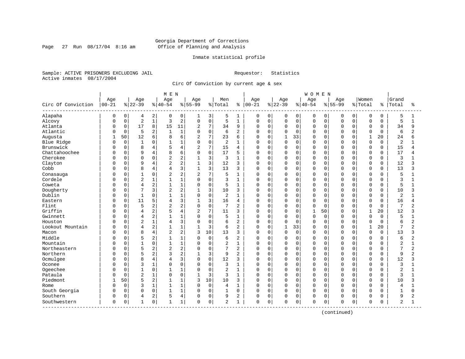Page 27 Run  $08/17/04$  8:16 am

#### Inmate statistical profile

Sample: ACTIVE PRISONERS EXCLUDING JAIL Requestor: Statistics Active inmates 08/17/2004

Circ Of Conviction by current age & sex

| Circ Of Conviction<br>Alapaha | Age<br>$00 - 21$<br>0<br>O<br>O | 0<br>0      | Age<br>$8 22-39$<br>4 | 2              | Age<br>$ 40-54$ |                | Age<br>$8 55-99$ |                | Men<br>% Total | နွ             | Age<br>$ 00 - 21$ |             | Age<br>$ 22-39$ |          | Age<br>$ 40-54$ |             | Age       |             | Women<br>% Total | ႜ           | Grand<br>Total | ႜ              |
|-------------------------------|---------------------------------|-------------|-----------------------|----------------|-----------------|----------------|------------------|----------------|----------------|----------------|-------------------|-------------|-----------------|----------|-----------------|-------------|-----------|-------------|------------------|-------------|----------------|----------------|
|                               |                                 |             |                       |                |                 |                |                  |                |                |                |                   |             |                 |          |                 |             |           |             |                  |             |                |                |
|                               |                                 |             |                       |                |                 |                |                  |                |                |                |                   |             |                 |          |                 |             | $8 55-99$ |             |                  |             |                |                |
|                               |                                 |             |                       |                | 0               | 0              | 1                | 3              | 5              | 1              | 0                 | 0           | 0               | 0        | 0               | 0           | 0         | $\mathbf 0$ | 0                | 0           | 5              | 1              |
| Alcovy                        |                                 |             | $\overline{a}$        | $\mathbf{1}$   | 3               | $\sqrt{2}$     | $\mathbf 0$      | $\mathsf 0$    | 5              | $1\,$          | 0                 | $\mathbf 0$ | 0               | 0        | $\mathbf 0$     | $\mathbf 0$ | $\Omega$  | $\Omega$    | $\mathbf 0$      | 0           | 5              | $\mathbf{1}$   |
| Atlanta                       |                                 | 0           | 17                    | 8              | 15              | 11             | $\overline{2}$   | 7              | 34             | 9              | 0                 | $\mathbf 0$ | $\mathbf 0$     | 0        | $\Omega$        | $\mathbf 0$ | $\Omega$  | $\Omega$    | $\mathbf 0$      | 0           | 34             | 9              |
| Atlantic                      | U                               | $\mathbf 0$ | 5                     | 2              |                 | $1\,$          | $\Omega$         | $\mathbf 0$    | 6              | $\overline{2}$ | O                 | $\mathbf 0$ | $\Omega$        | $\Omega$ | $\Omega$        | $\mathbf 0$ | $\cap$    | $\Omega$    | $\mathbf 0$      | $\Omega$    | 6              | $\overline{2}$ |
| Augusta                       | $\mathbf{1}$                    | 50          | 12                    | 6              | 8               | 6              | $\overline{2}$   | $\overline{7}$ | 23             | 6              | U                 | $\Omega$    | $\mathbf{1}$    | 33       | $\Omega$        | $\Omega$    | n         | U           | $\mathbf{1}$     | 20          | 24             | 6              |
| Blue Ridge                    | U                               | $\mathbf 0$ | $\mathbf{1}$          | 0              |                 | $1\,$          | $\Omega$         | $\mathbf 0$    | $\overline{2}$ | -1             | 0                 | $\mathbf 0$ | $\mathbf 0$     | $\Omega$ | $\Omega$        | 0           | $\Omega$  | $\Omega$    | $\mathbf 0$      | $\Omega$    | $\overline{2}$ |                |
| Brunswick                     |                                 | 0           | 8                     | 4              |                 | $\overline{4}$ | $\overline{c}$   | 7              | 15             | 4              | 0                 | 0           | 0               | 0        | $\Omega$        | 0           | $\Omega$  | $\Omega$    | 0                | $\mathbf 0$ | 15             | 4              |
| Chattahoochee                 | U                               | 0           | 9                     | 4              | 8               | 6              | $\Omega$         | $\mathbf 0$    | 17             | 5              | U                 | 0           | $\mathbf 0$     | $\Omega$ | $\Omega$        | 0           | $\Omega$  | $\Omega$    | $\Omega$         | $\Omega$    | 17             | 4              |
| Cherokee                      | U                               | 0           | 0                     | 0              | 2               | $\overline{2}$ |                  | $\overline{3}$ | 3              | $\mathbf{1}$   | 0                 | 0           | 0               | 0        | $\Omega$        | 0           | $\Omega$  | $\Omega$    | 0                | 0           | 3              |                |
| Clayton                       | U                               | 0           | 9                     | 4              | 2               | $\overline{2}$ | -1               | 3              | 12             | 3              | 0                 | $\Omega$    | 0               | $\Omega$ | $\mathbf 0$     | $\mathbf 0$ | $\Omega$  | $\cap$      | $\mathbf 0$      | $\mathbf 0$ | 12             | 3              |
| Cobb                          |                                 | $\Omega$    | 8                     | 4              | $\overline{4}$  | 3              | $\mathbf{1}$     | 3              | 13             | 3              | $\Omega$          | $\Omega$    | $\Omega$        | $\Omega$ | $\Omega$        | $\Omega$    | $\Omega$  | $\Omega$    | $\Omega$         | $\Omega$    | 13             | 3              |
| Conasauga                     |                                 | 0           | $\mathbf{1}$          | 0              | 2               | $\overline{c}$ | $\overline{2}$   | 7              | 5              | $\mathbf{1}$   | 0                 | $\mathbf 0$ | 0               | $\Omega$ | $\Omega$        | $\Omega$    | $\Omega$  | $\Omega$    | $\mathbf 0$      | $\Omega$    | 5              |                |
| Cordele                       |                                 | 0           | $\overline{c}$        | 1              |                 | $\overline{1}$ | $\Omega$         | $\mathsf 0$    | 3              | 1              | 0                 | $\mathbf 0$ | 0               | 0        | $\Omega$        | 0           | $\Omega$  | $\Omega$    | $\mathbf 0$      | 0           | 3              |                |
| Coweta                        |                                 | 0           | 4                     | 2              |                 | $1\,$          | $\Omega$         | $\mathbf 0$    | 5              | 1              | U                 | 0           | 0               | 0        | $\Omega$        | 0           | $\cap$    | $\cap$      | $\mathbf 0$      | 0           | 5              | 1              |
| Dougherty                     | U                               | 0           | 7                     | 3              | $\overline{2}$  | $\overline{2}$ |                  | $\overline{3}$ | 10             | 3              | 0                 | $\Omega$    | 0               | 0        | $\Omega$        | 0           | $\Omega$  | $\cap$      | 0                | 0           | 10             | 3              |
| Dublin                        | U                               | 0           | $\mathbf{1}$          | 0              |                 | $1\,$          | $\Omega$         | $\mathbf 0$    | 2              | 1              | U                 | $\Omega$    | 0               | $\Omega$ | $\Omega$        | 0           | $\Omega$  | $\Omega$    | $\mathbf 0$      | 0           | $\overline{2}$ |                |
| Eastern                       |                                 | $\Omega$    | 11                    | 5              | $\overline{4}$  | 3              | $\mathbf{1}$     | 3              | 16             | 4              | 0                 | $\Omega$    | $\Omega$        | $\Omega$ | $\Omega$        | $\Omega$    | $\Omega$  | $\Omega$    | $\Omega$         | $\Omega$    | 16             | 4              |
| Flint                         |                                 | $\Omega$    | 5                     | 2              | 2               | $\overline{c}$ | $\Omega$         | $\mathbf 0$    | 7              | $\overline{2}$ | 0                 | $\Omega$    | $\Omega$        | $\Omega$ | $\Omega$        | $\Omega$    | $\Omega$  | $\Omega$    | $\Omega$         | $\Omega$    | 7              | $\overline{2}$ |
| Griffin                       |                                 | 0           | 4                     | $\overline{c}$ |                 | $\overline{4}$ | $\overline{2}$   | 7              | 11             | 3              | O                 | $\Omega$    | $\Omega$        | $\Omega$ | $\mathbf{1}$    | 50          | $\Omega$  | $\Omega$    | $\mathbf{1}$     | 20          | 12             | 3              |
| Gwinnett                      | O                               | 0           | 4                     | 2              |                 | $1\,$          | $\Omega$         | $\Omega$       | 5              | $\mathbf{1}$   | O                 | $\mathbf 0$ | $\mathbf 0$     | $\Omega$ | $\Omega$        | $\Omega$    | $\Omega$  | $\Omega$    | $\Omega$         | $\Omega$    | 5              | $\mathbf{1}$   |
| Houston                       | Ω                               | 0           | $\overline{2}$        | $\mathbf 1$    | 4               | 3              | $\Omega$         | $\mathbf 0$    | 6              | $\overline{c}$ | U                 | $\Omega$    | $\Omega$        | $\Omega$ | $\Omega$        | 0           | $\Omega$  | $\Omega$    | $\Omega$         | $\Omega$    | 6              | $\overline{2}$ |
| Lookout Mountain              | U                               | $\Omega$    | 4                     | 2              |                 | $1\,$          | $\mathbf{1}$     | 3              | 6              | $\overline{2}$ | $\Omega$          | $\Omega$    | $\mathbf{1}$    | 33       | $\Omega$        | $\Omega$    | $\Omega$  | $\cap$      | $\mathbf{1}$     | 20          | 7              | $\overline{a}$ |
| Macon                         | U                               | $\Omega$    | 8                     | 4              | 2               | $\overline{c}$ | 3                | 10             | 13             | 3              | 0                 | $\mathbf 0$ | $\Omega$        | 0        | $\mathbf 0$     | 0           | $\Omega$  | $\Omega$    | $\Omega$         | 0           | 13             | 3              |
| Middle                        |                                 | $\Omega$    | 5                     | 2              |                 | $\mathbf{1}$   | $\Omega$         | $\mathbf 0$    | 6              | $\overline{c}$ | 0                 | $\Omega$    | $\Omega$        | $\Omega$ | $\Omega$        | $\Omega$    | $\Omega$  | $\Omega$    | $\mathbf 0$      | $\Omega$    | 6              | $\overline{2}$ |
| Mountain                      |                                 | 0           | $\overline{1}$        | 0              |                 | $\mathbf 1$    | 0                | $\mathbf 0$    | $\overline{2}$ | $\mathbf{1}$   | 0                 | $\Omega$    | $\Omega$        | $\Omega$ | $\Omega$        | $\mathbf 0$ | $\Omega$  | $\Omega$    | $\mathbf 0$      | $\Omega$    | $\overline{2}$ | 1              |
| Northeastern                  | U                               | 0           | 5                     | 2              | $\overline{2}$  | $\sqrt{2}$     | $\Omega$         | $\Omega$       | 7              | $\overline{2}$ | O                 | $\Omega$    | $\Omega$        | $\Omega$ | $\Omega$        | $\mathbf 0$ | $\Omega$  | $\Omega$    | $\Omega$         | $\Omega$    | 7              | $\overline{2}$ |
| Northern                      | U                               | 0           | 5                     | 2              | κ               | $\overline{c}$ |                  | 3              | 9              | $\overline{2}$ | U                 | $\Omega$    | $\Omega$        | $\Omega$ | $\Omega$        | 0           | $\Omega$  | $\Omega$    | $\mathbf 0$      | 0           | 9              | $\overline{2}$ |
| Ocmulgee                      |                                 | $\Omega$    | 8                     | $\overline{4}$ | 4               | 3              | $\Omega$         | $\mathbf 0$    | 12             | 3              | U                 | $\Omega$    | $\Omega$        | $\Omega$ | $\Omega$        | $\Omega$    | $\Omega$  | $\cap$      | $\Omega$         | $\Omega$    | 12             | ς              |
| Oconee                        |                                 | $\Omega$    | 3                     | 1              | $\Omega$        | $\mathbf 0$    | $\Omega$         | $\Omega$       | 3              | $\mathbf{1}$   | U                 | $\Omega$    | $\Omega$        | $\Omega$ | $\Omega$        | $\Omega$    | $\cap$    | $\cap$      | $\Omega$         | $\Omega$    | 3              |                |
| Ogeechee                      |                                 | 0           |                       | 0              |                 | $1\,$          | $\Omega$         | $\mathsf 0$    | 2              | $\mathbf{1}$   | U                 | $\mathbf 0$ | $\Omega$        | $\Omega$ | $\Omega$        | 0           |           | $\Omega$    | $\mathbf 0$      | 0           | 2              | 1              |
| Pataula                       |                                 | $\mathbf 0$ | $\overline{2}$        | 1              | $\Omega$        | $\mathsf 0$    | 1                | 3              | 3              | 1              | 0                 | $\mathbf 0$ | $\Omega$        | 0        | $\Omega$        | $\mathbf 0$ | $\Omega$  | $\Omega$    | $\mathbf 0$      | 0           | 3              |                |
| Piedmont                      | -1                              | 50          |                       | 2              |                 | 1              | 3                | 10             | 10             | 3              | 0                 | 0           | 0               | 0        | $\Omega$        | 0           | $\Omega$  | $\Omega$    | $\mathbf 0$      | 0           | 10             | 3              |
| Rome                          |                                 | $\mathbf 0$ | 3                     | 1              |                 | $\mathbf{1}$   | 0                | $\mathbf 0$    | 4              | $\mathbf{1}$   | 0                 | 0           | 0               | 0        | $\Omega$        | 0           | $\Omega$  | $\Omega$    | $\mathbf 0$      | 0           | 4              |                |
| South Georgia                 | U                               | $\Omega$    | $\Omega$              | 0              |                 | $1\,$          | $\Omega$         | $\mathbf 0$    | $\mathbf{1}$   | $\Omega$       | $\Omega$          | $\Omega$    | $\Omega$        | $\Omega$ | $\Omega$        | $\mathbf 0$ | $\Omega$  | $\Omega$    | $\Omega$         | $\Omega$    | $\mathbf{1}$   | $\Omega$       |
| Southern                      | 0                               | 0           | 4                     | 2              | 5               | 4              | $\Omega$         | $\mathbf 0$    | 9              | $\overline{2}$ | 0                 | $\Omega$    | $\Omega$        | 0        | $\Omega$        | 0           | $\Omega$  | $\Omega$    | $\Omega$         | $\Omega$    | 9              | 2              |
| Southwestern                  | 0                               | 0           | 1                     | 0              | -1              | 1              | $\Omega$         | $\mathbf 0$    | 2              | 1              | 0                 | 0           | $\Omega$        | 0        | $\Omega$        | 0           | 0         | 0           | $\mathbf 0$      | 0           | 2              | 1              |

(continued)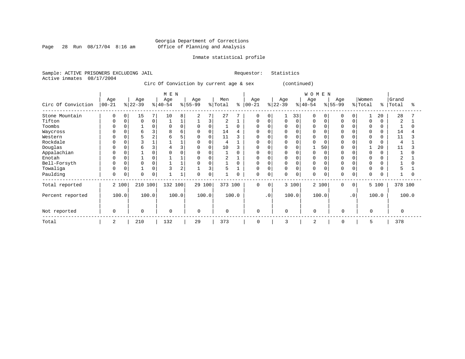Page 28 Run  $08/17/04$  8:16 am

#### Inmate statistical profile

Sample: ACTIVE PRISONERS EXCLUDING JAIL Requestor: Statistics Active inmates 08/17/2004

Circ Of Conviction by current age & sex (continued)

|                    |                  |       |                  |          | M E N            |          |                  |       |                |          |                 |           |                  |             | WOMEN            |          |                 |           |                  |          |                |       |
|--------------------|------------------|-------|------------------|----------|------------------|----------|------------------|-------|----------------|----------|-----------------|-----------|------------------|-------------|------------------|----------|-----------------|-----------|------------------|----------|----------------|-------|
| Circ Of Conviction | Age<br>$00 - 21$ |       | Age<br>$ 22-39 $ |          | Age<br>$ 40-54 $ |          | Age<br>$8 55-99$ |       | Men<br>% Total | ి        | Age<br>$ 00-21$ |           | Age<br>$ 22-39 $ |             | Age<br>$ 40-54 $ |          | Age<br>$ 55-99$ |           | Women<br>% Total | ႜ        | Grand<br>Total |       |
| Stone Mountain     | 0                | 0     | 15               | 7        | 10               | 8        | 2                | 7     | 27             |          | 0               | $\Omega$  |                  | 33          | 0                | 0        | 0               | 0         |                  | 20       | 28             |       |
| Tifton             | $\Omega$         |       | $\Omega$         | 0        |                  |          |                  | 3     | $\overline{2}$ |          | $\Omega$        | $\Omega$  | 0                | $\mathbf 0$ | 0                | $\Omega$ | $\Omega$        |           | 0                |          | $\overline{2}$ |       |
| Toombs             | $\Omega$         |       |                  | 0        | $\Omega$         | $\Omega$ | 0                | 0     |                | $\Omega$ | 0               |           |                  | $\Omega$    | 0                |          | $\Omega$        |           | 0                | 0        |                |       |
| Waycross           | 0                |       | 6                | 3        | 8                | б        | 0                | 0     | 14             |          | $\Omega$        |           |                  |             |                  |          |                 |           | $\Omega$         |          | 14             |       |
| Western            | 0                |       | 5                | 2        |                  |          | $\Omega$         | 0     | 11             | ζ        | O               |           |                  |             |                  |          |                 |           | $\Omega$         |          | 11             |       |
| Rockdale           | O                |       |                  |          |                  |          |                  |       | 4              |          |                 |           |                  | $\sqrt{ }$  |                  |          |                 |           | $\Omega$         |          | $\overline{4}$ |       |
| Douglas            | $\Omega$         |       | 6                | 3        |                  |          | $\Omega$         | 0     | 10             |          | $\Omega$        |           |                  |             |                  | 50       |                 |           |                  | 20       | 11             |       |
| Appalachian        | 0                |       |                  | $\Omega$ |                  |          | $\Omega$         |       |                | $\Omega$ |                 |           |                  |             |                  |          |                 |           | $\Omega$         |          |                |       |
| Enotah             | $\Omega$         |       |                  | 0        |                  |          |                  |       |                |          |                 |           | O                | $\Omega$    |                  |          |                 |           | $\Omega$         |          |                |       |
| Bell-Forsyth       | 0                |       |                  | $\Omega$ |                  |          | $\Omega$         |       |                | $\Omega$ | <sup>0</sup>    |           | <sup>0</sup>     |             |                  |          |                 |           | $\Omega$         |          |                |       |
| Towaliga           | $\Omega$         |       |                  | 0        |                  | 2        |                  | 3     | 5              |          | 0               |           | 0                | $\Omega$    | O                |          | $\Omega$        |           | $\Omega$         |          |                |       |
| Paulding           | 0                | 0     | $\Omega$         | 0        |                  |          | $\Omega$         | 0     |                | 0        | 0               | 0         | 0                | 0           | 0                | 0        | $\Omega$        | 0         | $\Omega$         | $\Omega$ |                |       |
| Total reported     |                  | 2 100 | 210 100          |          | 132 100          |          | 29 100           |       | 373 100        |          | 0               | $\Omega$  |                  | 3 100       |                  | 2 100    | $\Omega$        | $\Omega$  |                  | 5 100    | 378 100        |       |
| Percent reported   |                  | 100.0 |                  | 100.0    |                  | 100.0    |                  | 100.0 |                | 100.0    |                 | $\cdot$ 0 |                  | 100.0       |                  | 100.0    |                 | $\cdot$ 0 |                  | 100.0    |                | 100.0 |
| Not reported       | $\mathbf 0$      |       | $\Omega$         |          | $\mathbf 0$      |          | $\Omega$         |       | $\mathbf 0$    |          | 0               |           | $\mathbf 0$      |             | $\Omega$         |          | $\Omega$        |           | $\Omega$         |          | $\Omega$       |       |
| Total              | 2                |       | 210              |          | 132              |          | 29               |       | 373            |          | $\mathbf 0$     |           | 3                |             | 2                |          | 0               |           | 5                |          | 378            |       |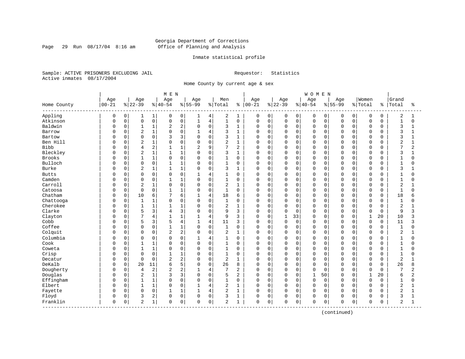Page 29 Run  $08/17/04$  8:16 am

#### Inmate statistical profile

Sample: ACTIVE PRISONERS EXCLUDING JAIL Requestor: Statistics Active inmates 08/17/2004

Home County by current age & sex

|                         |           |              |                |              | M E N          |                |                |                |                |              |           |             |          |              | <b>WOMEN</b> |             |              |          |              |             |                |                |
|-------------------------|-----------|--------------|----------------|--------------|----------------|----------------|----------------|----------------|----------------|--------------|-----------|-------------|----------|--------------|--------------|-------------|--------------|----------|--------------|-------------|----------------|----------------|
|                         | Age       |              | Age            |              | Age            |                | Age            |                | Men            |              | Age       |             | Age      |              | Age          |             | Age          |          | Women        |             | Grand          |                |
| Home County<br>-------- | $00 - 21$ |              | $8 22-39$      |              | $8140 - 54$    |                | $8155 - 99$    |                | % Total        | ႜ            | $00 - 21$ |             | $ 22-39$ |              | $ 40-54$     |             | $8 55-99$    |          | % Total      | နွ          | Total          | ႜ              |
| Appling                 | 0         | 0            | 1              | 1            | 0              | 0              | ı              | 4              | 2              | 1            | 0         | 0           | 0        | 0            | 0            | 0           | 0            | 0        | 0            | 0           | 2              | 1              |
| Atkinson                | $\Omega$  | $\mathsf{O}$ | $\mathsf 0$    | $\mathsf 0$  | $\mathbf 0$    | 0              | $\mathbf{1}$   | $\,4$          | $\mathbf{1}$   | $\mathbf 0$  | $\Omega$  | $\mathbf 0$ | 0        | $\mathsf{O}$ | $\mathsf 0$  | $\mathbf 0$ | $\mathbf 0$  | 0        | $\mathsf 0$  | $\mathbf 0$ | $\mathbf{1}$   | $\Omega$       |
| Baldwin                 | C         | 0            | $\mathbf{1}$   | 1            | $\overline{2}$ | 2              | $\Omega$       | $\mathbf 0$    | 3              | $\mathbf{1}$ | 0         | $\mathbf 0$ | $\Omega$ | $\mathbf 0$  | $\mathbf 0$  | 0           | $\Omega$     | $\Omega$ | $\mathbf 0$  | 0           | 3              | 1              |
| Barrow                  | C         | 0            | $\sqrt{2}$     | $\mathbf 1$  | $\Omega$       | 0              |                | $\overline{4}$ | 3              | 1            | 0         | $\mathbf 0$ | 0        | $\mathbf 0$  | $\mathbf 0$  | $\Omega$    | $\Omega$     | O        | $\Omega$     | $\Omega$    | 3              |                |
| Bartow                  | C         | $\Omega$     | $\Omega$       | 0            | κ              | 3              | $\Omega$       | $\mathbf 0$    | 3              | $\mathbf{1}$ | U         | $\mathbf 0$ | 0        | $\Omega$     | $\mathbf 0$  | $\Omega$    | $\Omega$     | U        | $\Omega$     | $\cap$      | 3              |                |
| Ben Hill                | C         | $\Omega$     | $\overline{2}$ | 1            | $\Omega$       | $\Omega$       | 0              | $\mathbf 0$    | $\overline{2}$ | $\mathbf{1}$ | 0         | $\mathbf 0$ | 0        | $\Omega$     | $\mathbf 0$  | $\Omega$    | $\Omega$     | $\Omega$ | $\Omega$     | O           | 2              |                |
| Bibb                    | C         | 0            | 4              | 2            | 1              | 1              | $\overline{2}$ | 9              | 7              | 2            | 0         | $\mathbf 0$ | $\Omega$ | 0            | $\mathbf 0$  | 0           | $\Omega$     | 0        | $\Omega$     | $\Omega$    | 7              | $\overline{a}$ |
| Bleckley                | C         | 0            | $\overline{2}$ | $\mathbf 1$  | $\mathbf{1}$   | 1              | $\Omega$       | $\mathbf 0$    | 3              | $\mathbf{1}$ | 0         | $\mathbf 0$ | 0        | $\Omega$     | 0            | $\Omega$    | $\Omega$     | 0        | $\mathbf 0$  | $\Omega$    | 3              |                |
| Brooks                  | C         | 0            | $\mathbf{1}$   | 1            | $\Omega$       | 0              | $\Omega$       | 0              | $\mathbf{1}$   | $\mathbf 0$  | 0         | $\mathbf 0$ | 0        | 0            | 0            | $\Omega$    | $\Omega$     | 0        | 0            | 0           | 1              | O              |
| Bulloch                 | C         | 0            | $\mathbf 0$    | 0            | 1              | 1              | $\Omega$       | $\mathbf 0$    | 1              | 0            | 0         | $\mathbf 0$ | $\Omega$ | $\mathbf 0$  | $\mathbf 0$  | $\Omega$    | $\Omega$     | 0        | $\Omega$     | $\Omega$    | $\mathbf{1}$   |                |
| Burke                   | C         | 0            | $\overline{2}$ | 1            | $\mathbf{1}$   | 1              | $\Omega$       | $\mathbf 0$    | 3              | 1            | 0         | $\mathbf 0$ | 0        | $\mathbf 0$  | $\mathbf 0$  | $\Omega$    | $\Omega$     | $\Omega$ | $\mathbf 0$  | $\Omega$    | 3              |                |
| <b>Butts</b>            | C         | $\Omega$     | $\mathbf 0$    | 0            | $\Omega$       | $\Omega$       | 1              | $\overline{4}$ | 1              | $\Omega$     | 0         | $\mathbf 0$ | 0        | $\Omega$     | $\mathbf 0$  | $\Omega$    | $\Omega$     | 0        | $\Omega$     | O           | $\mathbf{1}$   | O              |
| Camden                  | C         | 0            | $\Omega$       | 0            | 1              | 1              | $\Omega$       | $\mathsf 0$    | 1              | 0            | 0         | $\mathbf 0$ | 0        | $\mathbf 0$  | $\mathbf 0$  | $\mathbf 0$ | $\Omega$     | $\Omega$ | $\Omega$     | $\Omega$    | $\mathbf 1$    | O              |
| Carroll                 | C         | 0            | $\sqrt{2}$     | $1\,$        | $\Omega$       | 0              | $\Omega$       | 0              | $\overline{2}$ | 1            | 0         | $\mathbf 0$ | $\Omega$ | $\Omega$     | 0            | 0           | $\Omega$     | $\Omega$ | $\mathbf 0$  | $\Omega$    | $\overline{a}$ |                |
| Catoosa                 | C         | 0            | $\mathbf 0$    | $\mathbf 0$  | $\mathbf{1}$   | 1              | $\Omega$       | $\mathbf 0$    | 1              | $\mathbf 0$  | 0         | $\mathbf 0$ | 0        | 0            | $\mathbf 0$  | 0           | $\Omega$     | 0        | $\mathbf 0$  | 0           | $\mathbf{1}$   | U              |
| Chatham                 | C         | 0            | 10             | 6            |                | 6              |                | $\overline{4}$ | 18             | 6            | 0         | $\mathbf 0$ | 0        | $\Omega$     | $\mathbf 0$  | $\Omega$    | $\Omega$     | O        | $\Omega$     | $\Omega$    | 18             |                |
| Chattooga               | C         | $\Omega$     | $\mathbf 1$    | 1            | $\Omega$       | $\Omega$       | $\Omega$       | $\mathbf 0$    | 1              | $\mathbf 0$  | 0         | $\mathbf 0$ | 0        | $\mathbf 0$  | $\mathbf 0$  | $\Omega$    | $\Omega$     | U        | $\mathbf 0$  | $\Omega$    | $\mathbf 1$    | ∩              |
| Cherokee                | 0         | $\Omega$     | $\mathbf{1}$   | $\mathbf{1}$ | 1              | 1              | $\Omega$       | $\mathsf 0$    | $\overline{2}$ | $\mathbf{1}$ | 0         | $\mathbf 0$ | 0        | $\mathbf 0$  | $\mathbf 0$  | 0           | $\Omega$     | $\Omega$ | $\Omega$     | $\Omega$    | 2              |                |
| Clarke                  | C         | 0            | 5              | 3            | 4              | 3              | $\Omega$       | 0              | 9              | 3            | 0         | $\mathbf 0$ | 0        | $\mathbf 0$  | 0            | 0           | $\Omega$     | 0        | $\mathbf 0$  | 0           | 9              | 3              |
| Clayton                 | C         | 0            | 7              | 4            | $\mathbf{1}$   | 1              | $\mathbf{1}$   | 4              | 9              | 3            | 0         | $\mathbf 0$ | 1        | 33           | 0            | 0           | $\mathbf{0}$ | 0        | $\mathbf{1}$ | 20          | 10             | 3              |
| Cobb                    | C         | 0            | 5              | 3            | 5              | 4              | 1              | $\overline{4}$ | 11             | 3            | 0         | 0           | 0        | $\mathbf 0$  | 0            | 0           | 0            | O        | $\mathbf 0$  | $\mathbf 0$ | 11             | 3              |
| Coffee                  | C         | 0            | $\mathbf 0$    | 0            | $\mathbf{1}$   | 1              | $\Omega$       | $\mathbf 0$    | $\mathbf{1}$   | 0            | 0         | $\mathbf 0$ | 0        | $\mathbf 0$  | $\mathbf 0$  | $\Omega$    | $\Omega$     | $\Omega$ | $\Omega$     | $\mathbf 0$ | $\mathbf 1$    |                |
| Colquit                 | C         | $\Omega$     | $\Omega$       | 0            | $\overline{c}$ | $\overline{a}$ | $\Omega$       | $\mathbf 0$    | 2              | $\mathbf{1}$ | 0         | $\mathbf 0$ | $\Omega$ | $\Omega$     | $\Omega$     | $\Omega$    | $\Omega$     | $\Omega$ | $\Omega$     | $\Omega$    | $\overline{2}$ |                |
| Columbia                | C         | 0            | $\Omega$       | 0            | $\Omega$       | $\Omega$       | 1              | $\overline{4}$ | 1              | $\mathbf 0$  | 0         | $\mathbf 0$ | $\Omega$ | 0            | $\mathbf 0$  | $\Omega$    | $\Omega$     | $\Omega$ | $\Omega$     | O           | 1              | O              |
| Cook                    | C         | 0            | $\mathbf{1}$   | 1            | O              | 0              | $\Omega$       | $\mathsf 0$    | 1              | 0            | 0         | $\mathbf 0$ | 0        | 0            | 0            | 0           | $\Omega$     | 0        | $\mathbf 0$  | $\Omega$    | $\mathbf{1}$   |                |
| Coweta                  | C         | $\Omega$     | $\mathbf{1}$   | $\mathbf 1$  | $\Omega$       | 0              | $\Omega$       | $\mathbf 0$    | 1              | $\mathbf 0$  | 0         | $\mathbf 0$ | 0        | $\Omega$     | 0            | $\Omega$    | $\Omega$     | O        | $\Omega$     | $\Omega$    | $\mathbf{1}$   | U              |
| Crisp                   | C         | 0            | $\mathbf 0$    | 0            |                | 1              | $\Omega$       | $\mathbf 0$    | 1              | 0            | 0         | $\mathbf 0$ | 0        | 0            | 0            | $\Omega$    | $\Omega$     | O        | 0            | 0           | $\mathbf{1}$   | O              |
| Decatur                 | C         | 0            | $\mathbf 0$    | $\mathbf 0$  | $\overline{2}$ | 2              | $\Omega$       | 0              | 2              | 1            | 0         | $\mathbf 0$ | 0        | 0            | $\mathbf 0$  | $\Omega$    | $\Omega$     | O        | $\Omega$     | 0           | $\overline{2}$ |                |
| DeKalb                  | C         | $\Omega$     | 20             | 11           | 6              | 5              | $\Omega$       | $\mathbf 0$    | 26             | 8            | 0         | $\mathbf 0$ | 0        | $\mathbf 0$  | $\mathbf 0$  | $\Omega$    | $\Omega$     | $\Omega$ | $\mathbf 0$  | $\Omega$    | 26             | 8              |
| Dougherty               | 0         | 0            | 4              | 2            |                | 2              |                | 4              | 7              | 2            | 0         | $\mathbf 0$ | 0        | 0            | $\mathbf 0$  | 0           | $\Omega$     | 0        | 0            | 0           | 7              | 2              |
| Douglas                 | C         | 0            | $\overline{2}$ | $\mathbf{1}$ |                | 3              | $\Omega$       | $\mathbf 0$    | 5              | 2            | 0         | $\mathbf 0$ | 0        | $\mathbf 0$  | $\mathbf{1}$ | 50          | $\Omega$     | 0        | $\mathbf{1}$ | 20          | 6              | 2              |
| Effingham               | C         | $\Omega$     | $\mathbf{1}$   | 1            | $\Omega$       | $\Omega$       | $\Omega$       | $\mathbf 0$    | $\mathbf{1}$   | $\mathbf 0$  | 0         | $\mathbf 0$ | $\Omega$ | $\Omega$     | $\mathbf 0$  | $\Omega$    | $\Omega$     | $\Omega$ | $\Omega$     | $\Omega$    | $\mathbf{1}$   | $\Omega$       |
| Elbert                  | C         | $\Omega$     | $\mathbf{1}$   | 1            | $\Omega$       | 0              |                | $\overline{4}$ | $\overline{c}$ | 1            | 0         | $\mathbf 0$ | $\Omega$ | $\mathbf 0$  | $\mathbf 0$  | $\Omega$    | $\Omega$     | 0        | $\Omega$     | $\Omega$    | $\overline{2}$ |                |
| Fayette                 | 0         | $\Omega$     | $\mathbf 0$    | $\mathbf 0$  | $\mathbf{1}$   | 1              | $\mathbf{1}$   | 4              | 2              | $\mathbf{1}$ | 0         | $\mathbf 0$ | $\Omega$ | $\Omega$     | $\Omega$     | $\mathbf 0$ | $\Omega$     | $\Omega$ | $\Omega$     | $\Omega$    | $\overline{2}$ | $\mathbf{1}$   |
| Floyd                   | C         | 0            | 3              | 2            | $\Omega$       | 0              | $\mathbf 0$    | 0              | 3              | 1            | 0         | $\mathbf 0$ | 0        | 0            | $\mathbf 0$  | $\mathbf 0$ | $\Omega$     | 0        | $\Omega$     | 0           | 3              | 1              |
| Franklin<br>--------    | 0         | 0            | 2              | 1            | $\mathbf 0$    | 0              | $\Omega$       | $\mathsf 0$    | $\overline{2}$ | 1            | 0         | $\mathbf 0$ | 0        | 0            | $\mathbf 0$  | 0           | $\Omega$     | 0        | $\mathbf 0$  | $\Omega$    | 2              | 1              |

(continued)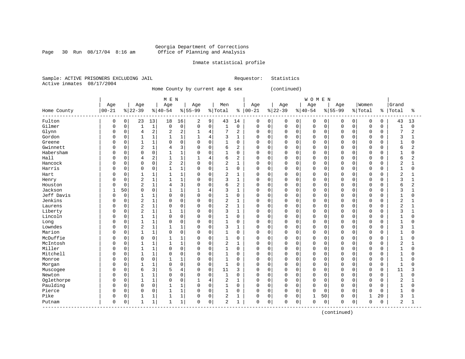Page 30 Run  $08/17/04$  8:16 am

#### Inmate statistical profile

Sample: ACTIVE PRISONERS EXCLUDING JAIL Requestor: Statistics Active inmates 08/17/2004

Home County by current age & sex (continued)

|                               |             |          |                |              | M E N          |                |             |                |                |                |               |          |           |             | <b>WOMEN</b> |             |             |             |             |             |                |                |
|-------------------------------|-------------|----------|----------------|--------------|----------------|----------------|-------------|----------------|----------------|----------------|---------------|----------|-----------|-------------|--------------|-------------|-------------|-------------|-------------|-------------|----------------|----------------|
|                               | Age         |          | Age            |              | Age            |                | Age         |                | Men            |                | Age           |          | Age       |             | Age          |             | Age         |             | Women       |             | Grand          |                |
| Home County                   | $00 - 21$   |          | $8 22-39$      |              | $8 40-54$      |                | $8 55-99$   |                | % Total        |                | $8   00 - 21$ |          | $8 22-39$ |             | $ 40-54$     |             | $8 55-99$   |             | % Total     | ႜ           | Total          | ిక             |
| Fulton                        | 0           | 0        | 23             | 13           | 18             | 16             | 2           | 9              | 43             | 14             | 0             | 0        | 0         | 0           | 0            | $\mathbf 0$ | 0           | $\mathbf 0$ | 0           | 0           | 43             | 13             |
| Gilmer                        | $\mathbf 0$ | 0        | $\mathbf{1}$   | $1\,$        | $\mathbf 0$    | $\mathsf 0$    | $\mathsf 0$ | $\mathbf 0$    | 1              | $\mathbf 0$    | 0             | 0        | $\Omega$  | $\mathbf 0$ | $\mathbf 0$  | $\mathbf 0$ | $\mathbf 0$ | $\Omega$    | $\mathbf 0$ | 0           | $\mathbf{1}$   | $\mathbf 0$    |
| Glynn                         | 0           | 0        | $\overline{4}$ | $\sqrt{2}$   | $\overline{2}$ | $\overline{c}$ | $\mathbf 1$ | $\overline{4}$ | 7              | $\overline{2}$ | $\mathbf 0$   | 0        | $\Omega$  | $\mathbf 0$ | $\mathbf 0$  | $\mathbf 0$ | $\Omega$    | $\Omega$    | $\mathbf 0$ | $\Omega$    | 7              | $\overline{2}$ |
| Gordon                        | O           | $\Omega$ | $\mathbf{1}$   | $\mathbf 1$  | 1              | $\mathbf{1}$   | $\mathbf 1$ | $\overline{4}$ | 3              | $\mathbf 1$    | $\Omega$      | 0        | $\Omega$  | $\Omega$    | $\Omega$     | $\Omega$    | $\Omega$    | $\Omega$    | $\Omega$    | $\Omega$    | 3              | $\mathbf{1}$   |
| Greene                        | O           | 0        | $\mathbf{1}$   | $1\,$        | $\Omega$       | $\mathbf 0$    | $\mathbf 0$ | $\Omega$       | 1              | $\mathbf 0$    | $\mathbf 0$   | 0        | $\Omega$  | $\Omega$    | $\mathbf 0$  | 0           | $\Omega$    | $\Omega$    | $\Omega$    | 0           | 1              | 0              |
| Gwinnett                      | O           | 0        | $\overline{c}$ | $1\,$        | 4              | 3              | $\Omega$    | $\Omega$       | 6              | $\overline{2}$ | $\mathbf 0$   | $\Omega$ | $\Omega$  | $\Omega$    | $\Omega$     | $\Omega$    | $\Omega$    | U           | 0           | $\Omega$    | 6              | $\overline{2}$ |
| Habersham                     | O           | $\Omega$ | $\Omega$       | $\mathsf 0$  |                | $\mathbf{1}$   | $\Omega$    | $\Omega$       | 1              | $\mathbf 0$    | $\mathbf 0$   | $\Omega$ | $\Omega$  | $\Omega$    | $\mathbf 0$  | $\Omega$    | $\Omega$    | $\Omega$    | $\Omega$    | $\Omega$    | 1              | $\Omega$       |
| Hall                          | O           | $\Omega$ | 4              | $\sqrt{2}$   | $\mathbf{1}$   | $\mathbf{1}$   | 1           | 4              | 6              | $\overline{2}$ | $\Omega$      | $\Omega$ | $\Omega$  | $\Omega$    | $\Omega$     | $\Omega$    | $\Omega$    | $\Omega$    | $\Omega$    | $\Omega$    | 6              | $\overline{2}$ |
| Hancock                       | 0           | $\Omega$ | $\Omega$       | $\mathbf 0$  | $\overline{c}$ | $\overline{2}$ | $\mathbf 0$ | $\Omega$       | $\overline{2}$ | $\mathbf{1}$   | $\Omega$      | $\Omega$ | $\Omega$  | $\Omega$    | $\Omega$     | $\Omega$    | $\Omega$    | $\Omega$    | $\Omega$    | $\Omega$    | $\overline{c}$ | $\mathbf{1}$   |
| Harris                        | 0           | 0        | $\Omega$       | $\mathbf 0$  |                | $\mathbf{1}$   | 0           | $\mathbf 0$    | 1              | $\mathbf 0$    | $\Omega$      | 0        | $\Omega$  | 0           | $\Omega$     | $\mathbf 0$ | $\Omega$    | $\Omega$    | $\mathbf 0$ | $\Omega$    | 1              | 0              |
| Hart                          | 0           | $\Omega$ |                | $1\,$        |                | $\mathbf{1}$   | 0           | $\Omega$       | 2              | 1              | 0             | 0        | $\Omega$  | $\Omega$    | $\Omega$     | $\Omega$    | $\Omega$    | $\Omega$    | 0           | $\Omega$    | 2              |                |
| Henry                         | 0           | 0        | $\overline{c}$ | $\mathbf 1$  | 1              | $\mathbf{1}$   | $\Omega$    | $\Omega$       | 3              | $\mathbf{1}$   | $\Omega$      | 0        | $\Omega$  | $\Omega$    | $\mathbf 0$  | $\Omega$    | $\Omega$    | $\Omega$    | $\mathbf 0$ | $\Omega$    | 3              | $\mathbf{1}$   |
| Houston                       | O           | 0        | $\overline{2}$ | $\mathbf 1$  | 4              | 3              | $\mathbf 0$ | $\Omega$       | 6              | $\overline{c}$ | $\mathbf 0$   | 0        | $\Omega$  | $\Omega$    | $\mathbf 0$  | $\mathbf 0$ | $\Omega$    | $\Omega$    | $\mathbf 0$ | 0           | 6              | $\overline{2}$ |
| Jackson                       | 1           | 50       | $\Omega$       | $\mathsf 0$  |                | $\mathbf{1}$   |             | 4              | 3              | $\mathbf 1$    | $\mathbf 0$   | 0        | $\Omega$  | $\Omega$    | $\mathbf 0$  | 0           | $\Omega$    | $\cap$      | 0           | 0           | 3              | 1              |
| Jeff Davis                    | U           | 0        | $\mathbf{1}$   | 1            | $\Omega$       | $\mathbf 0$    | $\Omega$    | $\Omega$       | $\mathbf{1}$   | $\mathbf 0$    | $\Omega$      | 0        | $\Omega$  | $\Omega$    | $\Omega$     | $\Omega$    | $\Omega$    | $\Omega$    | $\mathbf 0$ | $\Omega$    | $\mathbf{1}$   | $\Omega$       |
| Jenkins                       | O           | $\Omega$ | $\overline{2}$ | $\mathbf{1}$ | $\Omega$       | $\Omega$       | $\Omega$    | $\Omega$       | 2              | 1              | $\Omega$      | $\Omega$ | $\Omega$  | $\Omega$    | $\Omega$     | $\Omega$    | $\Omega$    | ∩           | $\Omega$    | $\cap$      | $\overline{2}$ | 1              |
| Laurens                       | U           | $\Omega$ | $\overline{2}$ | $\mathbf 1$  | 0              | $\Omega$       | $\Omega$    | $\Omega$       | 2              | 1              | $\Omega$      | $\Omega$ | $\Omega$  | $\Omega$    | $\Omega$     | $\Omega$    | $\Omega$    | $\Omega$    | $\Omega$    | $\Omega$    | $\overline{c}$ | $\mathbf{1}$   |
| Liberty                       | 0           | 0        | $\overline{2}$ | $\mathbf 1$  | 1              | $\mathbf{1}$   | 0           | $\mathbf 0$    | 3              | $\mathbf{1}$   | $\Omega$      | 0        | 0         | $\Omega$    | $\mathbf 0$  | $\mathbf 0$ | $\Omega$    | $\Omega$    | $\mathbf 0$ | 0           | 3              | $\mathbf{1}$   |
| Lincoln                       |             | 0        | $\mathbf{1}$   | $\mathbf 1$  | $\Omega$       | $\mathsf 0$    | 0           | $\mathbf 0$    | 1              | $\mathbf 0$    | $\Omega$      | 0        | $\Omega$  | 0           | $\Omega$     | $\mathbf 0$ | $\sqrt{ }$  | $\Omega$    | 0           | $\Omega$    | 1              | 0              |
| Long                          | O           | $\Omega$ | $\mathbf{1}$   | 1            | $\cap$         | $\mathbf 0$    | $\Omega$    | $\Omega$       | 1              | $\mathbf 0$    | $\Omega$      | 0        | $\Omega$  | $\Omega$    | $\Omega$     | $\Omega$    | $\Omega$    | $\Omega$    | $\Omega$    | $\Omega$    | $\mathbf{1}$   | $\Omega$       |
| Lowndes                       | O           | 0        | $\overline{2}$ | 1            |                | $\mathbf{1}$   | 0           | $\Omega$       | 3              | 1              | 0             | 0        | $\Omega$  | $\Omega$    | 0            | $\Omega$    | $\Omega$    | $\Omega$    | $\Omega$    | 0           | 3              | 1              |
| Marion                        | 0           | 0        |                | $\mathbf 1$  | 0              | $\mathbf 0$    | $\Omega$    | $\Omega$       | $\mathbf{1}$   | $\mathbf 0$    | $\mathbf 0$   | 0        | $\Omega$  | $\Omega$    | $\Omega$     | $\Omega$    | $\Omega$    | $\Omega$    | $\Omega$    | $\Omega$    |                | 0              |
| McDuffie                      | O           | $\Omega$ | $\Omega$       | $\mathsf 0$  |                | $\mathbf{1}$   | 0           | $\Omega$       | 1              | $\mathbf 0$    | $\mathbf 0$   | 0        | $\Omega$  | $\Omega$    | $\Omega$     | $\Omega$    | $\Omega$    | $\Omega$    | 0           | $\Omega$    |                | $\Omega$       |
| McIntosh                      | O           | $\Omega$ | $\mathbf{1}$   | $\mathbf{1}$ | $\mathbf{1}$   | $\mathbf{1}$   | $\Omega$    | $\Omega$       | $\overline{2}$ | $\mathbf{1}$   | $\Omega$      | $\Omega$ | $\Omega$  | $\Omega$    | $\Omega$     | $\Omega$    | $\Omega$    | $\cap$      | $\Omega$    | $\Omega$    | $\overline{2}$ | 1              |
| Miller                        | U           | $\Omega$ | $\mathbf{1}$   | $1\,$        | $\Omega$       | $\Omega$       | $\Omega$    | $\Omega$       | $\mathbf{1}$   | $\Omega$       | $\Omega$      | $\Omega$ | $\Omega$  | $\Omega$    | $\Omega$     | $\Omega$    | $\Omega$    | $\Omega$    | $\Omega$    | $\Omega$    | $\mathbf{1}$   | 0              |
| Mitchell                      | U           | $\Omega$ |                | $\mathbf{1}$ | $\Omega$       | $\mathbf 0$    | $\mathbf 0$ | $\Omega$       | 1              | 0              | $\mathbf 0$   | 0        | $\Omega$  | $\Omega$    | $\mathbf 0$  | $\mathbf 0$ | $\Omega$    | $\Omega$    | $\mathbf 0$ | 0           | 1              | 0              |
| Monroe                        |             | 0        | $\Omega$       | $\mathsf 0$  | 1              | $\mathbf{1}$   | $\Omega$    | $\mathbf 0$    | $\mathbf{1}$   | $\mathbf 0$    | $\Omega$      | 0        | $\Omega$  | $\mathbf 0$ | $\Omega$     | $\mathbf 0$ | $\Omega$    | $\Omega$    | $\mathbf 0$ | $\Omega$    | $\mathbf{1}$   | 0              |
| Morgan                        | O           | 0        | $\mathbf{1}$   | $1\,$        | $\cap$         | $\mathbf 0$    | $\Omega$    | $\Omega$       | $\mathbf{1}$   | $\mathbf 0$    | $\Omega$      | 0        | $\Omega$  | $\Omega$    | $\mathbf 0$  | $\mathbf 0$ | $\Omega$    | $\Omega$    | $\mathbf 0$ | $\Omega$    | $\mathbf{1}$   | $\cap$         |
| Muscogee                      | O           | $\Omega$ | 6              | 3            | 5              | $\overline{4}$ | $\Omega$    | $\Omega$       | 11             | 3              | 0             | 0        | $\Omega$  | $\Omega$    | $\Omega$     | $\Omega$    | $\Omega$    | $\Omega$    | $\mathbf 0$ | $\Omega$    | 11             | 3              |
| Newton                        | 0           | $\Omega$ |                | $1\,$        |                | $\mathbf 0$    | $\Omega$    | $\Omega$       | $\mathbf{1}$   | 0              | $\mathbf 0$   | 0        | $\Omega$  | $\Omega$    | $\mathbf 0$  | $\Omega$    | $\Omega$    | $\Omega$    | 0           | 0           | 1              | 0              |
| Oglethorpe                    | 0           | 0        | $\mathbf{1}$   | $\mathbf 1$  | $\Omega$       | $\mathbf 0$    | 1           | $\overline{4}$ | $\overline{2}$ | $\mathbf{1}$   | $\mathbf 0$   | 0        | $\Omega$  | $\Omega$    | $\mathbf 0$  | $\Omega$    | $\Omega$    | $\Omega$    | 0           | 0           | 2              |                |
| Paulding                      | O           | $\Omega$ | $\Omega$       | $\mathbf 0$  | 1              | $\mathbf{1}$   | $\mathbf 0$ | $\Omega$       | $\mathbf{1}$   | $\mathbf 0$    | $\Omega$      | 0        | $\Omega$  | $\Omega$    | $\Omega$     | $\Omega$    | $\Omega$    | $\Omega$    | $\mathbf 0$ | $\Omega$    | $\mathbf{1}$   | O              |
| Pierce                        | 0           | $\Omega$ | $\mathbf 0$    | 0            |                | $\mathbf{1}$   | $\Omega$    | $\Omega$       | 1              | $\mathbf 0$    | $\mathbf 0$   | 0        | $\Omega$  | $\Omega$    | $\mathbf 0$  | $\mathbf 0$ | $\Omega$    | $\mathbf 0$ | $\Omega$    | $\mathbf 0$ | $\mathbf{1}$   | 0              |
| Pike                          | 0           | 0        |                | 1            |                | $\mathbf{1}$   | $\Omega$    | $\mathbf 0$    | 2              | $\mathbf{1}$   | 0             | 0        | $\Omega$  | 0           | 1            | 50          | $\Omega$    | 0           | 1           | 20          | 3              | 1              |
| Putnam<br>------------------- | 0           | 0        |                | $1\,$        | 1              | 1              | $\Omega$    | 0              | 2              | 1              | $\mathsf 0$   | 0        | 0         | $\mathsf 0$ | $\mathbf 0$  | $\mathbf 0$ | $\mathbf 0$ | 0           | $\Omega$    | 0           | 2              | $\mathbf{1}$   |

(continued)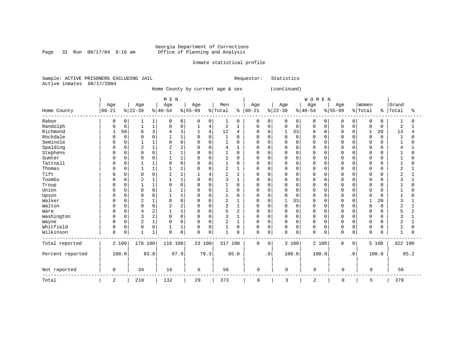#### Georgia Department of Corrections Page 31 Run 08/17/04 8:16 am Office of Planning and Analysis

#### Inmate statistical profile

Sample: ACTIVE PRISONERS EXCLUDING JAIL Requestor: Statistics Active inmates 08/17/2004

Home County by current age & sex (continued)

|                  |              |             |                |              | M E N    |                |           |                |                |                |               |           |              |             | WOMEN       |          |             |             |             |          |                |          |
|------------------|--------------|-------------|----------------|--------------|----------|----------------|-----------|----------------|----------------|----------------|---------------|-----------|--------------|-------------|-------------|----------|-------------|-------------|-------------|----------|----------------|----------|
|                  | Age          |             | Age            |              | Age      |                | Age       |                | Men            |                | Age           |           | Age          |             | Age         |          | Age         |             | Women       |          | Grand          |          |
| Home County      | $00 - 21$    |             | $8 22-39$      |              | $ 40-54$ |                | $ 55-99 $ |                | % Total        |                | $8   00 - 21$ |           | $ 22-39$     |             | $ 40-54$    |          | $8 55-99$   |             | % Total     |          | %   Total      | ႜ        |
| Rabun            | 0            | 0           |                | 1            | 0        | 0              | 0         | $\mathbf{0}$   | 1              | 0              | 0             | 0         | 0            | 0           | 0           | 0        | 0           | 0           | 0           | 0        |                | 0        |
| Randolph         | <sup>0</sup> | $\mathbf 0$ |                | 1            | $\Omega$ | $\mathsf 0$    | 1         | 4              | 2              | 1              | $\mathbf 0$   | 0         | $\Omega$     | $\mathbf 0$ | $\mathbf 0$ | $\Omega$ | $\Omega$    | $\mathbf 0$ | $\mathbf 0$ | $\Omega$ | $\overline{2}$ |          |
| Richmond         |              | 50          | 6              | 3            |          | 3              |           | $\overline{4}$ | 12             | 4              | $\mathbf 0$   | 0         | $\mathbf{1}$ | 33          | $\Omega$    | 0        | $\Omega$    | $\Omega$    | 1           | 20       | 13             | 4        |
| Rockdale         |              | $\mathbf 0$ |                | $\mathbf 0$  |          | $\mathbf 1$    | $\Omega$  | $\Omega$       | $\mathbf{1}$   | $\Omega$       | $\Omega$      | $\Omega$  | $\Omega$     | $\Omega$    | $\Omega$    | $\Omega$ |             | $\Omega$    | $\mathbf 0$ | $\Omega$ | $\mathbf{1}$   | O        |
| Seminole         |              | $\mathbf 0$ |                |              |          | $\mathbf 0$    | 0         | $\Omega$       |                | 0              | 0             | $\Omega$  | $\Omega$     | $\Omega$    | $\Omega$    | $\Omega$ | 0           | $\Omega$    | 0           | O        |                | 0        |
| Spalding         |              | $\Omega$    | $\overline{2}$ | $\mathbf{1}$ | 2        | $\overline{c}$ | 0         | $\Omega$       | 4              | 1              | 0             | $\Omega$  | $\Omega$     | $\Omega$    | $\Omega$    | $\cap$   | $\Omega$    | $\Omega$    | $\Omega$    | ∩        | 4              |          |
| Stephens         |              | $\mathbf 0$ | $\Omega$       | $\mathbf 0$  |          |                | 0         | ∩              | $\mathbf{1}$   | $\Omega$       | <sup>0</sup>  | O         | $\Omega$     | $\Omega$    | $\Omega$    | U        | $\Omega$    | $\Omega$    | $\Omega$    |          | -1             | $\Omega$ |
| Sumter           |              | 0           | $\Omega$       | 0            |          |                | 0         | $\Omega$       |                | $\Omega$       | 0             | 0         | $\Omega$     | $\Omega$    | $\Omega$    | 0        | $\cap$      | $\Omega$    | $\Omega$    |          |                | N        |
| Tattnall         | U            | 0           |                | 1            |          | $\Omega$       | 0         | O              |                | 0              | 0             | 0         | $\Omega$     | 0           | $\Omega$    | O        | O           |             | $\Omega$    |          |                |          |
| Thomas           | O            | 0           |                | $\mathbf{1}$ |          |                | 0         | $\Omega$       | 2              | 1              | 0             | 0         | $\Omega$     | $\mathbf 0$ | $\Omega$    | O        | $\Omega$    | $\Omega$    | 0           | O        | 2              |          |
| Tift             |              | 0           |                | 0            |          |                |           |                | 2              |                | 0             | 0         | 0            | 0           | $\Omega$    | O        |             | $\Omega$    | $\Omega$    |          | 2              |          |
| Toombs           |              | 0           | 2              | $\mathbf{1}$ |          |                | 0         | $\Omega$       | 3              |                | 0             | U         | $\Omega$     | $\Omega$    | $\Omega$    | $\cap$   | O           | $\Omega$    | $\Omega$    | n        |                |          |
| Troup            |              | $\Omega$    |                | $\mathbf{1}$ | U        | $\Omega$       | $\Omega$  | $\Omega$       | $\mathbf{1}$   | $\Omega$       | <sup>0</sup>  | $\cap$    | $\Omega$     | $\Omega$    | $\Omega$    | $\cap$   | $\cap$      | $\Omega$    | $\Omega$    | U        |                | U        |
| Union            | U            | 0           | $\Omega$       | $\mathbf 0$  |          |                | 0         | $\Omega$       |                | $\Omega$       | 0             | U         | $\Omega$     | $\Omega$    | $\Omega$    | U        | $\cap$      | $\Omega$    | $\Omega$    | ∩        |                | U        |
| Upson            |              | 0           | $\Omega$       | $\mathbf 0$  |          |                | 0         | $\Omega$       |                | $\Omega$       | $\Omega$      | U         | $\Omega$     | $\Omega$    | $\Omega$    | O        | $\cap$      | $\Omega$    | $\Omega$    |          |                |          |
| Walker           | O            | 0           | 2              | 1            |          | $\mathbf 0$    | 0         | $\cap$         | 2              |                | 0             | 0         | 1            | 33          | $\Omega$    | O        | ∩           |             |             | 20       | 3              |          |
| Walton           | U            | 0           | $\Omega$       | $\mathbf 0$  | 2        | 2              | 0         | $\cap$         | 2              | 1              | $\Omega$      | 0         | $\Omega$     | $\mathbf 0$ | $\Omega$    | O        | $\Omega$    | $\Omega$    | $\mathbf 0$ | 0        | 2              |          |
| Ware             |              | $\mathbf 0$ | 4              | 2            |          | $\mathbf{1}$   | $\Omega$  | $\Omega$       | 5              | $\overline{2}$ | $\Omega$      | $\Omega$  | $\Omega$     | $\Omega$    | $\Omega$    | $\Omega$ | $\Omega$    | $\Omega$    | $\Omega$    | U        | 5              | 2        |
| Washington       |              | $\mathbf 0$ | 3              | 2            | 0        | $\mathbf 0$    | $\Omega$  | $\Omega$       | 3              | 1              | 0             | $\Omega$  | $\Omega$     | $\Omega$    | $\Omega$    | 0        | 0           | $\Omega$    | $\Omega$    |          | 3              |          |
| Wayne            | O            | $\Omega$    | $\overline{2}$ | $\mathbf{1}$ |          | $\Omega$       | 0         | $\Omega$       | $\overline{2}$ | $\mathbf{1}$   | 0             | $\Omega$  | $\Omega$     | $\Omega$    | $\Omega$    | $\Omega$ | $\Omega$    | $\Omega$    | $\Omega$    | U        | 2              |          |
| Whitfield        | 0            | $\mathbf 0$ | $\Omega$       | $\mathbf 0$  |          | $\mathbf{1}$   | $\Omega$  | $\Omega$       | $\mathbf{1}$   | $\Omega$       | $\Omega$      | $\Omega$  | $\Omega$     | $\Omega$    | $\Omega$    | $\Omega$ | $\Omega$    | $\Omega$    | $\Omega$    | U        | 1              | N        |
| Wilkinson        | $\Omega$     | 0           |                | 1            | $\Omega$ | $\mathsf 0$    | $\Omega$  | $\mathbf 0$    | $\mathbf{1}$   | 0              | 0             | 0         | $\Omega$     | $\mathbf 0$ | $\Omega$    | 0        | $\Omega$    | 0           | $\Omega$    | U        | 1              | U        |
| Total reported   |              | 2 100       | 176 100        |              | 116 100  |                | 23 100    |                | 317 100        |                | $\Omega$      | $\Omega$  |              | 3 100       |             | 2 100    | $\mathbf 0$ | $\mathbf 0$ |             | 5 100    | 322 100        |          |
| Percent reported |              | 100.0       |                | 83.8         |          | 87.9           |           | 79.3           |                | 85.0           |               | $\cdot$ 0 |              | 100.0       |             | 100.0    |             | $\cdot$ 0   |             | 100.0    |                | 85.2     |
| Not reported     | 0            |             | 34             |              | 16       |                | 6         |                | 56             |                | 0             |           | 0            |             | $\mathbf 0$ |          | 0           |             | 0           |          | 56             |          |
| Total            | 2            |             | 210            |              | 132      |                | 29        |                | 373            |                | $\mathbf 0$   |           | 3            |             | 2           |          | 0           |             | 5           |          | 378            |          |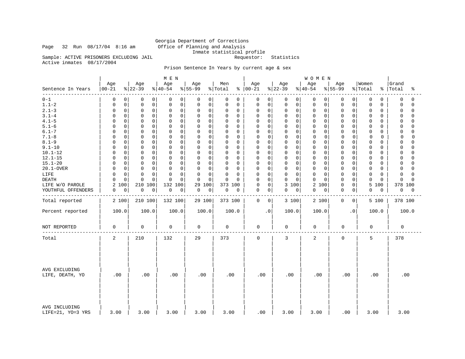#### Georgia Department of Corrections Page 32 Run 08/17/04 8:16 am Office of Planning and Analysis Inmate statistical profile Sample: ACTIVE PRISONERS EXCLUDING JAIL Requestor: Statistics

Active inmates 08/17/2004

### Prison Sentence In Years by current age & sex

|                                    |                  |                 | M E N            |                  |                |                            |                  | WOMEN            |                          |                  |                         |
|------------------------------------|------------------|-----------------|------------------|------------------|----------------|----------------------------|------------------|------------------|--------------------------|------------------|-------------------------|
| Sentence In Years                  | Age<br>$00 - 21$ | Age<br>$ 22-39$ | Age<br>$ 40-54 $ | Age<br>$8 55-99$ | Men<br>% Total | Age<br>$8   00 - 21$       | Age<br>$ 22-39 $ | Age<br>$ 40-54 $ | Age<br>$8 55-99$         | Women<br>% Total | Grand<br>%   Total<br>ႜ |
| $0 - 1$                            | $\mathbf 0$      | $\mathbf 0$     | 0                | 0                | $\mathbf 0$    | 0                          | $\mathbf 0$      | $\mathbf 0$      | 0                        | 0                | 0                       |
|                                    | 0                | 0               | 0                | $\mathbf{0}$     | 0              | 0                          | 0                | $\overline{0}$   | 0                        | 0                | 0                       |
| $1.1 - 2$                          | $\mathbf 0$      | $\mathsf 0$     | $\mathsf{O}$     | 0                | $\mathsf 0$    | $\mathbf 0$                | $\mathbf 0$      | $\circ$          | $\mathbf 0$              | 0                | $\mathbf 0$             |
|                                    | 0                | $\mathbf 0$     | 0                | $\mathsf 0$      | $\mathbf 0$    | 0                          | 0                | 0                | 0                        | 0                | $\Omega$                |
| $2.1 - 3$                          | $\mathsf 0$      | $\mathbf 0$     | 0                | 0                | 0              | 0                          | 0                | $\circ$          | 0                        | 0                | $\Omega$                |
|                                    | $\Omega$         | $\mathbf 0$     | $\mathbf 0$      | $\mathbf 0$      | 0              | 0                          | 0                | 0                | 0                        | 0                | 0                       |
| $3.1 - 4$                          | $\mathbf 0$      | $\Omega$        | 0                | 0                | $\mathbf 0$    | $\Omega$                   | $\mathbf 0$      | $\mathbf 0$      | 0                        | 0                | $\Omega$                |
|                                    | 0                | $\mathbf 0$     | $\mathbf 0$      | $\mathbf 0$      | 0              | $\Omega$                   | $\mathbf 0$      | $\mathbf 0$      | $\Omega$                 | 0                | $\Omega$                |
| $4.1 - 5$                          | $\mathbf 0$      | $\mathbf 0$     | 0                | 0                | 0              | 0                          | $\mathbf 0$      | $\mathbf 0$      | 0                        | 0                | $\cap$                  |
|                                    | U                | $\Omega$        | 0                | $\mathbf 0$      | 0              | $\Omega$                   | 0                | $\mathbf 0$      | 0                        | 0                | 0                       |
| $5.1 - 6$                          | $\mathbf 0$      | 0               | 0                | $\mathbf 0$      | 0              | 0                          | 0                | $\mathbf 0$      | 0                        | 0                | $\mathbf 0$             |
|                                    | O                | $\mathbf 0$     | $\mathbf 0$      | 0                | 0              | 0                          | $\mathbf 0$      | 0                | 0                        | 0                | $\cap$                  |
| $6.1 - 7$                          | $\Omega$         | $\Omega$        | $\mathbf 0$      | $\Omega$         | $\mathbf 0$    | 0                          | 0                | $\mathbf 0$      | $\Omega$                 | 0                | $\Omega$                |
|                                    | U                | $\Omega$        | $\Omega$         | $\Omega$         | $\Omega$       | $\Omega$                   | $\Omega$         | 0                | $\Omega$                 | 0                | $\Omega$                |
| $7.1 - 8$                          | $\mathsf 0$      | $\mathsf 0$     | $\mathbf 0$      | 0                | $\mathbf 0$    | 0                          | $\mathbf 0$      | 0                | $\mathsf 0$              | $\mathbf 0$      | 0                       |
|                                    | $\Omega$         | $\mathbf 0$     | 0                | $\mathbf 0$      | 0              | 0                          | 0                | 0                | 0                        | 0                | $\Omega$                |
| $8.1 - 9$                          | $\mathbf 0$      | $\mathbf 0$     | $\Omega$         | $\Omega$         | $\mathbf 0$    | $\mathbf 0$                | $\mathbf 0$      | $\mathbf 0$      | $\Omega$                 | 0                | $\Omega$                |
|                                    | 0                | $\Omega$        | $\mathbf 0$      | $\Omega$         | 0              | $\Omega$                   | $\Omega$         | $\mathbf 0$      | 0                        | 0                | $\Omega$                |
| $9.1 - 10$                         | $\mathbf 0$      | $\mathbf 0$     | $\mathbf 0$      | $\Omega$         | $\mathbf 0$    | $\mathbf 0$                | 0                | $\mathbf 0$      | 0                        | 0                | $\Omega$                |
|                                    | 0                | $\Omega$        | $\Omega$         | $\mathbf 0$      | $\mathbf 0$    | $\Omega$                   | $\Omega$         | $\mathbf 0$      | $\Omega$                 | 0                | $\Omega$                |
| $10.1 - 12$                        | $\mathbf 0$      | $\mathbf 0$     | $\mathsf 0$      | 0                | 0              | $\mathbf 0$                | 0                | $\circ$          | 0                        | 0                | $\Omega$                |
|                                    | O                | $\mathbf 0$     | 0                | $\mathbf 0$      | $\mathbf 0$    | $\Omega$                   | $\mathbf 0$      | 0                | 0                        | 0                | $\cap$                  |
| $12.1 - 15$                        | 0                | $\Omega$        | $\mathbf 0$      | 0                | $\mathbf 0$    | 0                          | 0                | $\mathbf 0$      | $\Omega$                 | 0                | 0                       |
|                                    | O                | 0               | 0                | 0                | 0              | $\Omega$                   | 0                | 0                | 0                        | 0                | $\cap$                  |
| $15.1 - 20$                        | $\mathbf 0$      | 0               | $\mathsf 0$      | $\mathbf 0$      | 0              | $\mathbf 0$                | 0                | $\mathbf 0$      | 0                        | 0                | 0                       |
|                                    | U                | $\mathbf 0$     | 0                | 0                | 0              | $\Omega$                   | $\mathbf 0$      | 0                | 0                        | 0                | $\Omega$                |
| 20.1-OVER                          | $\mathbf 0$      | $\Omega$        | $\Omega$         | $\Omega$         | 0              | 0                          | 0                | $\Omega$         | 0                        | 0                | $\Omega$                |
|                                    | O                | $\Omega$        | $\mathbf 0$      | $\mathbf 0$      | 0              | $\Omega$                   | $\mathbf 0$      | 0                | $\Omega$                 | 0                | U                       |
| LIFE                               | $\mathsf 0$      | $\mathbf 0$     | $\Omega$         | 0                | $\mathsf 0$    | 0                          | $\mathbf 0$      | $\mathbf 0$      | 0                        | 0                | $\Omega$                |
|                                    | U                | $\mathbf 0$     | $\mathbf 0$      | $\mathbf 0$      | 0              | $\mathbf 0$                | $\mathbf 0$      | 0                | 0                        | 0                | $\Omega$                |
| <b>DEATH</b>                       | $\mathbf 0$      | $\Omega$        | $\Omega$         | $\Omega$         | $\mathbf 0$    | $\mathbf 0$                | $\mathbf 0$      | $\Omega$         | $\Omega$                 | 0                | $\Omega$                |
|                                    | U                | $\Omega$        | $\Omega$         | 0                | $\Omega$       | $\Omega$                   | $\Omega$         | $\Omega$         | 0                        | $\Omega$         | $\cap$                  |
| LIFE W/O PAROLE                    | 100<br>2         | 210<br>100      | 132<br>100       | 29<br>100        | 373 100        | $\mathbf 0$<br>0           | 3 100            | 2<br>100         | $\mathsf{O}\xspace$<br>0 | 5<br>100         | 378 100                 |
| YOUTHFUL OFFENDERS                 | $\pmb{0}$        | 0               | 0                | 0                | 0              | 0                          | $\mathbf 0$      | $\Omega$         | $\mathbf 0$              | 0                | 0                       |
|                                    | 0                | 0               | 0                | 0                | 0              | 0                          | 0                | 0                | 0                        | 0                | 0                       |
|                                    |                  |                 |                  |                  |                |                            |                  |                  |                          |                  |                         |
| Total reported                     | 2 100            | 210 100         | 132 100          | 29 100           | 373 100        | $\mathbf 0$<br>$\mathbf 0$ | 3 100            | 2 100            | $\mathbf 0$<br>0         | 5 100            | 378 100                 |
| Percent reported                   | 100.0            | 100.0           | 100.0            | 100.0            | 100.0          | $\cdot$ 0                  | 100.0            | 100.0            | $\cdot$ 0                | 100.0            | 100.0                   |
| NOT REPORTED                       | 0                | $\mathbf 0$     | 0                | 0                | $\mathbf 0$    | 0                          | 0                | 0                | $\mathbf 0$              | $\mathbf 0$      | $\mathbf 0$             |
| Total                              | 2                | 210             | 132              | 29               | 373            | $\mathbf 0$                | 3                | 2                | $\mathbf 0$              | 5                | 378                     |
| AVG EXCLUDING<br>LIFE, DEATH, YO   | .00              | .00             | .00              | .00              | .00            | .00                        | .00              | .00              | .00                      | .00              | .00                     |
| AVG INCLUDING<br>LIFE=21, YO=3 YRS | 3.00             | 3.00            | 3.00             | 3.00             | 3.00           | .00                        | 3.00             | 3.00             | .00                      | 3.00             | 3.00                    |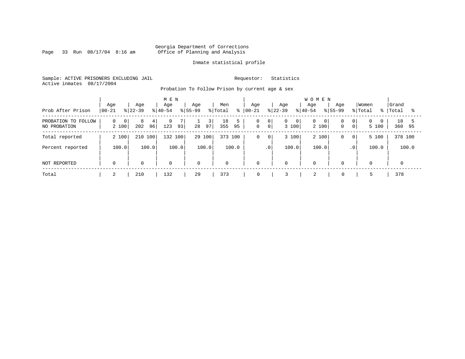Page 33 Run  $08/17/04$  8:16 am

#### Inmate statistical profile

Sample: ACTIVE PRISONERS EXCLUDING JAIL Requestor: Statistics Active inmates 08/17/2004

Probation To Follow Prison by current age & sex

| Prob After Prison                      | Age<br>$ 00 - 21 $                      | Age<br>$8122 - 39$  | M E N<br>Age<br>$ 40-54 $ | Aqe<br>$8155 - 99$ | Men<br>% Total<br>៖ | Aqe<br>$ 00-21 $  | Age<br>$8 22-39$                                    | <b>WOMEN</b><br>Age<br>Age<br>$8 40-54$<br>$ 55-99 $ | Women<br>% Total<br>% $\vert$                             | Grand<br>Total  |
|----------------------------------------|-----------------------------------------|---------------------|---------------------------|--------------------|---------------------|-------------------|-----------------------------------------------------|------------------------------------------------------|-----------------------------------------------------------|-----------------|
| PROBATION TO<br>FOLLOW<br>NO PROBATION | $\mathbf{0}$<br>0 <sup>1</sup><br>2 100 | 8<br>4<br>202<br>96 | 9<br>93<br>123            | 3 <br>28<br>97     | 18<br>95<br>355     | 0<br>$\mathbf{0}$ | 0 <sup>1</sup><br>0<br>0<br>0 <sup>1</sup><br>3 100 | 0<br>0<br>0<br>2 100<br>$\mathbf 0$                  | 0 <sup>1</sup><br>0<br>$\circ$<br>0 <sup>1</sup><br>5 100 | 18<br>360<br>95 |
| Total reported                         | 2 100                                   | 210 100             | 132 100                   | 29 100             | 100<br>373          | 0                 | 3 100<br>0                                          | 2 100<br>0                                           | 5 100<br>$\circ$                                          | 378 100         |
| Percent reported                       | 100.0                                   | 100.0               | 100.0                     | 100.0              | 100.0               |                   | .0 <sup>1</sup><br>100.0                            | 100.0                                                | 100.0<br>.0 <sup>1</sup>                                  | 100.0           |
| NOT REPORTED                           | $\mathbf 0$                             | $\mathbf 0$         | $\mathbf 0$               | $\mathbf 0$        | $\mathbf 0$         | $\mathbf 0$       | $\Omega$                                            | 0<br>$\Omega$                                        |                                                           | $\mathbf 0$     |
| Total                                  | 2                                       | 210                 | 132                       | 29                 | 373                 | 0                 |                                                     | 2<br>$\mathbf 0$                                     | 5                                                         | 378             |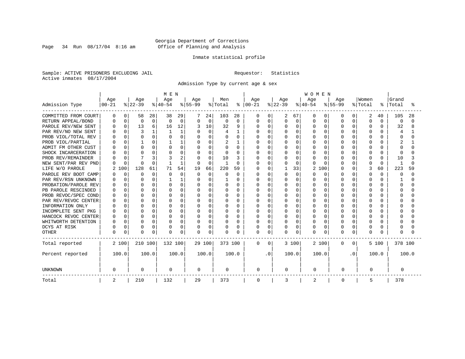Page 34 Run  $08/17/04$  8:16 am

#### Inmate statistical profile

Sample: ACTIVE PRISONERS EXCLUDING JAIL Requestor: Statistics Active inmates 08/17/2004

Admission Type by current age & sex

|                      |           |          |          |             | M E N     |          |           |          |              |          |           |             |          |          | <b>WOMEN</b>   |              |           |           |          |              |              |          |  |
|----------------------|-----------|----------|----------|-------------|-----------|----------|-----------|----------|--------------|----------|-----------|-------------|----------|----------|----------------|--------------|-----------|-----------|----------|--------------|--------------|----------|--|
|                      | Age       |          | Age      |             | Age       |          | Age       |          | Men          |          | Age       |             | Age      |          | Age            |              | Age       |           | Women    |              | Grand        |          |  |
| Admission Type       | $00 - 21$ |          | $ 22-39$ |             | $8 40-54$ |          | $8 55-99$ |          | % Total      | ႜ        | $00 - 21$ |             | $ 22-39$ |          | $8140 - 54$    |              | $8 55-99$ |           | % Total  | ႜ            | Total        | °        |  |
| COMMITTED FROM COURT | 0         | $\Omega$ | 58       | 28          | 38        | 29       |           | 24       | 103          | 28       | 0         | 0           | 2        | 67       | $\Omega$       | 0            | O         | 0         | 2        | 40           | 105          | 28       |  |
| RETURN APPEAL/BOND   |           | $\Omega$ | $\Omega$ | $\mathbf 0$ | U         | $\Omega$ | $\Omega$  | $\Omega$ | $\Omega$     | $\Omega$ | 0         | $\Omega$    | 0        | $\Omega$ | $\Omega$       | $\Omega$     | $\cap$    | $\Omega$  | $\Omega$ | $\Omega$     | $\Omega$     | $\Omega$ |  |
| PAROLE REV/NEW SENT  |           | $\Omega$ | 13       | 6           | 16        | 12       |           | 10       | 32           | 9        | O         | $\Omega$    |          | 0        | $\Omega$       | $\Omega$     | $\cap$    | $\Omega$  | $\Omega$ | U            | 32           | 8        |  |
| PAR REV/NO NEW SENT  |           | $\cap$   | 3        |             |           |          | $\Omega$  | $\Omega$ | 4            | 1        | U         | $\Omega$    | U        | $\Omega$ | $\Omega$       | O            |           |           | $\Omega$ |              | 4            |          |  |
| PROB VIOL/TOTAL REV  |           | $\cap$   | $\Omega$ | 0           |           | O        | $\Omega$  | O        | $\Omega$     | $\Omega$ | Ω         | $\mathbf 0$ | U        | $\Omega$ | $\Omega$       | U            |           |           | $\Omega$ |              | O            | O        |  |
| PROB VIOL/PARTIAL    |           |          |          | 0           |           |          |           | O        | 2            |          |           | $\mathbf 0$ |          | $\Omega$ | $\Omega$       | U            |           |           | $\Omega$ |              |              |          |  |
| ADMIT FM OTHER CUST  |           |          | ∩        | 0           |           | 0        | O         | U        | $\Omega$     | 0        | Ω         | $\mathbf 0$ |          | O        | $\Omega$       | U            |           |           | $\Omega$ |              |              |          |  |
| SHOCK INCARCERATION  |           | $\cap$   | $\Omega$ | 0           |           | 0        | O         | O        | $\Omega$     | $\Omega$ | U         | $\mathbf 0$ | U        | O        | $\Omega$       | O            |           | $\cap$    | 0        | U            | U            |          |  |
| PROB REV/REMAINDER   |           | $\Omega$ |          | 3           |           | 2        | $\Omega$  | O        | 10           | κ        | Λ         | $\Omega$    | U        | $\Omega$ | <sup>0</sup>   | <sup>0</sup> | n         | $\cap$    | $\Omega$ | <sup>0</sup> | 10           |          |  |
| NEW SENT/PAR REV PND |           | $\Omega$ | $\cap$   | $\Omega$    |           | 1        | $\Omega$  | $\Omega$ | $\mathbf{1}$ | $\Omega$ | U         | $\Omega$    | U        | $\Omega$ | $\cap$         | <sup>n</sup> |           | $\Omega$  | $\Omega$ | $\Omega$     | $\mathbf{1}$ | $\cap$   |  |
| LIFE W/O PAROLE      |           | .00      | 128      | 61          | 71        | 54       | 19        | 66       | 220          | 59       | Ω         | $\mathbf 0$ |          | 33       | $\overline{c}$ | 100          |           | $\Omega$  | 3        | 60           | 223          | 59       |  |
| PAROLE REV BOOT CAMP |           | $\Omega$ | $\Omega$ | 0           |           | $\Omega$ | $\Omega$  | $\Omega$ | O            | $\Omega$ | 0         | $\Omega$    | 0        | $\Omega$ | <sup>0</sup>   | $\Omega$     |           | $\Omega$  | $\Omega$ | U            | O            | $\Omega$ |  |
| PAR REV/RSN UNKNOWN  |           | $\Omega$ | ∩        | 0           |           |          | $\Omega$  | U        |              | $\Omega$ | Ω         | $\Omega$    | U        | $\Omega$ | $\Omega$       | $\Omega$     |           | $\Omega$  | $\Omega$ | ∩            |              | U        |  |
| PROBATION/PAROLE REV |           | $\Omega$ | ∩        | 0           |           | $\Omega$ | O         | U        | $\Omega$     | $\Omega$ | Ω         | $\Omega$    | U        | $\cap$   | $\Omega$       | $\Omega$     |           | ∩         | $\Omega$ |              | O            | U        |  |
| PB PAROLE RESCINDED  |           | $\cap$   | $\cap$   | O           | U         | $\Omega$ | O         | U        | $\Omega$     | $\cap$   | Λ         | $\Omega$    |          | $\Omega$ | $\cap$         | U            |           |           | $\Omega$ |              | U            | U        |  |
| PROB REVOC/SPEC COND |           | ∩        | $\Omega$ | 0           | U         | O        | $\Omega$  | O        | $\Omega$     | $\Omega$ | Λ         | $\mathbf 0$ | U        | $\Omega$ | $\Omega$       | U            |           |           | $\Omega$ |              |              | U        |  |
| PAR REV/REVOC CENTER |           | $\Omega$ | ∩        | 0           | U         | O        |           | O        |              | $\Omega$ | Ω         | $\mathbf 0$ | U        | $\Omega$ | $\Omega$       | U            |           |           | O        |              |              |          |  |
| INFORMATION ONLY     |           |          | ∩        | 0           |           | 0        |           | O        |              | O        |           | $\mathbf 0$ |          | O        | $\Omega$       |              |           |           | O        |              |              |          |  |
| INCOMPLETE SENT PKG  |           |          | ∩        | 0           |           | 0        | O         | O        | $\Omega$     | 0        | Ω         | $\mathbf 0$ |          | O        | $\Omega$       | U            |           |           | 0        |              |              |          |  |
| HANCOCK REVOC CENTER |           | $\Omega$ | $\Omega$ | 0           | U         | 0        | 0         | O        | $\Omega$     | $\Omega$ | U         | $\mathbf 0$ | U        | $\Omega$ | $\Omega$       | O            |           | $\cap$    | 0        | U            |              |          |  |
| WHITWORTH DETENTION  |           | $\Omega$ | $\Omega$ | $\Omega$    | U         | 0        | $\Omega$  | O        | $\Omega$     | $\Omega$ | U         | $\Omega$    | U        | $\Omega$ | $\Omega$       | $\Omega$     | ∩         | $\Omega$  | $\Omega$ | U            |              |          |  |
| DCYS AT RISK         |           | $\Omega$ | $\Omega$ | 0           |           | 0        | 0         | $\Omega$ | 0            | $\Omega$ | U         | $\Omega$    | 0        | $\Omega$ | $\Omega$       | $\Omega$     |           | $\Omega$  | $\Omega$ | U            | U            |          |  |
| <b>OTHER</b>         | $\Omega$  | 0        | $\Omega$ | 0           | U         | 0        | $\Omega$  | 0        | $\Omega$     | $\Omega$ | 0         | $\mathbf 0$ | U        | $\Omega$ | $\Omega$       | 0            | $\cap$    | 0         | $\Omega$ |              |              |          |  |
| Total reported       | 2 100     |          | 210 100  |             | 132 100   |          | 29 100    |          | 373 100      |          | $\Omega$  | $\Omega$    |          | 3 100    |                | 2 100        | $\Omega$  | 0         |          | 5 100        | 378 100      |          |  |
| Percent reported     | 100.0     |          |          | 100.0       |           | 100.0    |           | 100.0    |              | 100.0    |           | . 0         |          | 100.0    | 100.0          |              |           | $\cdot$ 0 |          | 100.0        |              | 100.0    |  |
| <b>UNKNOWN</b>       | 0         |          | 0        |             | 0         |          | 0         |          | 0            |          | 0         |             | 0        |          | 0              |              | 0         |           | 0        |              | 0            |          |  |
| Total                | 2         |          | 210      |             | 132       |          | 29        |          | 373          |          | 0         |             | 3        |          | 2              |              | 0         |           | 5        |              | 378          |          |  |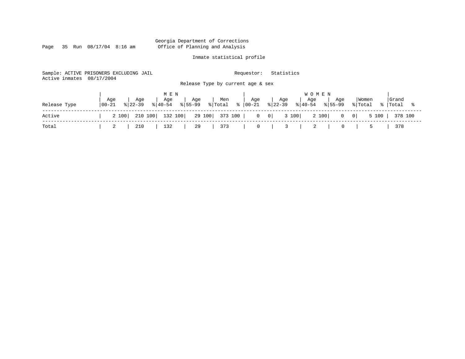Page 35 Run  $08/17/04$  8:16 am

#### Inmate statistical profile

Sample: ACTIVE PRISONERS EXCLUDING JAIL Requestor: Statistics Active inmates 08/17/2004 Release Type by current age & sex

|              |                    |                    | M E N |                                                    |                                                                                                       |                                  |     | <b>WOMEN</b>                     |                  |                    |
|--------------|--------------------|--------------------|-------|----------------------------------------------------|-------------------------------------------------------------------------------------------------------|----------------------------------|-----|----------------------------------|------------------|--------------------|
| Release Type | Age<br>$ 00 - 21 $ | Age<br>$8122 - 39$ | Age   | Age<br>$ \frac{1}{6} $ 40-54 $ \frac{1}{6} $ 55-99 | Men<br>$ \text{\texttt{Total}} \quad \text{\texttt{\$}} \;  00-21 \quad \text{\texttt{\$}} \;  22-39$ | Age                              | Age | Age<br>Age<br>$ 40-54 \t  55-99$ | Women<br>% Total | Grand<br>%   Total |
| Active       | 2 100              |                    |       |                                                    | 210 100   132 100   29 100   373 100   0 0   3 100                                                    |                                  |     | 2 100   0 0   5 100   378 100    |                  |                    |
| Total        | -2                 | 210                | 132   | 29                                                 | $\vert$ 373                                                                                           | $\begin{array}{ccc} \end{array}$ |     | 3   2  <br>$\overline{0}$        |                  | 378                |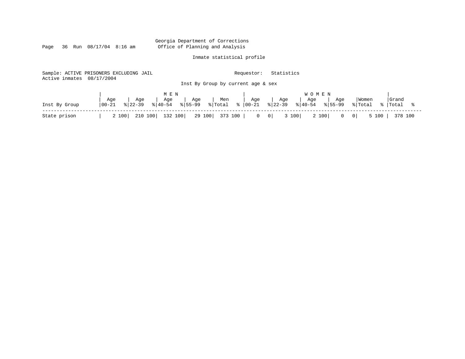Page 36 Run  $08/17/04$  8:16 am

### Inmate statistical profile

|                           | Sample: ACTIVE PRISONERS EXCLUDING JAIL |                                          | Requestor:                                     | Statistics                                                   |                                                      |
|---------------------------|-----------------------------------------|------------------------------------------|------------------------------------------------|--------------------------------------------------------------|------------------------------------------------------|
| Active inmates 08/17/2004 |                                         |                                          |                                                |                                                              |                                                      |
|                           |                                         |                                          | Inst By Group by current age & sex             |                                                              |                                                      |
|                           |                                         |                                          |                                                |                                                              |                                                      |
|                           |                                         | M E N                                    |                                                | <b>WOMEN</b>                                                 |                                                      |
|                           | Age<br>Age<br>  00-21<br>$8122 - 39$    | Age<br>Age<br>$8155 - 99$<br>$8140 - 54$ | Age<br>Men<br>$\frac{1}{6}$   00-21<br>% Total | Age<br>Age<br>Age<br>$8122 - 39$<br>$ 40-54 $<br>$8155 - 99$ | Grand<br>Women<br>% Total<br>%  Total                |
| Inst By Group             |                                         |                                          |                                                |                                                              |                                                      |
| State prison              | 210 100<br>2 100                        | 132 100<br>29 100                        | 373 100  <br>$0 \quad 0$                       | 3 100<br>2 100<br>$\overline{0}$                             | $5 100$  <br>$\overline{\phantom{0}}$ 0  <br>378 100 |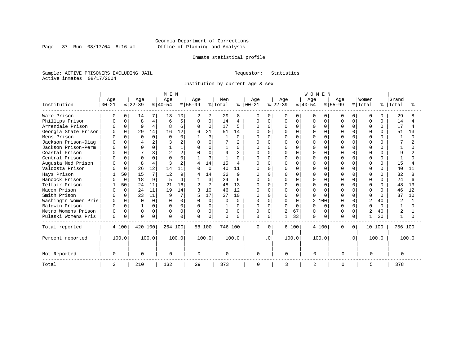Page 37 Run  $08/17/04$  8:16 am

#### Inmate statistical profile

Sample: ACTIVE PRISONERS EXCLUDING JAIL Requestor: Statistics Active inmates 08/17/2004

Institution by current age & sex

|                      |           |             |          |          | MEN          |                |                |          |             |                |              |             |                |          | WOMEN     |          |              |                 |                |              |                |                |
|----------------------|-----------|-------------|----------|----------|--------------|----------------|----------------|----------|-------------|----------------|--------------|-------------|----------------|----------|-----------|----------|--------------|-----------------|----------------|--------------|----------------|----------------|
|                      | Age       |             | Age      |          | Age          |                | Age            |          | Men         |                | Age          |             | Age            |          | Age       |          | Age          |                 | Women          |              | Grand          |                |
| Institution          | $00 - 21$ |             | $ 22-39$ |          | $ 40-54$     |                | $8 55-99$      |          | % Total     | နွ             | $ 00 - 21$   |             | $ 22-39$       |          | $8 40-54$ |          | $8155 - 99$  |                 | % Total        | ႜ            | Total          |                |
| Ware Prison          |           | 0           | 14       |          | 13           | 10             |                |          | 29          | 8              | 0            | $\Omega$    | 0              | 0        | O         | $\Omega$ | O            | 0               | 0              |              | 29             |                |
| Phillips Prison      |           | $\Omega$    | 8        | 4        | б            | 5              | $\Omega$       | 0        | 14          | 4              | 0            | $\mathbf 0$ | 0              | $\Omega$ | U         | $\Omega$ | U            | 0               | $\Omega$       | $\Omega$     | 14             |                |
| Arrendale Prison     |           | $\Omega$    | 9        | 4        | 8            | 6              | $\Omega$       | 0        | 17          | 5              | <sup>0</sup> | $\Omega$    | <sup>0</sup>   | $\Omega$ | U         | $\Omega$ | U            | $\Omega$        | $\Omega$       | $\Omega$     | 17             | $\overline{4}$ |
| Georgia State Prison |           | 0           | 29       | 14       | 16           | 12             | 6              | 21       | 51          | 14             |              | $\Omega$    |                | $\Omega$ |           | $\Omega$ |              | $\cap$          | $\Omega$       |              | 51             | 13             |
| Mens Prison          | U         | $\cap$      | $\Omega$ | $\Omega$ | $\cap$       | $\Omega$       |                | 3        |             | $\cap$         | Λ            | $\Omega$    | <sup>0</sup>   | $\Omega$ | U         | $\Omega$ | ∩            | <sup>n</sup>    | $\cap$         | ∩            | $\mathbf{1}$   | $\cap$         |
| Jackson Prison-Diag  | ∩         |             |          | 2        |              | 2              | $\Omega$       | $\Omega$ |             |                |              | $\Omega$    | <sup>0</sup>   | $\Omega$ | U         | O        | $\cap$       | $\cap$          | $\cap$         |              |                |                |
| Jackson Prison-Perm  | n         | 0           |          | $\Omega$ |              |                | $\Omega$       | O        |             | $\Omega$       | U            | $\Omega$    | ი              | $\Omega$ | U         | $\Omega$ | ∩            | O.              | $\Omega$       |              |                |                |
| Coastal Prison       |           | $\Omega$    |          | 3        |              | $\overline{2}$ |                | $\Omega$ | 9           | $\overline{c}$ |              | $\Omega$    | Ω              | $\Omega$ | $\Omega$  | $\Omega$ | $\Omega$     | $\cap$          | $\Omega$       | $\cap$       | 9              |                |
| Central Prison       |           | $\Omega$    | $\Omega$ | $\Omega$ |              | O              |                | 3        |             | $\Omega$       |              | $\Omega$    | <sup>0</sup>   | $\Omega$ | U         | $\Omega$ | $\cap$       | U               | $\cap$         | <sup>n</sup> |                |                |
| Augusta Med Prison   |           | $\Omega$    | 8        | 4        |              | 2              |                | 14       | 15          | 4              | U            | $\Omega$    |                | $\Omega$ | U         | O        | U            | U               | $\Omega$       | 0            | 15             |                |
| Valdosta Prison      |           | 0           | 26       | 12       | 14           | 11             |                | 0        | 40          | 11             | U            | $\Omega$    | U              | $\Omega$ | U         | $\Omega$ | $\cap$       | 0               | $\Omega$       | $\Omega$     | 40             | 11             |
| Hays Prison          |           | 50          | 15       | 7        | 12           | 9              |                | 14       | 32          | 9              | U            | $\Omega$    | N              | U        | 0         | $\Omega$ | O            |                 | $\Omega$       | $\Omega$     | 32             |                |
| Hancock Prison       |           | $\mathbf 0$ | 18       | 9        | 5            | 4              |                | 3        | 24          | 6              | U            | $\Omega$    | <sup>0</sup>   | $\Omega$ | U         | O        | U            | O.              | $\Omega$       | $\Omega$     | 24             |                |
| Telfair Prison       |           | 50          | 24       | 11       | 21           | 16             | $\overline{2}$ | 7        | 48          | 13             | U            | $\Omega$    | O              | $\cap$   | 0         | $\Omega$ | $\cap$       |                 | $\Omega$       | $\Omega$     | 48             | 13             |
| Macon Prison         |           | $\mathbf 0$ | 24       | 11       | 19           | 14             | 3              | 10       | 46          | 12             | 0            | $\Omega$    | 0              | $\Omega$ | $\Omega$  | $\Omega$ | $\Omega$     | $\cap$          | $\Omega$       | $\Omega$     | 46             | 12             |
| Smith Prison         |           | $\Omega$    | 23       | 11       | 9            | 7              |                | 17       | 37          | 10             | U            | $\Omega$    | 0              | $\Omega$ | U         | $\cap$   | <sup>0</sup> | U               | $\Omega$       | <sup>0</sup> | 37             | 10             |
| Washingtn Women Pris | $\cap$    | $\Omega$    | $\Omega$ | $\Omega$ | <sup>0</sup> | $\Omega$       | $\Omega$       | 0        |             | $\Omega$       | <sup>0</sup> | $\Omega$    | $\Omega$       | $\Omega$ | 2         | 100      | $\cap$       | $\cap$          | $\overline{c}$ | 40           | 2              |                |
| Baldwin Prison       | U         | $\Omega$    |          | 0        | U            | $\Omega$       | $\Omega$       | 0        |             | $\Omega$       | 0            | $\Omega$    | 0              | $\Omega$ | U         | $\Omega$ | $\cap$       | $\cap$          | $\Omega$       | <sup>0</sup> |                |                |
| Metro Womens Prison  | 0         | 0           | 0        | 0        | $\Omega$     | 0              | 0              | 0        | 0           | $\Omega$       | 0            | 0           | $\overline{2}$ | 67       | U         | 0        | 0            | $\Omega$        | $\overline{2}$ | 40           | $\overline{2}$ |                |
| Pulaski Womens Pris  | 0         | 0           | $\Omega$ | 0        | U            | $\Omega$       | $\Omega$       | 0        | $\mathbf 0$ | $\Omega$       | 0            | $\Omega$    |                | 33       | U         | $\Omega$ | <sup>0</sup> | 0               |                | 20           |                |                |
| Total reported       |           | 4 100       | 420 100  |          | 264 100      |                |                | 58 100   | 746 100     |                | 0            | $\Omega$    |                | 6 100    | 4 100     |          | 0            | 0               | 10 100         |              | 756 100        |                |
| Percent reported     |           | 100.0       |          | 100.0    |              | 100.0          |                | 100.0    |             | 100.0          |              | . 0         |                | 100.0    | 100.0     |          |              | .0 <sub>1</sub> |                | 100.0        |                | 100.0          |
| Not Reported         | 0         |             | $\Omega$ |          | 0            |                | $\Omega$       |          | 0           |                | 0            |             | 0              |          | 0         |          | $\Omega$     |                 | $\Omega$       |              | $\Omega$       |                |
| Total                | 2         |             | 210      |          | 132          |                | 29             |          | 373         |                | 0            |             | 3              |          | 2         |          | $\Omega$     |                 | 5              |              | 378            |                |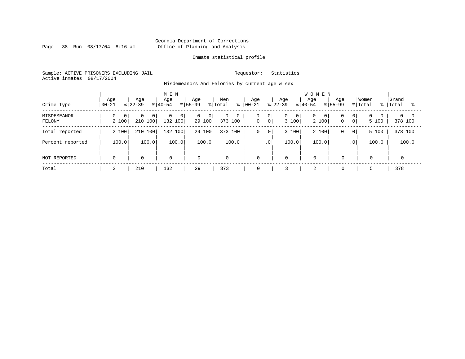Page 38 Run  $08/17/04$  8:16 am

#### Inmate statistical profile

Sample: ACTIVE PRISONERS EXCLUDING JAIL Requestor: Statistics Active inmates 08/17/2004

Misdemeanors And Felonies by current age & sex

| Crime Type            | Age<br>$ 00-21$         | Age<br>$8122 - 39$                    | M E N<br>Age<br>$8 40-54$                 | Age<br>$8155 - 99$<br>% Total              | Men<br>ႜ          | Aqe<br>$ 00 - 21 $              | Age<br>$8 22-39$                        | <b>WOMEN</b><br>Age<br>Age<br>$8 40-54$<br>$8155 - 99$ | Women<br>% Total<br>- န ၂                                               | Grand<br>Total<br>°≈   |
|-----------------------|-------------------------|---------------------------------------|-------------------------------------------|--------------------------------------------|-------------------|---------------------------------|-----------------------------------------|--------------------------------------------------------|-------------------------------------------------------------------------|------------------------|
| MISDEMEANOR<br>FELONY | $\overline{0}$<br>2 100 | $\Omega$<br>0 <sup>1</sup><br>210 100 | $\mathbf{0}$<br>$\overline{0}$<br>132 100 | $\overline{0}$<br>0 <sup>1</sup><br>29 100 | 0<br>0<br>373 100 | 0<br> 0 <br>0 <sup>1</sup><br>0 | $\overline{0}$<br>$\mathbf{0}$<br>3 100 | 0<br>0<br>0 <sup>1</sup><br>2 100<br>$\mathbf 0$       | $\overline{0}$<br>0 <sup>1</sup><br>$\Omega$<br>$\overline{0}$<br>5 100 | $0 \quad 0$<br>378 100 |
| Total reported        | 2 100                   | 210 100                               | 132 100                                   | 29 100                                     | 373 100           | 0<br>$\overline{0}$             | 3 100                                   | 2 100<br>0                                             | 5 100<br>$\overline{0}$                                                 | 378 100                |
| Percent reported      | 100.0                   | 100.0                                 | 100.0                                     | 100.0                                      | 100.0             | $\cdot$ 0                       | 100.0                                   | 100.0                                                  | 100.0<br>.0 <sup>1</sup>                                                | 100.0                  |
| NOT REPORTED          | $\mathbf 0$             | $\mathbf 0$                           | $\mathbf 0$                               | $\mathbf 0$                                | $\mathbf 0$       | $\mathbf 0$                     | $\mathbf 0$                             | $\mathbf 0$<br>$\Omega$                                | $\mathbf 0$                                                             |                        |
| Total                 | ◠<br>∠                  | 210                                   | 132                                       | 29                                         | 373               | 0                               |                                         | 2<br>$\mathbf 0$                                       | 5                                                                       | 378                    |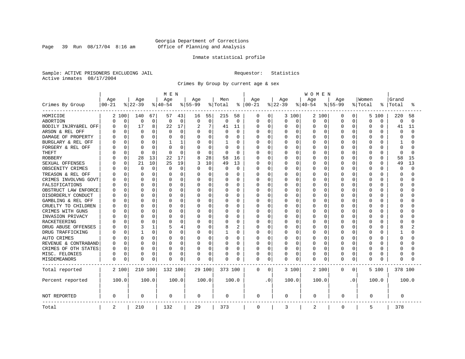Page 39 Run  $08/17/04$  8:16 am

#### Inmate statistical profile

Sample: ACTIVE PRISONERS EXCLUDING JAIL Requestor: Statistics Active inmates 08/17/2004

Crimes By Group by current age & sex

|                      |                  |             |                 |       | MEN             |             |                  |          |                |                | <b>WOMEN</b>      |             |                 |          |                 |          |                  |                |          |          |          |          |  |
|----------------------|------------------|-------------|-----------------|-------|-----------------|-------------|------------------|----------|----------------|----------------|-------------------|-------------|-----------------|----------|-----------------|----------|------------------|----------------|----------|----------|----------|----------|--|
|                      | Age<br>$00 - 21$ |             | Age<br>$ 22-39$ |       | Age<br>$ 40-54$ |             | Age<br>$8 55-99$ |          | Men<br>% Total |                | Age<br>$ 00 - 21$ |             | Age<br>$ 22-39$ |          | Age<br>$ 40-54$ |          | Age<br>$8 55-99$ |                | Women    | °        | Grand    | °        |  |
| Crimes By Group      |                  |             |                 |       |                 |             |                  |          |                | ႜ              |                   |             |                 |          |                 |          |                  |                | % Total  |          | Total    |          |  |
| HOMICIDE             |                  | 2 100       | 140             | 67    | 57              | 43          | 16               | 55       | 215            | 58             | 0                 | 0           |                 | 3 100    | 2 100           |          | 0                | 0              | 5        | 100      | 220      | 58       |  |
| ABORTION             | 0                | $\mathbf 0$ | 0               | 0     | 0               | 0           | $\mathbf 0$      | 0        | $\Omega$       | $\mathbf 0$    | 0                 | $\mathbf 0$ | 0               | 0        | 0               | 0        | $\Omega$         | 0              | $\Omega$ | 0        | 0        | $\Omega$ |  |
| BODILY INJRY&REL OFF | U                | 0           | 17              | 8     | 22              | 17          | 2                | 7        | 41             | 11             | 0                 | 0           | 0               | 0        | 0               | 0        | 0                | $\Omega$       | $\Omega$ | 0        | 41       | 11       |  |
| ARSON & REL OFF      |                  | 0           | 0               | 0     | 0               | 0           | $\Omega$         | 0        |                | 0              | Ω                 | 0           | C               | 0        | 0               | $\Omega$ | $\Omega$         | O              | $\Omega$ | O        | 0        | $\cap$   |  |
| DAMAGE OF PROPERTY   |                  | $\Omega$    | <sup>0</sup>    | 0     |                 | $\Omega$    | $\Omega$         | 0        |                | $\Omega$       | Ω                 | 0           | U               | $\Omega$ | O               | $\Omega$ | $\Omega$         | U              | $\Omega$ | $\cap$   | $\Omega$ |          |  |
| BURGLARY & REL OFF   |                  | $\Omega$    | $\Omega$        | 0     |                 | 1           | $\Omega$         | 0        |                | $\Omega$       | Ω                 | 0           | 0               | $\Omega$ | 0               | 0        | $\Omega$         | 0              | $\Omega$ | $\Omega$ | 1        |          |  |
| FORGERY & REL OFF    |                  | 0           | C               | O     |                 | 0           | $\Omega$         | 0        | $\Omega$       | 0              | Ω                 | $\mathbf 0$ | C               | $\Omega$ | 0               | 0        | $\Omega$         | O              | $\Omega$ | $\Omega$ | $\Omega$ |          |  |
| <b>THEFT</b>         |                  | 0           | $\Omega$        | 0     | $\Omega$        | $\mathbf 0$ | $\Omega$         | 0        | $\Omega$       | 0              | Ω                 | 0           | U               | $\Omega$ | O               | $\Omega$ | $\Omega$         | 0              | $\Omega$ | $\Omega$ | $\Omega$ | n        |  |
| <b>ROBBERY</b>       |                  | 0           | 28              | 13    | 22              | 17          | 8                | 28       | 58             | 16             | 0                 | 0           | Ω               | $\Omega$ | 0               | $\Omega$ | $\Omega$         | O              | $\Omega$ | $\Omega$ | 58       | 15       |  |
| SEXUAL OFFENSES      |                  | 0           | 21              | 10    | 25              | 19          |                  | 10       | 49             | 13             | 0                 | 0           | O               | $\Omega$ | O               | 0        | $\Omega$         | U              | $\Omega$ | $\Omega$ | 49       | 13       |  |
| OBSCENITY CRIMES     |                  | 0           | 0               | 0     | $\Omega$        | $\mathbf 0$ | 0                | 0        | $\Omega$       | 0              | Ω                 | 0           | 0               | $\Omega$ | 0               | 0        | $\Omega$         | 0              | $\Omega$ | $\Omega$ | $\Omega$ | $\cap$   |  |
| TREASON & REL OFF    |                  | $\Omega$    | <sup>0</sup>    | O     | O               | $\Omega$    | O                | $\Omega$ | $\left($       | $\Omega$       | Ω                 | $\mathbf 0$ | 0               | $\Omega$ | 0               | 0        | O                | 0              | $\Omega$ | O        | $\Omega$ |          |  |
| CRIMES INVOLVNG GOVT |                  | 0           | $\bigcap$       | 0     |                 | 0           | 0                | 0        |                | $\Omega$       |                   | $\mathbf 0$ | C               | $\Omega$ | $\Omega$        | $\Omega$ | $\Omega$         | O              | $\Omega$ | O        | $\Omega$ |          |  |
| FALSIFICATIONS       |                  | $\Omega$    | <sup>0</sup>    | 0     | O               | $\Omega$    | O                | $\Omega$ | $\Omega$       | $\Omega$       | Ω                 | 0           | U               | $\Omega$ | O               | $\Omega$ | $\Omega$         | 0              | $\Omega$ | O        | ∩        |          |  |
| OBSTRUCT LAW ENFORCE |                  | $\Omega$    | C               | 0     | O               | $\Omega$    | O                | O        | O              | $\Omega$       | Ω                 | 0           | C               | $\Omega$ | 0               | $\Omega$ | $\Omega$         | O              | $\Omega$ | O        | ∩        |          |  |
| DISORDERLY CONDUCT   |                  | $\Omega$    | C               | 0     |                 | $\Omega$    | O                | O        |                | $\Omega$       | Ω                 | 0           | U               | $\Omega$ | O               | $\Omega$ | O                | U              | $\Omega$ | U        | C        |          |  |
| GAMBLING & REL OFF   |                  | $\Omega$    | $\Omega$        | O     | O               | $\Omega$    | O                | $\Omega$ | O              | $\Omega$       | Ω                 | $\mathbf 0$ | U               | $\Omega$ | 0               | $\Omega$ | $\Omega$         | 0              | $\Omega$ | O        | ∩        |          |  |
| CRUELTY TO CHILDREN  |                  | $\Omega$    | <sup>0</sup>    | 0     |                 | 0           | O                | 0        |                | $\Omega$       |                   | $\mathbf 0$ | U               | $\Omega$ | 0               | $\Omega$ | $\Omega$         | 0              | $\Omega$ | O        | ∩        |          |  |
| CRIMES WITH GUNS     |                  | $\Omega$    | C               | O     |                 | $\Omega$    | $\Omega$         | O        |                | $\Omega$       | Ω                 | $\mathbf 0$ | U               | $\Omega$ | 0               | $\Omega$ | $\Omega$         | O              | $\Omega$ | $\Omega$ | ∩        |          |  |
| INVASION PRIVACY     |                  | $\Omega$    | C               | 0     | O               | 0           | O                | 0        | O              | $\Omega$       | Ω                 | 0           | O               | $\Omega$ | O               | 0        | $\Omega$         | O              | $\Omega$ | O        | ∩        |          |  |
| RACKETEERING         |                  | O           | C               | 0     |                 | $\Omega$    | O                | 0        |                | 0              | Ω                 | $\mathbf 0$ | C               | $\Omega$ | $\Omega$        | n        | O                | O              | $\Omega$ | O        | C        |          |  |
| DRUG ABUSE OFFENSES  |                  | $\Omega$    | 3               | 1     |                 | 4           | O                | $\Omega$ | 8              | $\overline{c}$ | Ω                 | 0           | O               | $\Omega$ | 0               | $\Omega$ | O                | $\Omega$       | $\Omega$ | O        | 8        |          |  |
| DRUG TRAFFICKING     |                  | $\Omega$    |                 | 0     | O               | 0           | O                | 0        |                | $\Omega$       | Ω                 | $\mathbf 0$ | 0               | $\Omega$ | 0               | 0        | $\Omega$         | 0              | $\Omega$ | O        |          |          |  |
| AUTO CRIMES          |                  | 0           | 0               | 0     | O               | 0           | 0                | 0        | $\Omega$       | 0              | Ω                 | $\mathbf 0$ | 0               | 0        | 0               | 0        | 0                | 0              | 0        | O        | $\Omega$ |          |  |
| REVENUE & CONTRABAND |                  | 0           | C               | 0     | O               | 0           | 0                | 0        |                | $\Omega$       | Ω                 | 0           | 0               | 0        | O               | 0        | $\Omega$         | 0              | $\Omega$ | O        | ∩        |          |  |
| CRIMES OF OTH STATES | U                | 0           | $\Omega$        | 0     | O               | 0           | 0                | 0        | $\Omega$       | 0              | 0                 | 0           | 0               | 0        | 0               | $\Omega$ | O                | 0              | $\Omega$ | $\Omega$ | ∩        |          |  |
| MISC. FELONIES       | 0                | 0           | 0               | 0     |                 | 0           | 0                | 0        | $\Omega$       | 0              | 0                 | 0           | 0               | 0        | 0               | $\Omega$ | 0                | 0              | $\Omega$ | 0        | $\Omega$ |          |  |
| MISDEMEANORS         | 0                | 0           | <sup>0</sup>    | 0     | 0               | 0           | 0                | 0        | $\Omega$       | 0              | 0                 | 0           | 0               | 0        | 0               | 0        | $\Omega$         | 0              | $\Omega$ | O        | 0        |          |  |
| Total reported       |                  | 2 100       | 210 100         |       | 132 100         |             |                  | 29 100   | 373 100        |                | 0                 | 0           |                 | 3 100    | 2 100           |          | 0                | $\overline{0}$ |          | 5 100    | 378 100  |          |  |
| Percent reported     |                  | 100.0       |                 | 100.0 |                 | 100.0       |                  | 100.0    |                | 100.0          |                   | . 0         |                 | 100.0    | 100.0           |          |                  | $\cdot$ 0      |          | 100.0    |          | 100.0    |  |
| NOT REPORTED         | 0                |             | $\Omega$        |       | 0               |             | 0                |          | 0              |                | 0                 |             | 0               |          | 0               |          | 0                |                | 0        |          | 0        |          |  |
| Total                | 2                |             | 210             |       | 132             |             | 29               |          | 373            |                | $\mathbf 0$       |             | 3               |          | 2               |          | $\mathbf 0$      |                | 5        |          | 378      |          |  |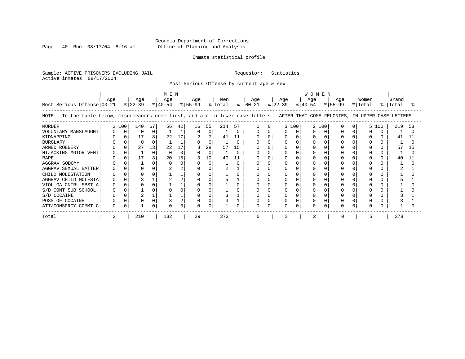Page 40 Run  $08/17/04$  8:16 am

#### Inmate statistical profile

Sample: ACTIVE PRISONERS EXCLUDING JAIL Requestor: Statistics Active inmates 08/17/2004

Most Serious Offense by current age & sex

| Most Serious Offense 00-21                                                                                                            | Age |          | Age<br>$ 22-39 $ |    | MEN<br>Age<br>$ 40-54 $ |              | Age<br>% 55-99 |          | Men<br>% Total |    | Age<br>$8   00-21$ |              | Age<br>% 22−39 |       | <b>WOMEN</b><br>Age<br>$ 40-54 $ |     | Age<br>% 55-99 | Women<br>% Total | $\approx$ 1 | Grand<br>Total |    |
|---------------------------------------------------------------------------------------------------------------------------------------|-----|----------|------------------|----|-------------------------|--------------|----------------|----------|----------------|----|--------------------|--------------|----------------|-------|----------------------------------|-----|----------------|------------------|-------------|----------------|----|
| In the table below, misdemeanors come first, and are in lower-case letters. AFTER THAT COME FELONIES, IN UPPER-CASE LETTERS.<br>NOTE: |     |          |                  |    |                         |              |                |          |                |    |                    |              |                |       |                                  |     |                |                  |             |                |    |
| <b>MURDER</b>                                                                                                                         |     | 2 100    | 140              | 67 | 56                      | 42           | 16             | 55       | 214            | 57 |                    | <sup>0</sup> |                | 3 100 | 2                                | 100 |                |                  | 5 100       | 219            | 58 |
| VOLUNTARY MANSLAUGHT                                                                                                                  |     | $\Omega$ | $\Omega$         | 0  |                         |              | $\Omega$       | $\Omega$ |                |    |                    |              |                |       |                                  |     |                |                  |             |                |    |
| KIDNAPPING                                                                                                                            |     |          | 17               | 8  | 22                      | 17           | 2              |          | 41             | 11 |                    |              |                |       |                                  |     |                |                  |             | 41             |    |
| <b>BURGLARY</b>                                                                                                                       |     |          | $\Omega$         | 0  |                         |              |                | $\Omega$ |                |    |                    |              |                |       |                                  |     |                |                  |             |                |    |
| ARMED ROBBERY                                                                                                                         |     |          | 27               | 13 | $22^{\circ}$            | 17           |                | 28       | 57             | 15 |                    |              |                |       |                                  |     |                |                  |             | 57             | 15 |
| HIJACKING MOTOR VEHI                                                                                                                  |     |          |                  | 0  |                         | <sup>n</sup> |                | $\Omega$ |                |    |                    |              |                |       |                                  |     |                |                  |             |                |    |
| <b>RAPE</b>                                                                                                                           |     |          | 17               | 8  | 20                      | 15           |                | 10       | 40             | 11 |                    |              |                |       |                                  |     |                |                  |             | 40             | 11 |
| AGGRAV SODOMY                                                                                                                         |     |          |                  | 0  |                         |              |                | $\Omega$ |                |    |                    |              |                |       |                                  |     |                |                  |             |                |    |
| AGGRAV SEXUAL BATTER                                                                                                                  |     |          |                  |    |                         |              |                |          |                |    |                    |              |                |       |                                  |     |                |                  |             |                |    |
| CHILD MOLESTATION                                                                                                                     |     |          |                  |    |                         |              |                |          |                |    |                    |              |                |       |                                  |     |                |                  |             |                |    |
| AGGRAV CHILD MOLESTA                                                                                                                  |     |          |                  |    |                         |              |                |          |                |    |                    |              |                |       |                                  |     |                |                  |             |                |    |
| VIOL GA CNTRL SBST A                                                                                                                  |     |          |                  |    |                         |              |                |          |                |    |                    |              |                |       |                                  |     |                |                  |             |                |    |
| S/D CONT SUB SCHOOL                                                                                                                   |     |          |                  |    |                         |              |                |          |                |    |                    |              |                |       |                                  |     |                |                  |             |                |    |
| S/D COCAINE                                                                                                                           |     |          |                  |    |                         |              |                |          |                |    |                    |              |                |       |                                  |     |                |                  |             |                |    |
| POSS OF COCAINE                                                                                                                       |     |          |                  |    |                         |              |                |          |                |    |                    |              |                |       |                                  |     |                |                  |             |                |    |
| ATT/CONSPRCY COMMT C                                                                                                                  |     |          |                  | 0  |                         |              |                |          |                |    | U                  |              | 0              |       |                                  |     |                |                  |             |                |    |
| Total                                                                                                                                 |     |          | 210              |    | 132                     |              | 29             |          | 373            |    |                    |              | κ              |       |                                  |     |                |                  |             | 378            |    |